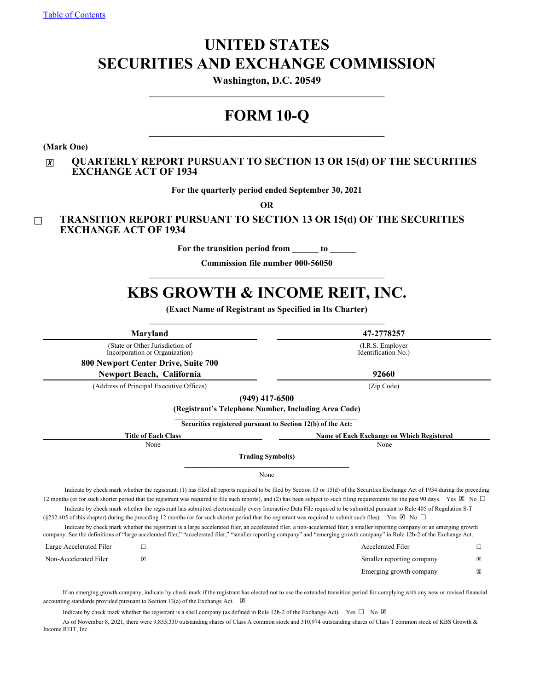# **UNITED STATES SECURITIES AND EXCHANGE COMMISSION**

**Washington, D.C. 20549**

# **FORM 10-Q**

**(Mark One)**

# ☒ **QUARTERLY REPORT PURSUANT TO SECTION 13 OR 15(d) OF THE SECURITIES EXCHANGE ACT OF 1934**

**For the quarterly period ended September 30, 2021**

**OR**

# ☐ **TRANSITION REPORT PURSUANT TO SECTION 13 OR 15(d) OF THE SECURITIES EXCHANGE ACT OF 1934**

For the transition period from \_\_\_\_\_\_ to \_

**Commission file number 000-56050**  $\mathcal{L}_\mathcal{L} = \{ \mathcal{L}_\mathcal{L} = \{ \mathcal{L}_\mathcal{L} \}$ 

# **KBS GROWTH & INCOME REIT, INC.**

**(Exact Name of Registrant as Specified in Its Charter)**

| Maryland                                                                                                                                                                      | 47-2778257                                                                                                                                                                                                                                                                                                                                                                                                                                                                                                                                                            |
|-------------------------------------------------------------------------------------------------------------------------------------------------------------------------------|-----------------------------------------------------------------------------------------------------------------------------------------------------------------------------------------------------------------------------------------------------------------------------------------------------------------------------------------------------------------------------------------------------------------------------------------------------------------------------------------------------------------------------------------------------------------------|
| (State or Other Jurisdiction of<br>Incorporation or Organization)                                                                                                             | (I.R.S. Employer)<br>Identification No.)                                                                                                                                                                                                                                                                                                                                                                                                                                                                                                                              |
| 800 Newport Center Drive, Suite 700                                                                                                                                           |                                                                                                                                                                                                                                                                                                                                                                                                                                                                                                                                                                       |
| Newport Beach, California                                                                                                                                                     | 92660                                                                                                                                                                                                                                                                                                                                                                                                                                                                                                                                                                 |
| (Address of Principal Executive Offices)                                                                                                                                      | (Zip Code)                                                                                                                                                                                                                                                                                                                                                                                                                                                                                                                                                            |
|                                                                                                                                                                               | $(949)$ 417-6500                                                                                                                                                                                                                                                                                                                                                                                                                                                                                                                                                      |
|                                                                                                                                                                               | (Registrant's Telephone Number, Including Area Code)                                                                                                                                                                                                                                                                                                                                                                                                                                                                                                                  |
|                                                                                                                                                                               | Securities registered pursuant to Section 12(b) of the Act:                                                                                                                                                                                                                                                                                                                                                                                                                                                                                                           |
| <b>Title of Each Class</b>                                                                                                                                                    | <b>Name of Each Exchange on Which Registered</b>                                                                                                                                                                                                                                                                                                                                                                                                                                                                                                                      |
| None                                                                                                                                                                          | None                                                                                                                                                                                                                                                                                                                                                                                                                                                                                                                                                                  |
|                                                                                                                                                                               | <b>Trading Symbol(s)</b>                                                                                                                                                                                                                                                                                                                                                                                                                                                                                                                                              |
|                                                                                                                                                                               | None                                                                                                                                                                                                                                                                                                                                                                                                                                                                                                                                                                  |
| (§232.405 of this chapter) during the preceding 12 months (or for such shorter period that the registrant was required to submit such files). Yes $[\mathbb{X}]$ No $\square$ | Indicate by check mark whether the registrant: (1) has filed all reports required to be filed by Section 13 or 15(d) of the Securities Exchange Act of 1934 during the preceding<br>12 months (or for such shorter period that the registrant was required to file such reports), and (2) has been subject to such filing requirements for the past 90 days. Yes $[\mathbb{X}]$ No $[\Box]$<br>Indicate by check mark whether the registrant has submitted electronically every Interactive Data File required to be submitted pursuant to Rule 405 of Regulation S-T |
| company. See the definitions of "large accelerated filer," "accelerated filer," "smaller reporting company" and "emerging growth company" in Rule 12b-2 of the Exchange Act.  | Indicate by check mark whether the registrant is a large accelerated filer, an accelerated filer, a non-accelerated filer, a smaller reporting company or an emerging growth                                                                                                                                                                                                                                                                                                                                                                                          |
| Large Accelerated Filer<br>□                                                                                                                                                  | <b>Accelerated Filer</b><br>$\Box$                                                                                                                                                                                                                                                                                                                                                                                                                                                                                                                                    |
| Non-Accelerated Filer<br>$\mathbf{x}$                                                                                                                                         | Smaller reporting company<br>$\mathbf{x}$                                                                                                                                                                                                                                                                                                                                                                                                                                                                                                                             |
|                                                                                                                                                                               | Emerging growth company<br>$\mathbf{x}$                                                                                                                                                                                                                                                                                                                                                                                                                                                                                                                               |
|                                                                                                                                                                               |                                                                                                                                                                                                                                                                                                                                                                                                                                                                                                                                                                       |

If an emerging growth company, indicate by check mark if the registrant has elected not to use the extended transition period for complying with any new or revised financial accounting standards provided pursuant to Section 13(a) of the Exchange Act.  $\boxtimes$ 

Indicate by check mark whether the registrant is a shell company (as defined in Rule 12b-2 of the Exchange Act). Yes  $\Box$  No  $\Box$ 

As of November 8, 2021, there were 9,855,330 outstanding shares of Class A common stock and 310,974 outstanding shares of Class T common stock of KBS Growth & Income REIT, Inc.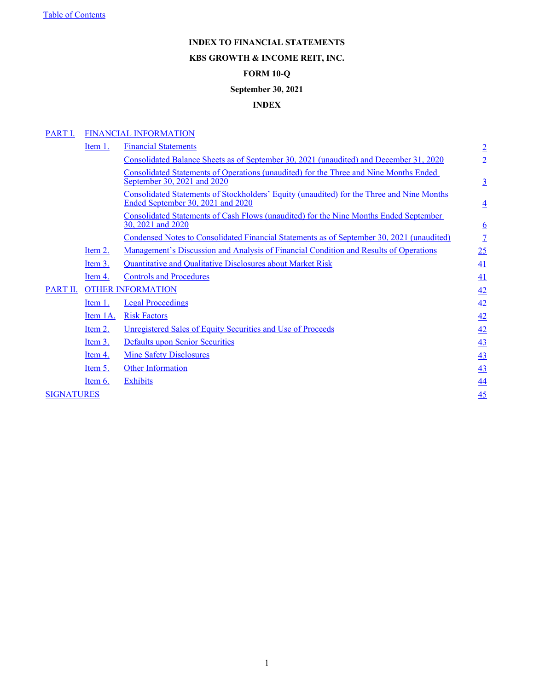# **INDEX TO FINANCIAL STATEMENTS KBS GROWTH & INCOME REIT, INC. FORM 10-Q**

# **September 30, 2021**

# **INDEX**

# <span id="page-1-0"></span>[PART I.](#page-2-0) [FINANCIAL INFORMATION](#page-2-0)

|                   | Item 1.   | <b>Financial Statements</b>                                                                                                    | $\overline{2}$  |
|-------------------|-----------|--------------------------------------------------------------------------------------------------------------------------------|-----------------|
|                   |           | Consolidated Balance Sheets as of September 30, 2021 (unaudited) and December 31, 2020                                         | $\overline{2}$  |
|                   |           | Consolidated Statements of Operations (unaudited) for the Three and Nine Months Ended<br>September 30, 2021 and 2020           | $\overline{3}$  |
|                   |           | Consolidated Statements of Stockholders' Equity (unaudited) for the Three and Nine Months<br>Ended September 30, 2021 and 2020 | $\overline{4}$  |
|                   |           | Consolidated Statements of Cash Flows (unaudited) for the Nine Months Ended September<br>30, 2021 and 2020                     | $6\overline{6}$ |
|                   |           | Condensed Notes to Consolidated Financial Statements as of September 30, 2021 (unaudited)                                      | $\overline{1}$  |
|                   | Item 2.   | Management's Discussion and Analysis of Financial Condition and Results of Operations                                          | 25              |
|                   | Item 3.   | <b>Quantitative and Qualitative Disclosures about Market Risk</b>                                                              | 41              |
|                   | Item 4.   | <b>Controls and Procedures</b>                                                                                                 | 41              |
| PART II.          |           | <b>OTHER INFORMATION</b>                                                                                                       | 42              |
|                   | Item 1.   | <b>Legal Proceedings</b>                                                                                                       | 42              |
|                   | Item 1A.  | <b>Risk Factors</b>                                                                                                            | 42              |
|                   | Item 2.   | Unregistered Sales of Equity Securities and Use of Proceeds                                                                    | 42              |
|                   | Item $3.$ | <b>Defaults upon Senior Securities</b>                                                                                         | 43              |
|                   | Item 4.   | <b>Mine Safety Disclosures</b>                                                                                                 | 43              |
|                   | Item 5.   | Other Information                                                                                                              | 43              |
|                   | Item 6.   | <b>Exhibits</b>                                                                                                                | 44              |
| <b>SIGNATURES</b> |           |                                                                                                                                | 45              |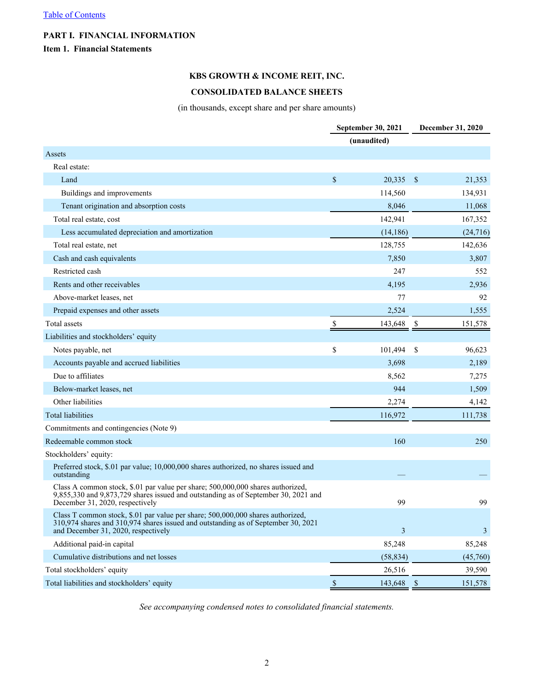# <span id="page-2-0"></span>**PART I. FINANCIAL INFORMATION**

# **Item 1. Financial Statements**

# **KBS GROWTH & INCOME REIT, INC.**

# **CONSOLIDATED BALANCE SHEETS**

(in thousands, except share and per share amounts)

|                                                                                                                                                                                                             | <b>September 30, 2021</b> | <b>December 31, 2020</b> |
|-------------------------------------------------------------------------------------------------------------------------------------------------------------------------------------------------------------|---------------------------|--------------------------|
|                                                                                                                                                                                                             | (unaudited)               |                          |
| Assets                                                                                                                                                                                                      |                           |                          |
| Real estate:                                                                                                                                                                                                |                           |                          |
| Land                                                                                                                                                                                                        | $\mathcal{S}$<br>20,335   | \$<br>21,353             |
| Buildings and improvements                                                                                                                                                                                  | 114,560                   | 134,931                  |
| Tenant origination and absorption costs                                                                                                                                                                     | 8,046                     | 11,068                   |
| Total real estate, cost                                                                                                                                                                                     | 142,941                   | 167,352                  |
| Less accumulated depreciation and amortization                                                                                                                                                              | (14, 186)                 | (24, 716)                |
| Total real estate, net                                                                                                                                                                                      | 128,755                   | 142,636                  |
| Cash and cash equivalents                                                                                                                                                                                   | 7,850                     | 3,807                    |
| Restricted cash                                                                                                                                                                                             | 247                       | 552                      |
| Rents and other receivables                                                                                                                                                                                 | 4,195                     | 2,936                    |
| Above-market leases, net                                                                                                                                                                                    | 77                        | 92                       |
| Prepaid expenses and other assets                                                                                                                                                                           | 2,524                     | 1,555                    |
| Total assets                                                                                                                                                                                                | 143,648<br>\$             | \$<br>151,578            |
| Liabilities and stockholders' equity                                                                                                                                                                        |                           |                          |
| Notes payable, net                                                                                                                                                                                          | \$<br>101,494             | \$<br>96,623             |
| Accounts payable and accrued liabilities                                                                                                                                                                    | 3,698                     | 2,189                    |
| Due to affiliates                                                                                                                                                                                           | 8,562                     | 7,275                    |
| Below-market leases, net                                                                                                                                                                                    | 944                       | 1,509                    |
| Other liabilities                                                                                                                                                                                           | 2,274                     | 4,142                    |
| <b>Total liabilities</b>                                                                                                                                                                                    | 116,972                   | 111,738                  |
| Commitments and contingencies (Note 9)                                                                                                                                                                      |                           |                          |
| Redeemable common stock                                                                                                                                                                                     | 160                       | 250                      |
| Stockholders' equity:                                                                                                                                                                                       |                           |                          |
| Preferred stock, \$.01 par value; 10,000,000 shares authorized, no shares issued and<br>outstanding                                                                                                         |                           |                          |
| Class A common stock, \$.01 par value per share; 500,000,000 shares authorized,<br>9,855,330 and 9,873,729 shares issued and outstanding as of September 30, 2021 and<br>December 31, 2020, respectively    | 99                        | 99                       |
| Class T common stock, \$.01 par value per share; 500,000,000 shares authorized,<br>310,974 shares and 310,974 shares issued and outstanding as of September 30, 2021<br>and December 31, 2020, respectively | 3                         | 3                        |
| Additional paid-in capital                                                                                                                                                                                  | 85,248                    | 85,248                   |
| Cumulative distributions and net losses                                                                                                                                                                     | (58, 834)                 | (45,760)                 |
| Total stockholders' equity                                                                                                                                                                                  | 26,516                    | 39,590                   |
| Total liabilities and stockholders' equity                                                                                                                                                                  | $\mathbb S$<br>143,648    | $\mathcal{S}$<br>151,578 |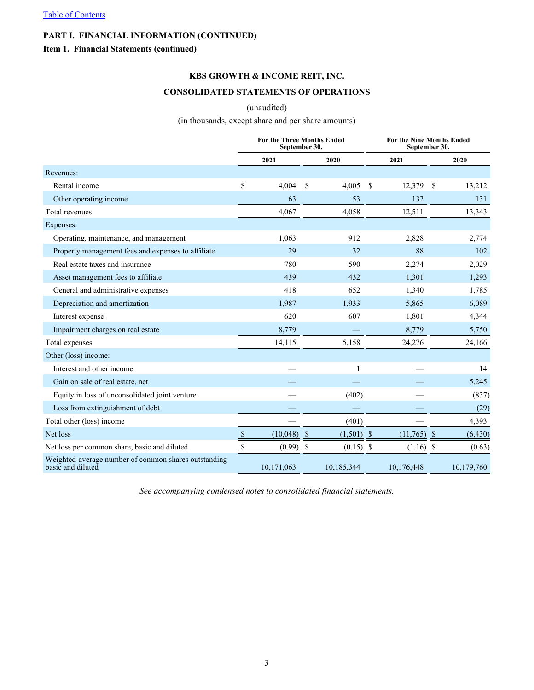<span id="page-3-0"></span>**Item 1. Financial Statements (continued)**

# **KBS GROWTH & INCOME REIT, INC.**

# **CONSOLIDATED STATEMENTS OF OPERATIONS**

# (unaudited)

# (in thousands, except share and per share amounts)

|                                                                           | <b>For the Three Months Ended</b><br>September 30, |               |             |              |               | For the Nine Months Ended<br>September 30, |               |            |  |  |
|---------------------------------------------------------------------------|----------------------------------------------------|---------------|-------------|--------------|---------------|--------------------------------------------|---------------|------------|--|--|
|                                                                           |                                                    | 2021          |             | 2020         |               | 2021                                       |               | 2020       |  |  |
| Revenues:                                                                 |                                                    |               |             |              |               |                                            |               |            |  |  |
| Rental income                                                             | \$                                                 | 4,004         | $\mathbf S$ | 4,005        | <sup>\$</sup> | 12,379                                     | $\mathbf{\$}$ | 13,212     |  |  |
| Other operating income                                                    |                                                    | 63            |             | 53           |               | 132                                        |               | 131        |  |  |
| Total revenues                                                            |                                                    | 4,067         |             | 4,058        |               | 12,511                                     |               | 13,343     |  |  |
| Expenses:                                                                 |                                                    |               |             |              |               |                                            |               |            |  |  |
| Operating, maintenance, and management                                    |                                                    | 1,063         |             | 912          |               | 2,828                                      |               | 2,774      |  |  |
| Property management fees and expenses to affiliate                        |                                                    | 29            |             | 32           |               | 88                                         |               | 102        |  |  |
| Real estate taxes and insurance                                           |                                                    | 780           |             | 590          |               | 2,274                                      |               | 2,029      |  |  |
| Asset management fees to affiliate                                        |                                                    | 439           |             | 432          |               | 1,301                                      |               | 1,293      |  |  |
| General and administrative expenses                                       |                                                    | 418           |             | 652          |               | 1,340                                      |               | 1,785      |  |  |
| Depreciation and amortization                                             |                                                    | 1,987         |             | 1,933        |               | 5,865                                      |               | 6,089      |  |  |
| Interest expense                                                          |                                                    | 620           |             | 607          |               | 1,801                                      |               | 4,344      |  |  |
| Impairment charges on real estate                                         |                                                    | 8,779         |             |              |               | 8,779                                      |               | 5,750      |  |  |
| Total expenses                                                            |                                                    | 14,115        |             | 5,158        |               | 24,276                                     |               | 24,166     |  |  |
| Other (loss) income:                                                      |                                                    |               |             |              |               |                                            |               |            |  |  |
| Interest and other income                                                 |                                                    |               |             | 1            |               |                                            |               | 14         |  |  |
| Gain on sale of real estate, net                                          |                                                    |               |             |              |               |                                            |               | 5,245      |  |  |
| Equity in loss of unconsolidated joint venture                            |                                                    |               |             | (402)        |               |                                            |               | (837)      |  |  |
| Loss from extinguishment of debt                                          |                                                    |               |             |              |               |                                            |               | (29)       |  |  |
| Total other (loss) income                                                 |                                                    |               |             | (401)        |               |                                            |               | 4,393      |  |  |
| Net loss                                                                  | \$                                                 | $(10,048)$ \$ |             | $(1,501)$ \$ |               | $(11,765)$ \$                              |               | (6, 430)   |  |  |
| Net loss per common share, basic and diluted                              |                                                    | (0.99)        | \$          | $(0.15)$ \$  |               | (1.16)                                     | - \$          | (0.63)     |  |  |
| Weighted-average number of common shares outstanding<br>basic and diluted |                                                    | 10,171,063    |             | 10,185,344   |               | 10,176,448                                 |               | 10,179,760 |  |  |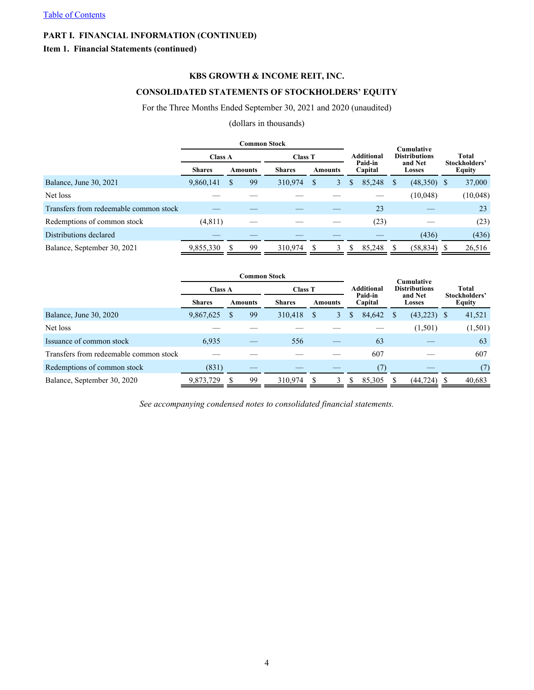# <span id="page-4-0"></span>**Item 1. Financial Statements (continued)**

# **KBS GROWTH & INCOME REIT, INC.**

# **CONSOLIDATED STATEMENTS OF STOCKHOLDERS' EQUITY**

# For the Three Months Ended September 30, 2021 and 2020 (unaudited)

# (dollars in thousands)

|                                        | <b>Common Stock</b> |                |    |               |                |   |                    |            |                   | <b>Cumulative</b>    |                                |          |
|----------------------------------------|---------------------|----------------|----|---------------|----------------|---|--------------------|------------|-------------------|----------------------|--------------------------------|----------|
|                                        | <b>Class A</b>      |                |    |               | <b>Class T</b> |   |                    | Additional |                   | <b>Distributions</b> | Total                          |          |
|                                        | <b>Shares</b>       | <b>Amounts</b> |    | <b>Shares</b> | <b>Amounts</b> |   | Paid-in<br>Capital |            | and Net<br>Losses |                      | Stockholders'<br><b>Equity</b> |          |
| Balance, June 30, 2021                 | 9,860,141           |                | 99 | 310,974       | S              | 3 | S                  | 85,248     | S                 | $(48,350)$ \$        |                                | 37,000   |
| Net loss                               |                     |                |    |               |                |   |                    |            |                   | (10,048)             |                                | (10,048) |
| Transfers from redeemable common stock |                     |                |    |               |                |   |                    | 23         |                   |                      |                                | 23       |
| Redemptions of common stock            | (4, 811)            |                |    |               |                |   |                    | (23)       |                   |                      |                                | (23)     |
| Distributions declared                 |                     |                |    |               |                |   |                    |            |                   | (436)                |                                | (436)    |
| Balance, September 30, 2021            | 9,855,330           |                | 99 | 310.974       |                |   | S                  | 85,248     |                   | (58, 834)            |                                | 26,516   |

|                                        | <b>Common Stock</b> |                |    |                |                |   |                              |        |                                 | <b>Cumulative</b> |                        |               |  |
|----------------------------------------|---------------------|----------------|----|----------------|----------------|---|------------------------------|--------|---------------------------------|-------------------|------------------------|---------------|--|
|                                        | <b>Class A</b>      |                |    | <b>Class T</b> |                |   | <b>Additional</b><br>Paid-in |        | <b>Distributions</b><br>and Net |                   | Total<br>Stockholders' |               |  |
|                                        | <b>Shares</b>       | <b>Amounts</b> |    | <b>Shares</b>  | <b>Amounts</b> |   | Capital                      |        |                                 | Losses            |                        | <b>Equity</b> |  |
| Balance, June 30, 2020                 | 9,867,625           |                | 99 | 310,418        | S              | 3 | S                            | 84,642 |                                 | $(43,223)$ \$     |                        | 41,521        |  |
| Net loss                               |                     |                |    |                |                |   |                              |        |                                 | (1,501)           |                        | (1,501)       |  |
| Issuance of common stock               | 6,935               |                |    | 556            |                |   |                              | 63     |                                 |                   |                        | 63            |  |
| Transfers from redeemable common stock |                     |                |    |                |                |   |                              | 607    |                                 |                   |                        | 607           |  |
| Redemptions of common stock            | (831)               |                |    |                |                |   |                              | (7)    |                                 |                   |                        | (7)           |  |
| Balance, September 30, 2020            | 9,873,729           |                | 99 | 310,974        |                |   |                              | 85,305 |                                 | (44, 724)         |                        | 40,683        |  |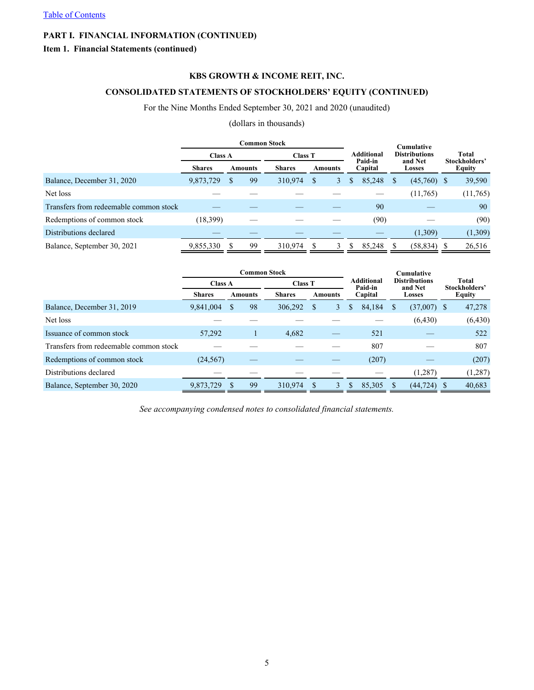# **Item 1. Financial Statements (continued)**

# **KBS GROWTH & INCOME REIT, INC.**

# **CONSOLIDATED STATEMENTS OF STOCKHOLDERS' EQUITY (CONTINUED)**

# For the Nine Months Ended September 30, 2021 and 2020 (unaudited)

# (dollars in thousands)

|                                        |                |                | Common Stock |               |                |                |   |                              |   | <b>Cumulative</b>               |                               |               |  |
|----------------------------------------|----------------|----------------|--------------|---------------|----------------|----------------|---|------------------------------|---|---------------------------------|-------------------------------|---------------|--|
|                                        | <b>Class A</b> |                |              |               | <b>Class T</b> |                |   | <b>Additional</b><br>Paid-in |   | <b>Distributions</b><br>and Net | <b>Total</b><br>Stockholders' |               |  |
|                                        | <b>Shares</b>  | <b>Amounts</b> |              | <b>Shares</b> |                | <b>Amounts</b> |   | Capital                      |   | Losses                          |                               | <b>Equity</b> |  |
| Balance, December 31, 2020             | 9,873,729      | S              | 99           | 310,974       | S              | 3              | S | 85,248                       | S | $(45,760)$ \$                   |                               | 39,590        |  |
| Net loss                               |                |                |              |               |                |                |   |                              |   | (11,765)                        |                               | (11,765)      |  |
| Transfers from redeemable common stock |                |                |              |               |                |                |   | 90                           |   |                                 |                               | 90            |  |
| Redemptions of common stock            | (18, 399)      |                |              |               |                |                |   | (90)                         |   |                                 |                               | (90)          |  |
| Distributions declared                 |                |                |              |               |                |                |   |                              |   | (1,309)                         |                               | (1,309)       |  |
| Balance, September 30, 2021            | 9,855,330      |                | 99           | 310,974       |                |                | S | 85,248                       |   | (58, 834)                       |                               | 26,516        |  |

|                                        | <b>Common Stock</b> |   |         |               |                |   |         |                              |               | <b>Cumulative</b>               |                        |          |
|----------------------------------------|---------------------|---|---------|---------------|----------------|---|---------|------------------------------|---------------|---------------------------------|------------------------|----------|
|                                        | <b>Class A</b>      |   |         |               | <b>Class T</b> |   |         | <b>Additional</b><br>Paid-in |               | <b>Distributions</b><br>and Net | Total<br>Stockholders' |          |
|                                        | <b>Shares</b>       |   | Amounts | <b>Shares</b> | <b>Amounts</b> |   | Capital |                              | <b>Losses</b> |                                 | Equity                 |          |
| Balance, December 31, 2019             | 9,841,004           | S | 98      | 306,292       | S              | 3 | S       | 84,184                       | S             | (37,007)                        | -S                     | 47,278   |
| Net loss                               |                     |   |         |               |                |   |         |                              |               | (6, 430)                        |                        | (6, 430) |
| Issuance of common stock               | 57,292              |   |         | 4,682         |                |   |         | 521                          |               |                                 |                        | 522      |
| Transfers from redeemable common stock |                     |   |         |               |                |   |         | 807                          |               |                                 |                        | 807      |
| Redemptions of common stock            | (24, 567)           |   |         |               |                |   |         | (207)                        |               |                                 |                        | (207)    |
| Distributions declared                 |                     |   |         |               |                |   |         |                              |               | (1,287)                         |                        | (1, 287) |
| Balance, September 30, 2020            | 9,873,729           |   | 99      | 310,974       | S              |   | S       | 85,305                       |               | (44, 724)                       |                        | 40,683   |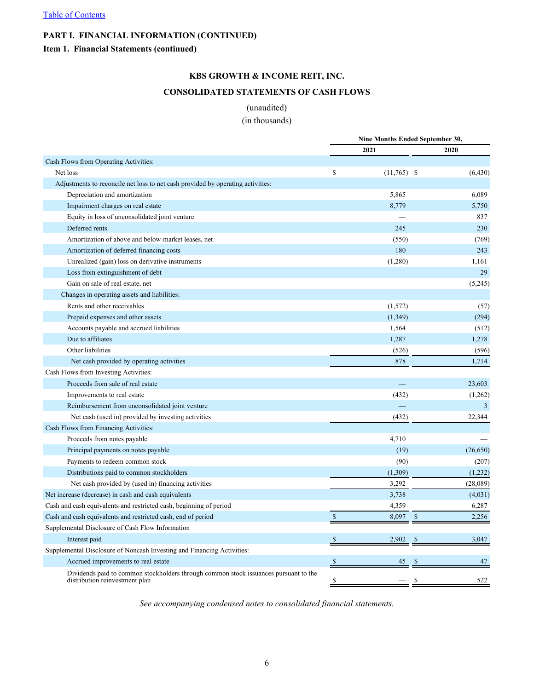# <span id="page-6-0"></span>**Item 1. Financial Statements (continued)**

# **KBS GROWTH & INCOME REIT, INC.**

# **CONSOLIDATED STATEMENTS OF CASH FLOWS**

# (unaudited)

(in thousands)

|                                                                                                                        |               | Nine Months Ended September 30, |                                   |           |
|------------------------------------------------------------------------------------------------------------------------|---------------|---------------------------------|-----------------------------------|-----------|
|                                                                                                                        |               | 2021                            |                                   | 2020      |
| Cash Flows from Operating Activities:                                                                                  |               |                                 |                                   |           |
| Net loss                                                                                                               | \$            | $(11,765)$ \$                   |                                   | (6, 430)  |
| Adjustments to reconcile net loss to net cash provided by operating activities:                                        |               |                                 |                                   |           |
| Depreciation and amortization                                                                                          |               | 5,865                           |                                   | 6,089     |
| Impairment charges on real estate                                                                                      |               | 8,779                           |                                   | 5,750     |
| Equity in loss of unconsolidated joint venture                                                                         |               |                                 |                                   | 837       |
| Deferred rents                                                                                                         |               | 245                             |                                   | 230       |
| Amortization of above and below-market leases, net                                                                     |               | (550)                           |                                   | (769)     |
| Amortization of deferred financing costs                                                                               |               | 180                             |                                   | 243       |
| Unrealized (gain) loss on derivative instruments                                                                       |               | (1,280)                         |                                   | 1,161     |
| Loss from extinguishment of debt                                                                                       |               |                                 |                                   | 29        |
| Gain on sale of real estate, net                                                                                       |               |                                 |                                   | (5,245)   |
| Changes in operating assets and liabilities:                                                                           |               |                                 |                                   |           |
| Rents and other receivables                                                                                            |               | (1, 572)                        |                                   | (57)      |
| Prepaid expenses and other assets                                                                                      |               | (1,349)                         |                                   | (294)     |
| Accounts payable and accrued liabilities                                                                               |               | 1,564                           |                                   | (512)     |
| Due to affiliates                                                                                                      |               | 1,287                           |                                   | 1,278     |
| Other liabilities                                                                                                      |               | (526)                           |                                   | (596)     |
| Net cash provided by operating activities                                                                              |               | 878                             |                                   | 1,714     |
| Cash Flows from Investing Activities:                                                                                  |               |                                 |                                   |           |
| Proceeds from sale of real estate                                                                                      |               |                                 |                                   | 23,603    |
| Improvements to real estate                                                                                            |               | (432)                           |                                   | (1,262)   |
| Reimbursement from unconsolidated joint venture                                                                        |               |                                 |                                   | 3         |
| Net cash (used in) provided by investing activities                                                                    |               | (432)                           |                                   | 22,344    |
| Cash Flows from Financing Activities:                                                                                  |               |                                 |                                   |           |
| Proceeds from notes payable                                                                                            |               | 4,710                           |                                   |           |
| Principal payments on notes payable                                                                                    |               | (19)                            |                                   | (26, 650) |
| Payments to redeem common stock                                                                                        |               | (90)                            |                                   | (207)     |
| Distributions paid to common stockholders                                                                              |               | (1, 309)                        |                                   | (1,232)   |
| Net cash provided by (used in) financing activities                                                                    |               | 3,292                           |                                   | (28,089)  |
| Net increase (decrease) in cash and cash equivalents                                                                   |               | 3,738                           |                                   | (4,031)   |
| Cash and cash equivalents and restricted cash, beginning of period                                                     |               | 4,359                           |                                   | 6,287     |
| Cash and cash equivalents and restricted cash, end of period                                                           | $\mathbb{S}$  | 8,097                           | $\mathbb{S}% _{t}\left( t\right)$ | 2,256     |
| Supplemental Disclosure of Cash Flow Information                                                                       |               |                                 |                                   |           |
| Interest paid                                                                                                          | \$            | 2,902                           | \$                                | 3,047     |
| Supplemental Disclosure of Noncash Investing and Financing Activities:                                                 |               |                                 |                                   |           |
| Accrued improvements to real estate                                                                                    | $\mathcal{S}$ | 45                              | S                                 | 47        |
| Dividends paid to common stockholders through common stock issuances pursuant to the<br>distribution reinvestment plan | \$            |                                 | \$                                | 522       |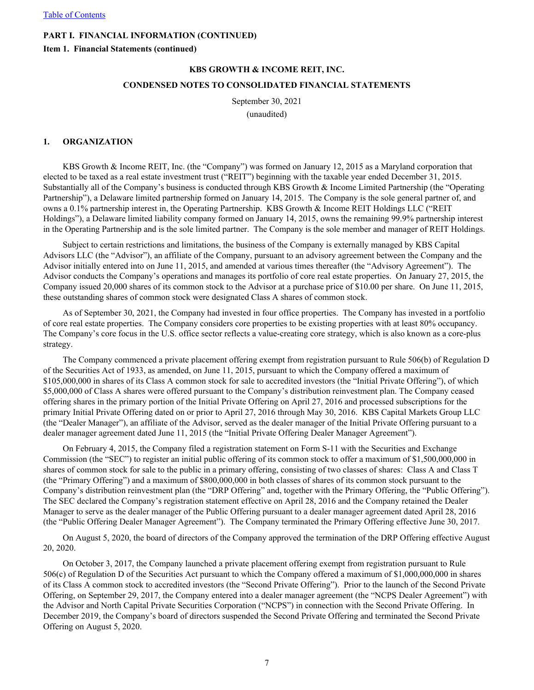<span id="page-7-0"></span>**Item 1. Financial Statements (continued)**

#### **KBS GROWTH & INCOME REIT, INC.**

## **CONDENSED NOTES TO CONSOLIDATED FINANCIAL STATEMENTS**

September 30, 2021 (unaudited)

#### **1. ORGANIZATION**

KBS Growth & Income REIT, Inc. (the "Company") was formed on January 12, 2015 as a Maryland corporation that elected to be taxed as a real estate investment trust ("REIT") beginning with the taxable year ended December 31, 2015. Substantially all of the Company's business is conducted through KBS Growth & Income Limited Partnership (the "Operating Partnership"), a Delaware limited partnership formed on January 14, 2015. The Company is the sole general partner of, and owns a 0.1% partnership interest in, the Operating Partnership. KBS Growth & Income REIT Holdings LLC ("REIT Holdings"), a Delaware limited liability company formed on January 14, 2015, owns the remaining 99.9% partnership interest in the Operating Partnership and is the sole limited partner. The Company is the sole member and manager of REIT Holdings.

Subject to certain restrictions and limitations, the business of the Company is externally managed by KBS Capital Advisors LLC (the "Advisor"), an affiliate of the Company, pursuant to an advisory agreement between the Company and the Advisor initially entered into on June 11, 2015, and amended at various times thereafter (the "Advisory Agreement"). The Advisor conducts the Company's operations and manages its portfolio of core real estate properties. On January 27, 2015, the Company issued 20,000 shares of its common stock to the Advisor at a purchase price of \$10.00 per share. On June 11, 2015, these outstanding shares of common stock were designated Class A shares of common stock.

As of September 30, 2021, the Company had invested in four office properties. The Company has invested in a portfolio of core real estate properties. The Company considers core properties to be existing properties with at least 80% occupancy. The Company's core focus in the U.S. office sector reflects a value-creating core strategy, which is also known as a core-plus strategy.

The Company commenced a private placement offering exempt from registration pursuant to Rule 506(b) of Regulation D of the Securities Act of 1933, as amended, on June 11, 2015, pursuant to which the Company offered a maximum of \$105,000,000 in shares of its Class A common stock for sale to accredited investors (the "Initial Private Offering"), of which \$5,000,000 of Class A shares were offered pursuant to the Company's distribution reinvestment plan. The Company ceased offering shares in the primary portion of the Initial Private Offering on April 27, 2016 and processed subscriptions for the primary Initial Private Offering dated on or prior to April 27, 2016 through May 30, 2016. KBS Capital Markets Group LLC (the "Dealer Manager"), an affiliate of the Advisor, served as the dealer manager of the Initial Private Offering pursuant to a dealer manager agreement dated June 11, 2015 (the "Initial Private Offering Dealer Manager Agreement").

On February 4, 2015, the Company filed a registration statement on Form S-11 with the Securities and Exchange Commission (the "SEC") to register an initial public offering of its common stock to offer a maximum of \$1,500,000,000 in shares of common stock for sale to the public in a primary offering, consisting of two classes of shares: Class A and Class T (the "Primary Offering") and a maximum of \$800,000,000 in both classes of shares of its common stock pursuant to the Company's distribution reinvestment plan (the "DRP Offering" and, together with the Primary Offering, the "Public Offering"). The SEC declared the Company's registration statement effective on April 28, 2016 and the Company retained the Dealer Manager to serve as the dealer manager of the Public Offering pursuant to a dealer manager agreement dated April 28, 2016 (the "Public Offering Dealer Manager Agreement"). The Company terminated the Primary Offering effective June 30, 2017.

On August 5, 2020, the board of directors of the Company approved the termination of the DRP Offering effective August 20, 2020.

On October 3, 2017, the Company launched a private placement offering exempt from registration pursuant to Rule 506(c) of Regulation D of the Securities Act pursuant to which the Company offered a maximum of \$1,000,000,000 in shares of its Class A common stock to accredited investors (the "Second Private Offering"). Prior to the launch of the Second Private Offering, on September 29, 2017, the Company entered into a dealer manager agreement (the "NCPS Dealer Agreement") with the Advisor and North Capital Private Securities Corporation ("NCPS") in connection with the Second Private Offering. In December 2019, the Company's board of directors suspended the Second Private Offering and terminated the Second Private Offering on August 5, 2020.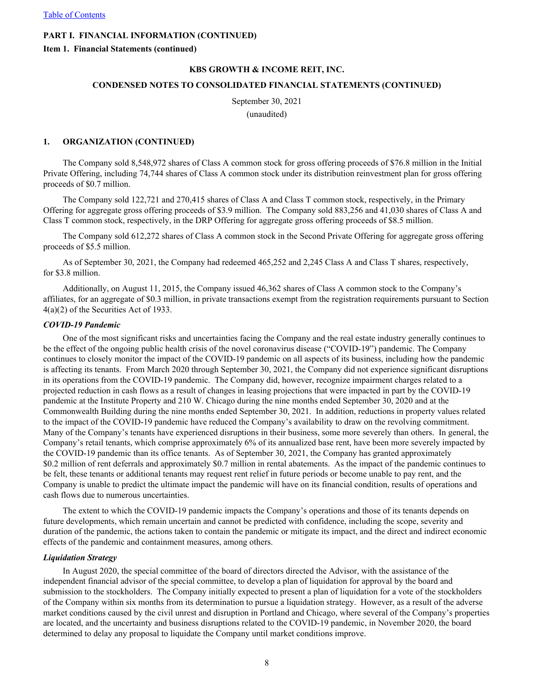**Item 1. Financial Statements (continued)**

#### **KBS GROWTH & INCOME REIT, INC.**

# **CONDENSED NOTES TO CONSOLIDATED FINANCIAL STATEMENTS (CONTINUED)**

September 30, 2021 (unaudited)

**1. ORGANIZATION (CONTINUED)**

The Company sold 8,548,972 shares of Class A common stock for gross offering proceeds of \$76.8 million in the Initial Private Offering, including 74,744 shares of Class A common stock under its distribution reinvestment plan for gross offering proceeds of \$0.7 million.

The Company sold 122,721 and 270,415 shares of Class A and Class T common stock, respectively, in the Primary Offering for aggregate gross offering proceeds of \$3.9 million. The Company sold 883,256 and 41,030 shares of Class A and Class T common stock, respectively, in the DRP Offering for aggregate gross offering proceeds of \$8.5 million.

The Company sold 612,272 shares of Class A common stock in the Second Private Offering for aggregate gross offering proceeds of \$5.5 million.

As of September 30, 2021, the Company had redeemed 465,252 and 2,245 Class A and Class T shares, respectively, for \$3.8 million.

Additionally, on August 11, 2015, the Company issued 46,362 shares of Class A common stock to the Company's affiliates, for an aggregate of \$0.3 million, in private transactions exempt from the registration requirements pursuant to Section 4(a)(2) of the Securities Act of 1933.

#### *COVID-19 Pandemic*

One of the most significant risks and uncertainties facing the Company and the real estate industry generally continues to be the effect of the ongoing public health crisis of the novel coronavirus disease ("COVID-19") pandemic. The Company continues to closely monitor the impact of the COVID-19 pandemic on all aspects of its business, including how the pandemic is affecting its tenants. From March 2020 through September 30, 2021, the Company did not experience significant disruptions in its operations from the COVID-19 pandemic. The Company did, however, recognize impairment charges related to a projected reduction in cash flows as a result of changes in leasing projections that were impacted in part by the COVID-19 pandemic at the Institute Property and 210 W. Chicago during the nine months ended September 30, 2020 and at the Commonwealth Building during the nine months ended September 30, 2021. In addition, reductions in property values related to the impact of the COVID-19 pandemic have reduced the Company's availability to draw on the revolving commitment. Many of the Company's tenants have experienced disruptions in their business, some more severely than others. In general, the Company's retail tenants, which comprise approximately 6% of its annualized base rent, have been more severely impacted by the COVID-19 pandemic than its office tenants. As of September 30, 2021, the Company has granted approximately \$0.2 million of rent deferrals and approximately \$0.7 million in rental abatements. As the impact of the pandemic continues to be felt, these tenants or additional tenants may request rent relief in future periods or become unable to pay rent, and the Company is unable to predict the ultimate impact the pandemic will have on its financial condition, results of operations and cash flows due to numerous uncertainties.

The extent to which the COVID-19 pandemic impacts the Company's operations and those of its tenants depends on future developments, which remain uncertain and cannot be predicted with confidence, including the scope, severity and duration of the pandemic, the actions taken to contain the pandemic or mitigate its impact, and the direct and indirect economic effects of the pandemic and containment measures, among others.

#### *Liquidation Strategy*

In August 2020, the special committee of the board of directors directed the Advisor, with the assistance of the independent financial advisor of the special committee, to develop a plan of liquidation for approval by the board and submission to the stockholders. The Company initially expected to present a plan of liquidation for a vote of the stockholders of the Company within six months from its determination to pursue a liquidation strategy. However, as a result of the adverse market conditions caused by the civil unrest and disruption in Portland and Chicago, where several of the Company's properties are located, and the uncertainty and business disruptions related to the COVID-19 pandemic, in November 2020, the board determined to delay any proposal to liquidate the Company until market conditions improve.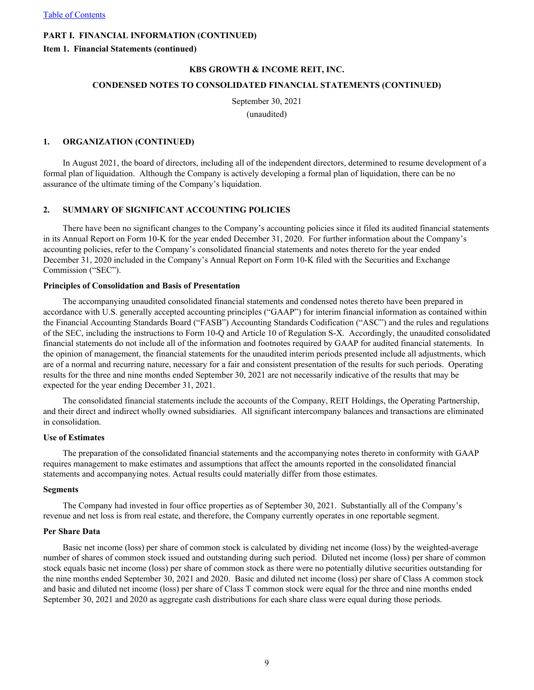**Item 1. Financial Statements (continued)**

#### **KBS GROWTH & INCOME REIT, INC.**

# **CONDENSED NOTES TO CONSOLIDATED FINANCIAL STATEMENTS (CONTINUED)**

September 30, 2021 (unaudited)

**1. ORGANIZATION (CONTINUED)**

In August 2021, the board of directors, including all of the independent directors, determined to resume development of a formal plan of liquidation. Although the Company is actively developing a formal plan of liquidation, there can be no assurance of the ultimate timing of the Company's liquidation.

#### **2. SUMMARY OF SIGNIFICANT ACCOUNTING POLICIES**

There have been no significant changes to the Company's accounting policies since it filed its audited financial statements in its Annual Report on Form 10-K for the year ended December 31, 2020. For further information about the Company's accounting policies, refer to the Company's consolidated financial statements and notes thereto for the year ended December 31, 2020 included in the Company's Annual Report on Form 10-K filed with the Securities and Exchange Commission ("SEC").

#### **Principles of Consolidation and Basis of Presentation**

The accompanying unaudited consolidated financial statements and condensed notes thereto have been prepared in accordance with U.S. generally accepted accounting principles ("GAAP") for interim financial information as contained within the Financial Accounting Standards Board ("FASB") Accounting Standards Codification ("ASC") and the rules and regulations of the SEC, including the instructions to Form 10-Q and Article 10 of Regulation S-X. Accordingly, the unaudited consolidated financial statements do not include all of the information and footnotes required by GAAP for audited financial statements. In the opinion of management, the financial statements for the unaudited interim periods presented include all adjustments, which are of a normal and recurring nature, necessary for a fair and consistent presentation of the results for such periods. Operating results for the three and nine months ended September 30, 2021 are not necessarily indicative of the results that may be expected for the year ending December 31, 2021.

The consolidated financial statements include the accounts of the Company, REIT Holdings, the Operating Partnership, and their direct and indirect wholly owned subsidiaries. All significant intercompany balances and transactions are eliminated in consolidation.

#### **Use of Estimates**

The preparation of the consolidated financial statements and the accompanying notes thereto in conformity with GAAP requires management to make estimates and assumptions that affect the amounts reported in the consolidated financial statements and accompanying notes. Actual results could materially differ from those estimates.

#### **Segments**

The Company had invested in four office properties as of September 30, 2021. Substantially all of the Company's revenue and net loss is from real estate, and therefore, the Company currently operates in one reportable segment.

#### **Per Share Data**

Basic net income (loss) per share of common stock is calculated by dividing net income (loss) by the weighted-average number of shares of common stock issued and outstanding during such period. Diluted net income (loss) per share of common stock equals basic net income (loss) per share of common stock as there were no potentially dilutive securities outstanding for the nine months ended September 30, 2021 and 2020. Basic and diluted net income (loss) per share of Class A common stock and basic and diluted net income (loss) per share of Class T common stock were equal for the three and nine months ended September 30, 2021 and 2020 as aggregate cash distributions for each share class were equal during those periods.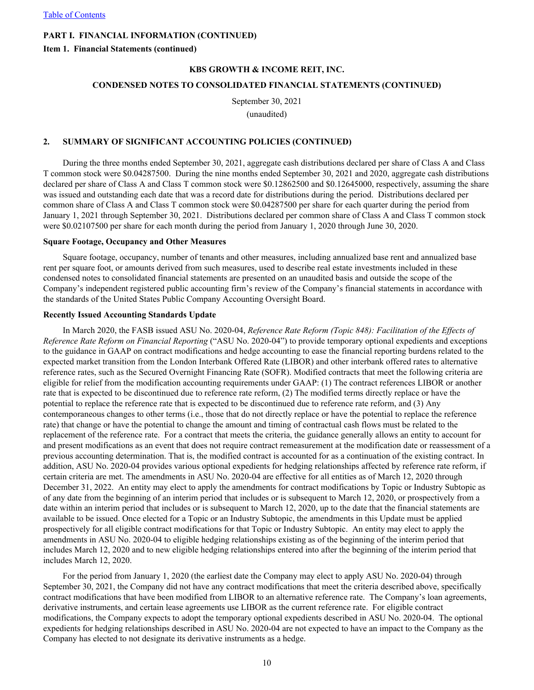**Item 1. Financial Statements (continued)**

#### **KBS GROWTH & INCOME REIT, INC.**

# **CONDENSED NOTES TO CONSOLIDATED FINANCIAL STATEMENTS (CONTINUED)**

September 30, 2021

(unaudited)

#### **2. SUMMARY OF SIGNIFICANT ACCOUNTING POLICIES (CONTINUED)**

During the three months ended September 30, 2021, aggregate cash distributions declared per share of Class A and Class T common stock were \$0.04287500. During the nine months ended September 30, 2021 and 2020, aggregate cash distributions declared per share of Class A and Class T common stock were \$0.12862500 and \$0.12645000, respectively, assuming the share was issued and outstanding each date that was a record date for distributions during the period. Distributions declared per common share of Class A and Class T common stock were \$0.04287500 per share for each quarter during the period from January 1, 2021 through September 30, 2021. Distributions declared per common share of Class A and Class T common stock were \$0.02107500 per share for each month during the period from January 1, 2020 through June 30, 2020.

#### **Square Footage, Occupancy and Other Measures**

Square footage, occupancy, number of tenants and other measures, including annualized base rent and annualized base rent per square foot, or amounts derived from such measures, used to describe real estate investments included in these condensed notes to consolidated financial statements are presented on an unaudited basis and outside the scope of the Company's independent registered public accounting firm's review of the Company's financial statements in accordance with the standards of the United States Public Company Accounting Oversight Board.

#### **Recently Issued Accounting Standards Update**

In March 2020, the FASB issued ASU No. 2020-04, *Reference Rate Reform (Topic 848): Facilitation of the Effects of Reference Rate Reform on Financial Reporting* ("ASU No. 2020-04") to provide temporary optional expedients and exceptions to the guidance in GAAP on contract modifications and hedge accounting to ease the financial reporting burdens related to the expected market transition from the London Interbank Offered Rate (LIBOR) and other interbank offered rates to alternative reference rates, such as the Secured Overnight Financing Rate (SOFR). Modified contracts that meet the following criteria are eligible for relief from the modification accounting requirements under GAAP: (1) The contract references LIBOR or another rate that is expected to be discontinued due to reference rate reform, (2) The modified terms directly replace or have the potential to replace the reference rate that is expected to be discontinued due to reference rate reform, and (3) Any contemporaneous changes to other terms (i.e., those that do not directly replace or have the potential to replace the reference rate) that change or have the potential to change the amount and timing of contractual cash flows must be related to the replacement of the reference rate. For a contract that meets the criteria, the guidance generally allows an entity to account for and present modifications as an event that does not require contract remeasurement at the modification date or reassessment of a previous accounting determination. That is, the modified contract is accounted for as a continuation of the existing contract. In addition, ASU No. 2020-04 provides various optional expedients for hedging relationships affected by reference rate reform, if certain criteria are met. The amendments in ASU No. 2020-04 are effective for all entities as of March 12, 2020 through December 31, 2022. An entity may elect to apply the amendments for contract modifications by Topic or Industry Subtopic as of any date from the beginning of an interim period that includes or is subsequent to March 12, 2020, or prospectively from a date within an interim period that includes or is subsequent to March 12, 2020, up to the date that the financial statements are available to be issued. Once elected for a Topic or an Industry Subtopic, the amendments in this Update must be applied prospectively for all eligible contract modifications for that Topic or Industry Subtopic. An entity may elect to apply the amendments in ASU No. 2020-04 to eligible hedging relationships existing as of the beginning of the interim period that includes March 12, 2020 and to new eligible hedging relationships entered into after the beginning of the interim period that includes March 12, 2020.

For the period from January 1, 2020 (the earliest date the Company may elect to apply ASU No. 2020-04) through September 30, 2021, the Company did not have any contract modifications that meet the criteria described above, specifically contract modifications that have been modified from LIBOR to an alternative reference rate. The Company's loan agreements, derivative instruments, and certain lease agreements use LIBOR as the current reference rate. For eligible contract modifications, the Company expects to adopt the temporary optional expedients described in ASU No. 2020-04. The optional expedients for hedging relationships described in ASU No. 2020-04 are not expected to have an impact to the Company as the Company has elected to not designate its derivative instruments as a hedge.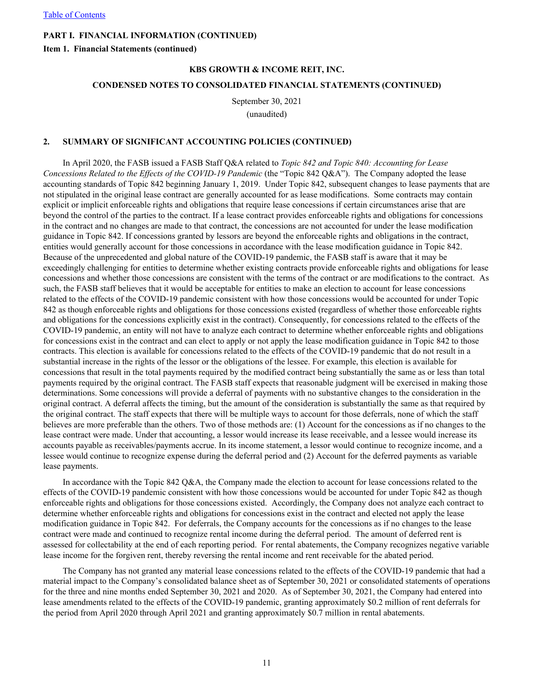**Item 1. Financial Statements (continued)**

#### **KBS GROWTH & INCOME REIT, INC.**

# **CONDENSED NOTES TO CONSOLIDATED FINANCIAL STATEMENTS (CONTINUED)**

September 30, 2021

(unaudited)

#### **2. SUMMARY OF SIGNIFICANT ACCOUNTING POLICIES (CONTINUED)**

In April 2020, the FASB issued a FASB Staff Q&A related to *Topic 842 and Topic 840: Accounting for Lease Concessions Related to the Effects of the COVID-19 Pandemic* (the "Topic 842 Q&A"). The Company adopted the lease accounting standards of Topic 842 beginning January 1, 2019. Under Topic 842, subsequent changes to lease payments that are not stipulated in the original lease contract are generally accounted for as lease modifications. Some contracts may contain explicit or implicit enforceable rights and obligations that require lease concessions if certain circumstances arise that are beyond the control of the parties to the contract. If a lease contract provides enforceable rights and obligations for concessions in the contract and no changes are made to that contract, the concessions are not accounted for under the lease modification guidance in Topic 842. If concessions granted by lessors are beyond the enforceable rights and obligations in the contract, entities would generally account for those concessions in accordance with the lease modification guidance in Topic 842. Because of the unprecedented and global nature of the COVID-19 pandemic, the FASB staff is aware that it may be exceedingly challenging for entities to determine whether existing contracts provide enforceable rights and obligations for lease concessions and whether those concessions are consistent with the terms of the contract or are modifications to the contract. As such, the FASB staff believes that it would be acceptable for entities to make an election to account for lease concessions related to the effects of the COVID-19 pandemic consistent with how those concessions would be accounted for under Topic 842 as though enforceable rights and obligations for those concessions existed (regardless of whether those enforceable rights and obligations for the concessions explicitly exist in the contract). Consequently, for concessions related to the effects of the COVID-19 pandemic, an entity will not have to analyze each contract to determine whether enforceable rights and obligations for concessions exist in the contract and can elect to apply or not apply the lease modification guidance in Topic 842 to those contracts. This election is available for concessions related to the effects of the COVID-19 pandemic that do not result in a substantial increase in the rights of the lessor or the obligations of the lessee. For example, this election is available for concessions that result in the total payments required by the modified contract being substantially the same as or less than total payments required by the original contract. The FASB staff expects that reasonable judgment will be exercised in making those determinations. Some concessions will provide a deferral of payments with no substantive changes to the consideration in the original contract. A deferral affects the timing, but the amount of the consideration is substantially the same as that required by the original contract. The staff expects that there will be multiple ways to account for those deferrals, none of which the staff believes are more preferable than the others. Two of those methods are: (1) Account for the concessions as if no changes to the lease contract were made. Under that accounting, a lessor would increase its lease receivable, and a lessee would increase its accounts payable as receivables/payments accrue. In its income statement, a lessor would continue to recognize income, and a lessee would continue to recognize expense during the deferral period and (2) Account for the deferred payments as variable lease payments.

In accordance with the Topic 842 Q&A, the Company made the election to account for lease concessions related to the effects of the COVID-19 pandemic consistent with how those concessions would be accounted for under Topic 842 as though enforceable rights and obligations for those concessions existed. Accordingly, the Company does not analyze each contract to determine whether enforceable rights and obligations for concessions exist in the contract and elected not apply the lease modification guidance in Topic 842. For deferrals, the Company accounts for the concessions as if no changes to the lease contract were made and continued to recognize rental income during the deferral period. The amount of deferred rent is assessed for collectability at the end of each reporting period. For rental abatements, the Company recognizes negative variable lease income for the forgiven rent, thereby reversing the rental income and rent receivable for the abated period.

The Company has not granted any material lease concessions related to the effects of the COVID-19 pandemic that had a material impact to the Company's consolidated balance sheet as of September 30, 2021 or consolidated statements of operations for the three and nine months ended September 30, 2021 and 2020. As of September 30, 2021, the Company had entered into lease amendments related to the effects of the COVID-19 pandemic, granting approximately \$0.2 million of rent deferrals for the period from April 2020 through April 2021 and granting approximately \$0.7 million in rental abatements.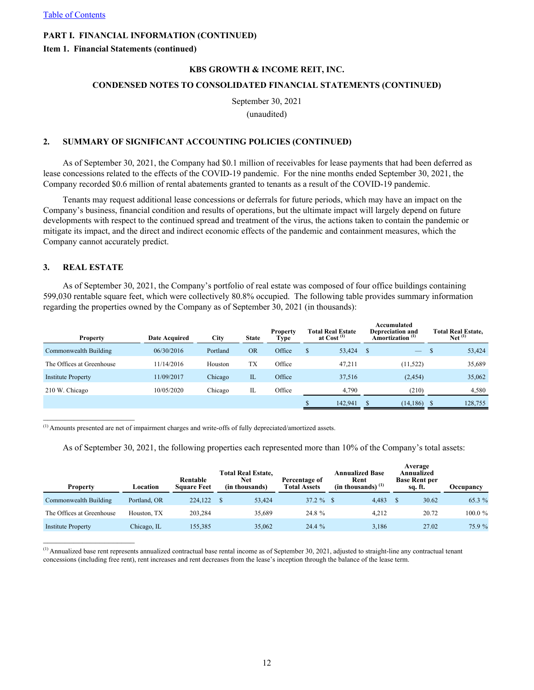**Item 1. Financial Statements (continued)**

## **KBS GROWTH & INCOME REIT, INC.**

# **CONDENSED NOTES TO CONSOLIDATED FINANCIAL STATEMENTS (CONTINUED)**

September 30, 2021

(unaudited)

## **2. SUMMARY OF SIGNIFICANT ACCOUNTING POLICIES (CONTINUED)**

As of September 30, 2021, the Company had \$0.1 million of receivables for lease payments that had been deferred as lease concessions related to the effects of the COVID-19 pandemic. For the nine months ended September 30, 2021, the Company recorded \$0.6 million of rental abatements granted to tenants as a result of the COVID-19 pandemic.

Tenants may request additional lease concessions or deferrals for future periods, which may have an impact on the Company's business, financial condition and results of operations, but the ultimate impact will largely depend on future developments with respect to the continued spread and treatment of the virus, the actions taken to contain the pandemic or mitigate its impact, and the direct and indirect economic effects of the pandemic and containment measures, which the Company cannot accurately predict.

## **3. REAL ESTATE**

 $\mathcal{L}_\text{max}$  , where  $\mathcal{L}_\text{max}$  and  $\mathcal{L}_\text{max}$ 

As of September 30, 2021, the Company's portfolio of real estate was composed of four office buildings containing 599,030 rentable square feet, which were collectively 80.8% occupied. The following table provides summary information regarding the properties owned by the Company as of September 30, 2021 (in thousands):

| <b>Property</b>           | <b>Date Acquired</b> | <b>City</b> | <b>State</b> | <b>Property</b><br><b>Type</b> | <b>Total Real Estate</b><br>at Cost $^{(1)}$ | Accumulated<br><b>Depreciation and</b><br>Amortization <sup>(1)</sup> | <b>Total Real Estate,</b><br>Net <sup>(1)</sup> |
|---------------------------|----------------------|-------------|--------------|--------------------------------|----------------------------------------------|-----------------------------------------------------------------------|-------------------------------------------------|
| Commonwealth Building     | 06/30/2016           | Portland    | <b>OR</b>    | Office                         | \$<br>53,424                                 |                                                                       | 53,424                                          |
| The Offices at Greenhouse | 11/14/2016           | Houston     | TX           | Office                         | 47,211                                       | (11, 522)                                                             | 35,689                                          |
| <b>Institute Property</b> | 11/09/2017           | Chicago     | IL           | Office                         | 37,516                                       | (2, 454)                                                              | 35,062                                          |
| 210 W. Chicago            | 10/05/2020           | Chicago     | IL           | Office                         | 4,790                                        | (210)                                                                 | 4,580                                           |
|                           |                      |             |              |                                | 142,941                                      | (14, 186)                                                             | 128,755                                         |

(1) Amounts presented are net of impairment charges and write-offs of fully depreciated/amortized assets.

As of September 30, 2021, the following properties each represented more than 10% of the Company's total assets:

| <b>Property</b>           | Location     | Rentable<br><b>Square Feet</b> | Total Real Estate,<br>Net<br>(in thousands) | Percentage of<br><b>Total Assets</b> | <b>Annualized Base</b><br>Rent<br>$(in thousands)$ <sup>(1)</sup> | Average<br>Annualized<br><b>Base Rent per</b><br>sq. ft. | Occupancv |
|---------------------------|--------------|--------------------------------|---------------------------------------------|--------------------------------------|-------------------------------------------------------------------|----------------------------------------------------------|-----------|
| Commonwealth Building     | Portland, OR | 224,122                        | 53.424                                      | $37.2 \%$ \$                         | 4.483                                                             | 30.62                                                    | 65.3 %    |
| The Offices at Greenhouse | Houston. TX  | 203.284                        | 35.689                                      | 24.8 %                               | 4.212                                                             | 20.72                                                    | 100.0%    |
| <b>Institute Property</b> | Chicago, IL  | 155,385                        | 35,062                                      | 24.4 %                               | 3.186                                                             | 27.02                                                    | 75.9 %    |

(1) Annualized base rent represents annualized contractual base rental income as of September 30, 2021, adjusted to straight-line any contractual tenant concessions (including free rent), rent increases and rent decreases from the lease's inception through the balance of the lease term.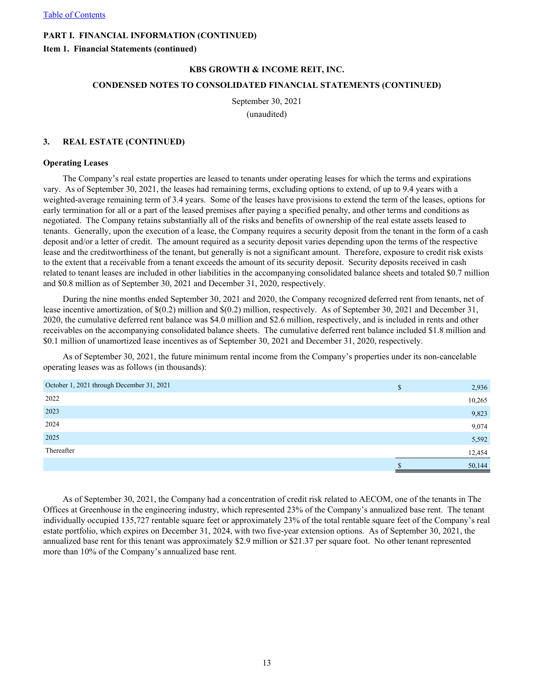**Item 1. Financial Statements (continued)**

#### **KBS GROWTH & INCOME REIT, INC.**

# **CONDENSED NOTES TO CONSOLIDATED FINANCIAL STATEMENTS (CONTINUED)**

September 30, 2021 (unaudited)

#### **3. REAL ESTATE (CONTINUED)**

#### **Operating Leases**

The Company's real estate properties are leased to tenants under operating leases for which the terms and expirations vary. As of September 30, 2021, the leases had remaining terms, excluding options to extend, of up to 9.4 years with a weighted-average remaining term of 3.4 years. Some of the leases have provisions to extend the term of the leases, options for early termination for all or a part of the leased premises after paying a specified penalty, and other terms and conditions as negotiated. The Company retains substantially all of the risks and benefits of ownership of the real estate assets leased to tenants. Generally, upon the execution of a lease, the Company requires a security deposit from the tenant in the form of a cash deposit and/or a letter of credit. The amount required as a security deposit varies depending upon the terms of the respective lease and the creditworthiness of the tenant, but generally is not a significant amount. Therefore, exposure to credit risk exists to the extent that a receivable from a tenant exceeds the amount of its security deposit. Security deposits received in cash related to tenant leases are included in other liabilities in the accompanying consolidated balance sheets and totaled \$0.7 million and \$0.8 million as of September 30, 2021 and December 31, 2020, respectively.

During the nine months ended September 30, 2021 and 2020, the Company recognized deferred rent from tenants, net of lease incentive amortization, of \$(0.2) million and \$(0.2) million, respectively. As of September 30, 2021 and December 31, 2020, the cumulative deferred rent balance was \$4.0 million and \$2.6 million, respectively, and is included in rents and other receivables on the accompanying consolidated balance sheets. The cumulative deferred rent balance included \$1.8 million and \$0.1 million of unamortized lease incentives as of September 30, 2021 and December 31, 2020, respectively.

As of September 30, 2021, the future minimum rental income from the Company's properties under its non-cancelable operating leases was as follows (in thousands):

| October 1, 2021 through December 31, 2021 | ¢<br>Φ | 2,936  |
|-------------------------------------------|--------|--------|
| 2022                                      |        | 10,265 |
| 2023                                      |        | 9,823  |
| 2024                                      |        | 9,074  |
| 2025                                      |        | 5,592  |
| Thereafter                                |        | 12,454 |
|                                           |        | 50,144 |

As of September 30, 2021, the Company had a concentration of credit risk related to AECOM, one of the tenants in The Offices at Greenhouse in the engineering industry, which represented 23% of the Company's annualized base rent. The tenant individually occupied 135,727 rentable square feet or approximately 23% of the total rentable square feet of the Company's real estate portfolio, which expires on December 31, 2024, with two five-year extension options. As of September 30, 2021, the annualized base rent for this tenant was approximately \$2.9 million or \$21.37 per square foot. No other tenant represented more than 10% of the Company's annualized base rent.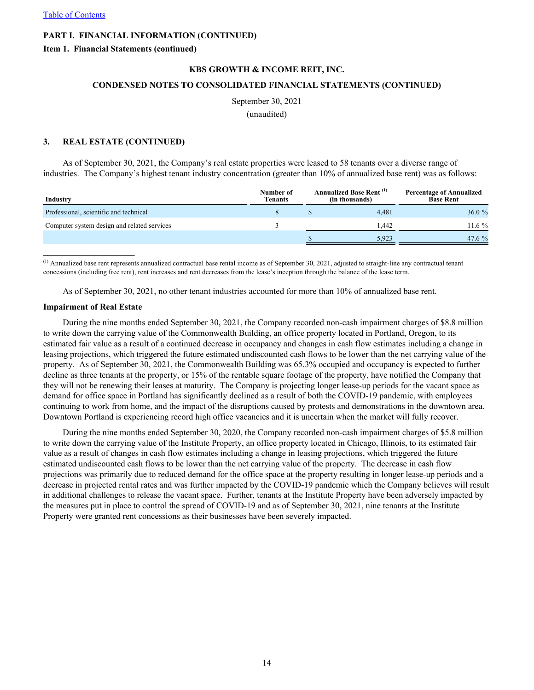#### **Item 1. Financial Statements (continued)**

#### **KBS GROWTH & INCOME REIT, INC.**

# **CONDENSED NOTES TO CONSOLIDATED FINANCIAL STATEMENTS (CONTINUED)**

# September 30, 2021

(unaudited)

#### **3. REAL ESTATE (CONTINUED)**

As of September 30, 2021, the Company's real estate properties were leased to 58 tenants over a diverse range of industries. The Company's highest tenant industry concentration (greater than 10% of annualized base rent) was as follows:

| Industry                                    | Number of<br><b>Tenants</b> | <b>Annualized Base Rent</b> <sup>(1)</sup><br>(in thousands) | <b>Percentage of Annualized</b><br><b>Base Rent</b> |
|---------------------------------------------|-----------------------------|--------------------------------------------------------------|-----------------------------------------------------|
| Professional, scientific and technical      |                             | 4.481                                                        | 36.0%                                               |
| Computer system design and related services |                             | .442                                                         | $1.6\%$                                             |
|                                             |                             | 5.923                                                        | 47.6%                                               |

(1) Annualized base rent represents annualized contractual base rental income as of September 30, 2021, adjusted to straight-line any contractual tenant concessions (including free rent), rent increases and rent decreases from the lease's inception through the balance of the lease term.

As of September 30, 2021, no other tenant industries accounted for more than 10% of annualized base rent.

#### **Impairment of Real Estate**

During the nine months ended September 30, 2021, the Company recorded non-cash impairment charges of \$8.8 million to write down the carrying value of the Commonwealth Building, an office property located in Portland, Oregon, to its estimated fair value as a result of a continued decrease in occupancy and changes in cash flow estimates including a change in leasing projections, which triggered the future estimated undiscounted cash flows to be lower than the net carrying value of the property. As of September 30, 2021, the Commonwealth Building was 65.3% occupied and occupancy is expected to further decline as three tenants at the property, or 15% of the rentable square footage of the property, have notified the Company that they will not be renewing their leases at maturity. The Company is projecting longer lease-up periods for the vacant space as demand for office space in Portland has significantly declined as a result of both the COVID-19 pandemic, with employees continuing to work from home, and the impact of the disruptions caused by protests and demonstrations in the downtown area. Downtown Portland is experiencing record high office vacancies and it is uncertain when the market will fully recover.

During the nine months ended September 30, 2020, the Company recorded non-cash impairment charges of \$5.8 million to write down the carrying value of the Institute Property, an office property located in Chicago, Illinois, to its estimated fair value as a result of changes in cash flow estimates including a change in leasing projections, which triggered the future estimated undiscounted cash flows to be lower than the net carrying value of the property. The decrease in cash flow projections was primarily due to reduced demand for the office space at the property resulting in longer lease-up periods and a decrease in projected rental rates and was further impacted by the COVID-19 pandemic which the Company believes will result in additional challenges to release the vacant space. Further, tenants at the Institute Property have been adversely impacted by the measures put in place to control the spread of COVID-19 and as of September 30, 2021, nine tenants at the Institute Property were granted rent concessions as their businesses have been severely impacted.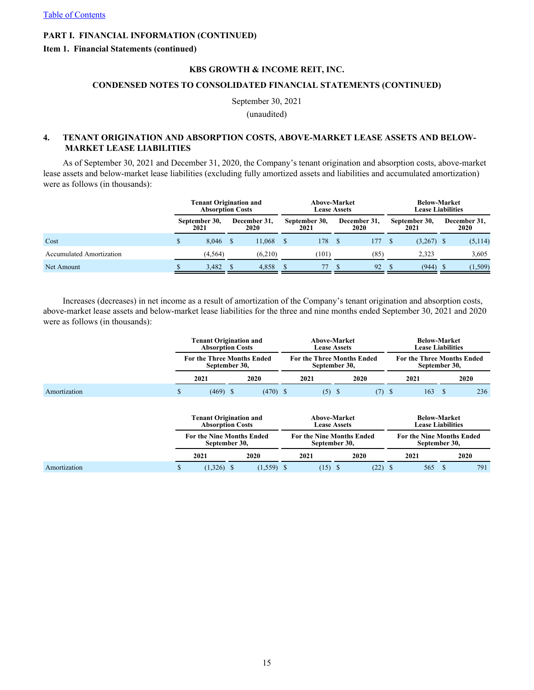#### **Item 1. Financial Statements (continued)**

#### **KBS GROWTH & INCOME REIT, INC.**

# **CONDENSED NOTES TO CONSOLIDATED FINANCIAL STATEMENTS (CONTINUED)**

September 30, 2021

(unaudited)

# **4. TENANT ORIGINATION AND ABSORPTION COSTS, ABOVE-MARKET LEASE ASSETS AND BELOW- MARKET LEASE LIABILITIES**

As of September 30, 2021 and December 31, 2020, the Company's tenant origination and absorption costs, above-market lease assets and below-market lease liabilities (excluding fully amortized assets and liabilities and accumulated amortization) were as follows (in thousands):

|                                 | <b>Tenant Origination and</b><br><b>Absorption Costs</b> |         |                      |         | <b>Above-Market</b><br><b>Lease Assets</b> |       |                             |      |                       | <b>Below-Market</b><br><b>Lease Liabilities</b> |                      |         |  |
|---------------------------------|----------------------------------------------------------|---------|----------------------|---------|--------------------------------------------|-------|-----------------------------|------|-----------------------|-------------------------------------------------|----------------------|---------|--|
|                                 | September 30,<br>2021                                    |         | December 31.<br>2020 |         | September 30,<br>2021                      |       | December 31,<br><b>2020</b> |      | September 30,<br>2021 |                                                 | December 31,<br>2020 |         |  |
| Cost                            |                                                          | 8.046   |                      | 11.068  |                                            | 178   |                             | 177  |                       | $(3,267)$ \$                                    |                      | (5,114) |  |
| <b>Accumulated Amortization</b> |                                                          | (4.564) |                      | (6.210) |                                            | (101) |                             | (85) |                       | 2.323                                           |                      | 3,605   |  |
| Net Amount                      |                                                          | 3.482   |                      | 4,858   |                                            |       |                             | 92   |                       | (944)                                           |                      | (1,509) |  |

Increases (decreases) in net income as a result of amortization of the Company's tenant origination and absorption costs, above-market lease assets and below-market lease liabilities for the three and nine months ended September 30, 2021 and 2020 were as follows (in thousands):

|              | <b>Tenant Origination and</b><br><b>Absorption Costs</b> |            |  | Above-Market                                      | <b>Lease Assets</b>                                |                                                   | <b>Below-Market</b><br><b>Lease Liabilities</b>    |     |          |      |  |
|--------------|----------------------------------------------------------|------------|--|---------------------------------------------------|----------------------------------------------------|---------------------------------------------------|----------------------------------------------------|-----|----------|------|--|
|              | <b>For the Three Months Ended</b><br>September 30,       |            |  |                                                   | <b>For the Three Months Ended</b><br>September 30, |                                                   | <b>For the Three Months Ended</b><br>September 30, |     |          |      |  |
|              | 2021                                                     | 2020       |  | 2021                                              | 2020                                               |                                                   | 2021                                               |     |          | 2020 |  |
| Amortization | \$<br>$(469)$ \$                                         | $(470)$ \$ |  | $(5)$ \$                                          |                                                    | $(7)$ \$                                          |                                                    | 163 | <b>S</b> | 236  |  |
|              | <b>Tenant Origination and</b><br><b>Absorption Costs</b> |            |  | Above-Market                                      | <b>Lease Assets</b>                                |                                                   | <b>Below-Market</b><br><b>Lease Liabilities</b>    |     |          |      |  |
|              | <b>For the Nine Months Ended</b><br>September 30.        |            |  | <b>For the Nine Months Ended</b><br>September 30. |                                                    | <b>For the Nine Months Ended</b><br>September 30, |                                                    |     |          |      |  |

Amortization \$ (1,326) \$ (1,559) \$ (15) \$ (22) \$ 565 \$ 791

**2021 2020 2021 2020 2021 2020**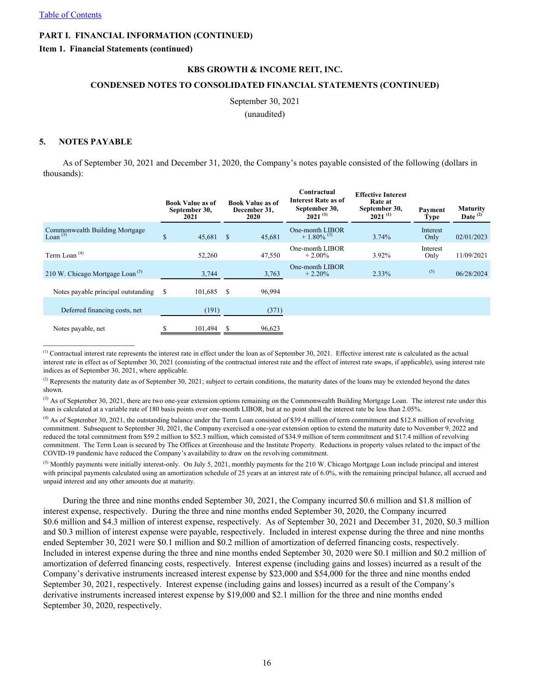#### **Item 1. Financial Statements (continued)**

#### **KBS GROWTH & INCOME REIT, INC.**

# **CONDENSED NOTES TO CONSOLIDATED FINANCIAL STATEMENTS (CONTINUED)**

September 30, 2021 (unaudited)

# **5. NOTES PAYABLE**

As of September 30, 2021 and December 31, 2020, the Company's notes payable consisted of the following (dollars in thousands):

|                                              | <b>Book Value as of</b><br>September 30,<br>2021 |      | <b>Book Value as of</b><br>December 31,<br>2020 | Contractual<br><b>Interest Rate as of</b><br>September 30,<br>$2021^{(1)}$ | <b>Effective Interest</b><br>Rate at<br>September 30,<br>$2021^{(1)}$ | Payment<br><b>Type</b> | <b>Maturity</b><br>Date $(2)$ |
|----------------------------------------------|--------------------------------------------------|------|-------------------------------------------------|----------------------------------------------------------------------------|-----------------------------------------------------------------------|------------------------|-------------------------------|
| Commonwealth Building Mortgage<br>Loan $(3)$ | \$<br>45,681                                     | - \$ | 45,681                                          | One-month LIBOR<br>$+1.80\%$ <sup>(3)</sup>                                | 3.74%                                                                 | Interest<br>Only       | 02/01/2023                    |
| Term Loan $(4)$                              | 52,260                                           |      | 47,550                                          | One-month LIBOR<br>$+2.00\%$                                               | 3.92%                                                                 | Interest<br>Only       | 11/09/2021                    |
| 210 W. Chicago Mortgage Loan <sup>(5)</sup>  | 3,744                                            |      | 3,763                                           | One-month LIBOR<br>$+2.20%$                                                | 2.33%                                                                 | (5)                    | 06/28/2024                    |
| Notes payable principal outstanding          | \$<br>101,685                                    | - \$ | 96,994                                          |                                                                            |                                                                       |                        |                               |
| Deferred financing costs, net                | (191)                                            |      | (371)                                           |                                                                            |                                                                       |                        |                               |
| Notes payable, net                           | 101,494                                          |      | 96,623                                          |                                                                            |                                                                       |                        |                               |

<sup>(1)</sup> Contractual interest rate represents the interest rate in effect under the loan as of September 30, 2021. Effective interest rate is calculated as the actual interest rate in effect as of September 30, 2021 (consisting of the contractual interest rate and the effect of interest rate swaps, if applicable), using interest rate indices as of September 30, 2021, where applicable.

<sup>(2)</sup> Represents the maturity date as of September 30, 2021; subject to certain conditions, the maturity dates of the loans may be extended beyond the dates shown.

<sup>(3)</sup> As of September 30, 2021, there are two one-year extension options remaining on the Commonwealth Building Mortgage Loan. The interest rate under this loan is calculated at a variable rate of 180 basis points over one-month LIBOR, but at no point shall the interest rate be less than 2.05%.

 $^{(4)}$  As of September 30, 2021, the outstanding balance under the Term Loan consisted of \$39.4 million of term commitment and \$12.8 million of revolving commitment. Subsequent to September 30, 2021, the Company exercised a one-year extension option to extend the maturity date to November 9, 2022 and reduced the total commitment from \$59.2 million to \$52.3 million, which consisted of \$34.9 million of term commitment and \$17.4 million of revolving commitment. The Term Loan is secured by The Offices at Greenhouse and the Institute Property. Reductions in property values related to the impact of the COVID-19 pandemic have reduced the Company's availability to draw on the revolving commitment.

 $<sup>(5)</sup>$  Monthly payments were initially interest-only. On July 5, 2021, monthly payments for the 210 W. Chicago Mortgage Loan include principal and interest</sup> with principal payments calculated using an amortization schedule of 25 years at an interest rate of 6.0%, with the remaining principal balance, all accrued and unpaid interest and any other amounts due at maturity.

During the three and nine months ended September 30, 2021, the Company incurred \$0.6 million and \$1.8 million of interest expense, respectively. During the three and nine months ended September 30, 2020, the Company incurred \$0.6 million and \$4.3 million of interest expense, respectively. As of September 30, 2021 and December 31, 2020, \$0.3 million and \$0.3 million of interest expense were payable, respectively. Included in interest expense during the three and nine months ended September 30, 2021 were \$0.1 million and \$0.2 million of amortization of deferred financing costs, respectively. Included in interest expense during the three and nine months ended September 30, 2020 were \$0.1 million and \$0.2 million of amortization of deferred financing costs, respectively. Interest expense (including gains and losses) incurred as a result of the Company's derivative instruments increased interest expense by \$23,000 and \$54,000 for the three and nine months ended September 30, 2021, respectively. Interest expense (including gains and losses) incurred as a result of the Company's derivative instruments increased interest expense by \$19,000 and \$2.1 million for the three and nine months ended September 30, 2020, respectively.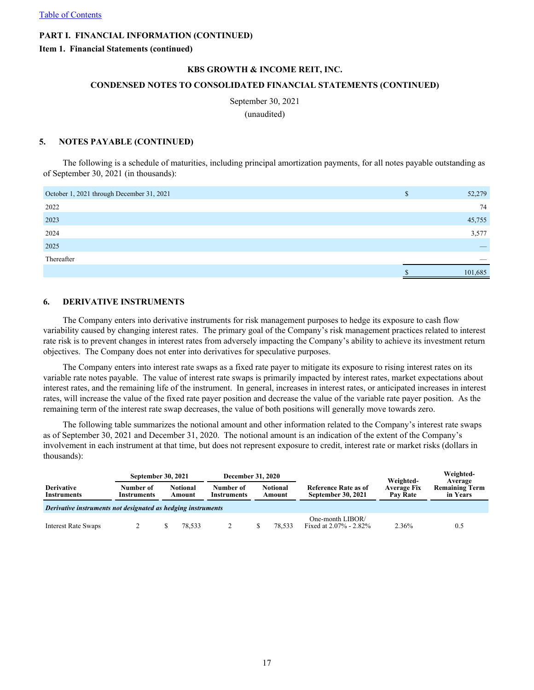## **Item 1. Financial Statements (continued)**

## **KBS GROWTH & INCOME REIT, INC.**

# **CONDENSED NOTES TO CONSOLIDATED FINANCIAL STATEMENTS (CONTINUED)**

September 30, 2021

(unaudited)

## **5. NOTES PAYABLE (CONTINUED)**

The following is a schedule of maturities, including principal amortization payments, for all notes payable outstanding as of September 30, 2021 (in thousands):

| October 1, 2021 through December 31, 2021 | S | 52,279  |
|-------------------------------------------|---|---------|
| 2022                                      |   | 74      |
| 2023                                      |   | 45,755  |
| 2024                                      |   | 3,577   |
| 2025                                      |   | _       |
| Thereafter                                |   |         |
|                                           |   | 101,685 |

## **6. DERIVATIVE INSTRUMENTS**

The Company enters into derivative instruments for risk management purposes to hedge its exposure to cash flow variability caused by changing interest rates. The primary goal of the Company's risk management practices related to interest rate risk is to prevent changes in interest rates from adversely impacting the Company's ability to achieve its investment return objectives. The Company does not enter into derivatives for speculative purposes.

The Company enters into interest rate swaps as a fixed rate payer to mitigate its exposure to rising interest rates on its variable rate notes payable. The value of interest rate swaps is primarily impacted by interest rates, market expectations about interest rates, and the remaining life of the instrument. In general, increases in interest rates, or anticipated increases in interest rates, will increase the value of the fixed rate payer position and decrease the value of the variable rate payer position. As the remaining term of the interest rate swap decreases, the value of both positions will generally move towards zero.

The following table summarizes the notional amount and other information related to the Company's interest rate swaps as of September 30, 2021 and December 31, 2020. The notional amount is an indication of the extent of the Company's involvement in each instrument at that time, but does not represent exposure to credit, interest rate or market risks (dollars in thousands):

|                                                              | <b>September 30, 2021</b> |                           |        | <b>December 31, 2020</b> |                           |        |                                                   | Weighted-               | Weighted-<br>Average              |
|--------------------------------------------------------------|---------------------------|---------------------------|--------|--------------------------|---------------------------|--------|---------------------------------------------------|-------------------------|-----------------------------------|
| <b>Derivative</b><br><b>Instruments</b>                      | Number of<br>Instruments  | <b>Notional</b><br>Amount |        | Number of<br>Instruments | <b>Notional</b><br>Amount |        | Reference Rate as of<br><b>September 30, 2021</b> | Average Fix<br>Pav Rate | <b>Remaining Term</b><br>in Years |
| Derivative instruments not designated as hedging instruments |                           |                           |        |                          |                           |        |                                                   |                         |                                   |
| <b>Interest Rate Swaps</b>                                   |                           |                           | 78,533 |                          |                           | 78,533 | One-month LIBOR/<br>Fixed at $2.07\%$ - $2.82\%$  | 2.36%                   | 0.5                               |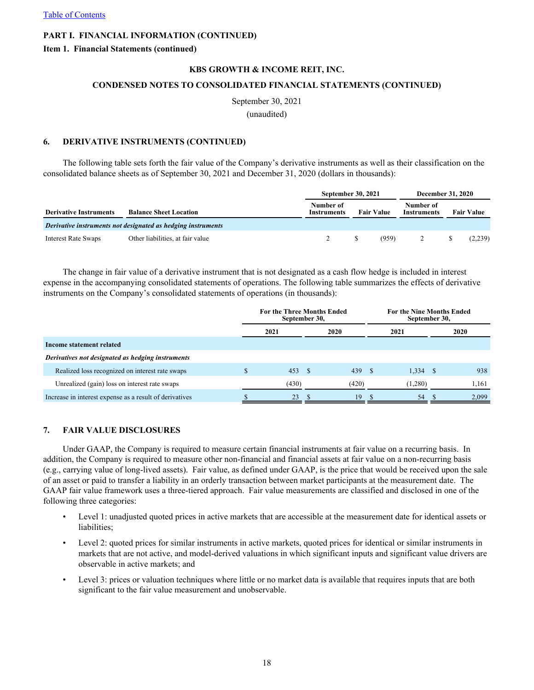#### **Item 1. Financial Statements (continued)**

## **KBS GROWTH & INCOME REIT, INC.**

# **CONDENSED NOTES TO CONSOLIDATED FINANCIAL STATEMENTS (CONTINUED)**

September 30, 2021

(unaudited)

## **6. DERIVATIVE INSTRUMENTS (CONTINUED)**

The following table sets forth the fair value of the Company's derivative instruments as well as their classification on the consolidated balance sheets as of September 30, 2021 and December 31, 2020 (dollars in thousands):

|                               |                                                              | <b>September 30, 2021</b> |                   |       | <b>December 31, 2020</b> |  |                   |  |
|-------------------------------|--------------------------------------------------------------|---------------------------|-------------------|-------|--------------------------|--|-------------------|--|
| <b>Derivative Instruments</b> | <b>Balance Sheet Location</b>                                | Number of<br>Instruments  | <b>Fair Value</b> |       | Number of<br>Instruments |  | <b>Fair Value</b> |  |
|                               | Derivative instruments not designated as hedging instruments |                           |                   |       |                          |  |                   |  |
| Interest Rate Swaps           | Other liabilities, at fair value                             |                           |                   | (959) |                          |  | (2,239)           |  |

The change in fair value of a derivative instrument that is not designated as a cash flow hedge is included in interest expense in the accompanying consolidated statements of operations. The following table summarizes the effects of derivative instruments on the Company's consolidated statements of operations (in thousands):

|                                                         | <b>For the Three Months Ended</b><br>September 30, |           |              | <b>For the Nine Months Ended</b><br>September 30, |
|---------------------------------------------------------|----------------------------------------------------|-----------|--------------|---------------------------------------------------|
|                                                         | 2021                                               | 2020      | 2021         | <b>2020</b>                                       |
| Income statement related                                |                                                    |           |              |                                                   |
| Derivatives not designated as hedging instruments       |                                                    |           |              |                                                   |
| Realized loss recognized on interest rate swaps         | 453                                                | 439<br>-8 | 1,334<br>- 8 | 938<br>-S                                         |
| Unrealized (gain) loss on interest rate swaps           | (430)                                              | (420)     | (1,280)      | 1,161                                             |
| Increase in interest expense as a result of derivatives | 23                                                 | 19        | 54           | 2,099                                             |

# **7. FAIR VALUE DISCLOSURES**

Under GAAP, the Company is required to measure certain financial instruments at fair value on a recurring basis. In addition, the Company is required to measure other non-financial and financial assets at fair value on a non-recurring basis (e.g., carrying value of long-lived assets). Fair value, as defined under GAAP, is the price that would be received upon the sale of an asset or paid to transfer a liability in an orderly transaction between market participants at the measurement date. The GAAP fair value framework uses a three-tiered approach. Fair value measurements are classified and disclosed in one of the following three categories:

- Level 1: unadjusted quoted prices in active markets that are accessible at the measurement date for identical assets or liabilities;
- Level 2: quoted prices for similar instruments in active markets, quoted prices for identical or similar instruments in markets that are not active, and model-derived valuations in which significant inputs and significant value drivers are observable in active markets; and
- Level 3: prices or valuation techniques where little or no market data is available that requires inputs that are both significant to the fair value measurement and unobservable.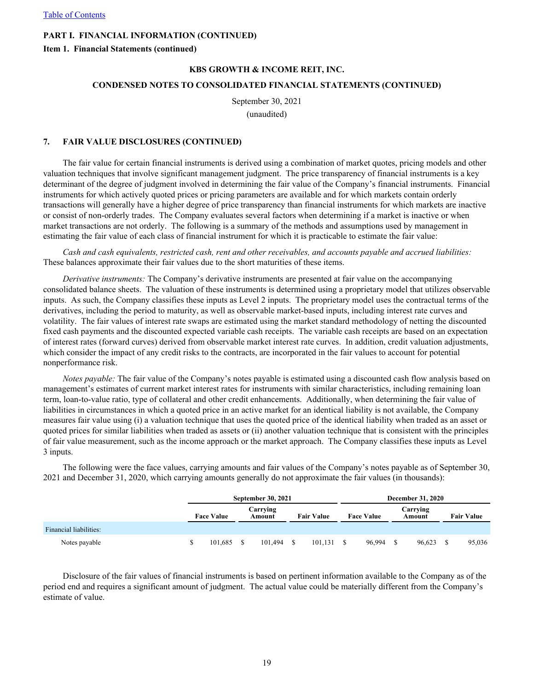**Item 1. Financial Statements (continued)**

## **KBS GROWTH & INCOME REIT, INC.**

# **CONDENSED NOTES TO CONSOLIDATED FINANCIAL STATEMENTS (CONTINUED)**

September 30, 2021 (unaudited)

#### **7. FAIR VALUE DISCLOSURES (CONTINUED)**

The fair value for certain financial instruments is derived using a combination of market quotes, pricing models and other valuation techniques that involve significant management judgment. The price transparency of financial instruments is a key determinant of the degree of judgment involved in determining the fair value of the Company's financial instruments. Financial instruments for which actively quoted prices or pricing parameters are available and for which markets contain orderly transactions will generally have a higher degree of price transparency than financial instruments for which markets are inactive or consist of non-orderly trades. The Company evaluates several factors when determining if a market is inactive or when market transactions are not orderly. The following is a summary of the methods and assumptions used by management in estimating the fair value of each class of financial instrument for which it is practicable to estimate the fair value:

*Cash and cash equivalents, restricted cash, rent and other receivables, and accounts payable and accrued liabilities:* These balances approximate their fair values due to the short maturities of these items.

*Derivative instruments:* The Company's derivative instruments are presented at fair value on the accompanying consolidated balance sheets. The valuation of these instruments is determined using a proprietary model that utilizes observable inputs. As such, the Company classifies these inputs as Level 2 inputs. The proprietary model uses the contractual terms of the derivatives, including the period to maturity, as well as observable market-based inputs, including interest rate curves and volatility. The fair values of interest rate swaps are estimated using the market standard methodology of netting the discounted fixed cash payments and the discounted expected variable cash receipts. The variable cash receipts are based on an expectation of interest rates (forward curves) derived from observable market interest rate curves. In addition, credit valuation adjustments, which consider the impact of any credit risks to the contracts, are incorporated in the fair values to account for potential nonperformance risk.

*Notes payable:* The fair value of the Company's notes payable is estimated using a discounted cash flow analysis based on management's estimates of current market interest rates for instruments with similar characteristics, including remaining loan term, loan-to-value ratio, type of collateral and other credit enhancements. Additionally, when determining the fair value of liabilities in circumstances in which a quoted price in an active market for an identical liability is not available, the Company measures fair value using (i) a valuation technique that uses the quoted price of the identical liability when traded as an asset or quoted prices for similar liabilities when traded as assets or (ii) another valuation technique that is consistent with the principles of fair value measurement, such as the income approach or the market approach. The Company classifies these inputs as Level 3 inputs.

The following were the face values, carrying amounts and fair values of the Company's notes payable as of September 30, 2021 and December 31, 2020, which carrying amounts generally do not approximate the fair values (in thousands):

|                        | <b>September 30, 2021</b> |                   |  |                    |  | <b>December 31, 2020</b> |  |                   |                    |        |                   |        |
|------------------------|---------------------------|-------------------|--|--------------------|--|--------------------------|--|-------------------|--------------------|--------|-------------------|--------|
|                        |                           | <b>Face Value</b> |  | Carrying<br>Amount |  | <b>Fair Value</b>        |  | <b>Face Value</b> | Carrying<br>Amount |        | <b>Fair Value</b> |        |
| Financial liabilities: |                           |                   |  |                    |  |                          |  |                   |                    |        |                   |        |
| Notes payable          |                           | 101.685           |  | 101.494            |  | 101.131                  |  | 96.994            |                    | 96.623 |                   | 95,036 |

Disclosure of the fair values of financial instruments is based on pertinent information available to the Company as of the period end and requires a significant amount of judgment. The actual value could be materially different from the Company's estimate of value.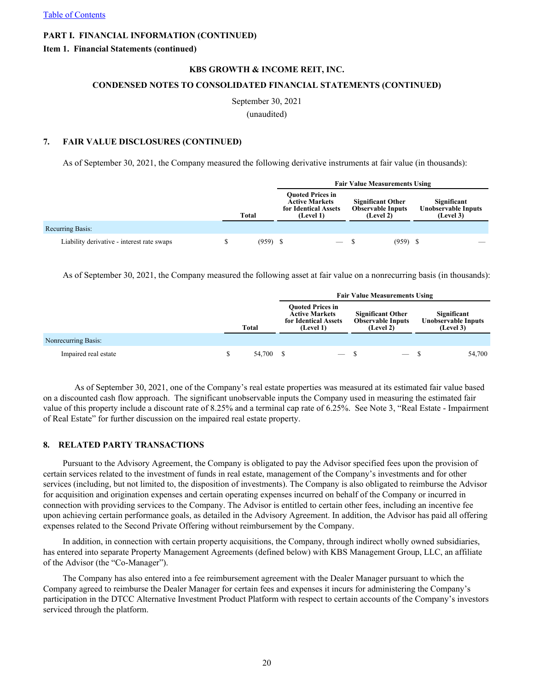#### **Item 1. Financial Statements (continued)**

#### **KBS GROWTH & INCOME REIT, INC.**

# **CONDENSED NOTES TO CONSOLIDATED FINANCIAL STATEMENTS (CONTINUED)**

September 30, 2021

(unaudited)

#### **7. FAIR VALUE DISCLOSURES (CONTINUED)**

As of September 30, 2021, the Company measured the following derivative instruments at fair value (in thousands):

|                                            |              | <b>Fair Value Measurements Using</b>                                                  |  |                                                                   |            |                                                        |  |  |  |  |  |  |
|--------------------------------------------|--------------|---------------------------------------------------------------------------------------|--|-------------------------------------------------------------------|------------|--------------------------------------------------------|--|--|--|--|--|--|
|                                            | <b>Total</b> | <b>Ouoted Prices in</b><br><b>Active Markets</b><br>for Identical Assets<br>(Level 1) |  | <b>Significant Other</b><br><b>Observable Inputs</b><br>(Level 2) |            | Significant<br><b>Unobservable Inputs</b><br>(Level 3) |  |  |  |  |  |  |
| Recurring Basis:                           |              |                                                                                       |  |                                                                   |            |                                                        |  |  |  |  |  |  |
| Liability derivative - interest rate swaps | $(959)$ \$   |                                                                                       |  |                                                                   | $(959)$ \$ |                                                        |  |  |  |  |  |  |

As of September 30, 2021, the Company measured the following asset at fair value on a nonrecurring basis (in thousands):

|                      |        | <b>Fair Value Measurements Using</b>                                                  |                |                                                                   |  |  |                                                 |  |  |  |  |
|----------------------|--------|---------------------------------------------------------------------------------------|----------------|-------------------------------------------------------------------|--|--|-------------------------------------------------|--|--|--|--|
|                      | Total  | <b>Ouoted Prices in</b><br><b>Active Markets</b><br>for Identical Assets<br>(Level 1) |                | <b>Significant Other</b><br><b>Observable Inputs</b><br>(Level 2) |  |  | Significant<br>Unobservable Inputs<br>(Level 3) |  |  |  |  |
| Nonrecurring Basis:  |        |                                                                                       |                |                                                                   |  |  |                                                 |  |  |  |  |
| Impaired real estate | 54,700 |                                                                                       | $ \rightarrow$ |                                                                   |  |  | 54,700                                          |  |  |  |  |

As of September 30, 2021, one of the Company's real estate properties was measured at its estimated fair value based on a discounted cash flow approach. The significant unobservable inputs the Company used in measuring the estimated fair value of this property include a discount rate of 8.25% and a terminal cap rate of 6.25%. See Note 3, "Real Estate - Impairment of Real Estate" for further discussion on the impaired real estate property.

# **8. RELATED PARTY TRANSACTIONS**

Pursuant to the Advisory Agreement, the Company is obligated to pay the Advisor specified fees upon the provision of certain services related to the investment of funds in real estate, management of the Company's investments and for other services (including, but not limited to, the disposition of investments). The Company is also obligated to reimburse the Advisor for acquisition and origination expenses and certain operating expenses incurred on behalf of the Company or incurred in connection with providing services to the Company. The Advisor is entitled to certain other fees, including an incentive fee upon achieving certain performance goals, as detailed in the Advisory Agreement. In addition, the Advisor has paid all offering expenses related to the Second Private Offering without reimbursement by the Company.

In addition, in connection with certain property acquisitions, the Company, through indirect wholly owned subsidiaries, has entered into separate Property Management Agreements (defined below) with KBS Management Group, LLC, an affiliate of the Advisor (the "Co-Manager").

The Company has also entered into a fee reimbursement agreement with the Dealer Manager pursuant to which the Company agreed to reimburse the Dealer Manager for certain fees and expenses it incurs for administering the Company's participation in the DTCC Alternative Investment Product Platform with respect to certain accounts of the Company's investors serviced through the platform.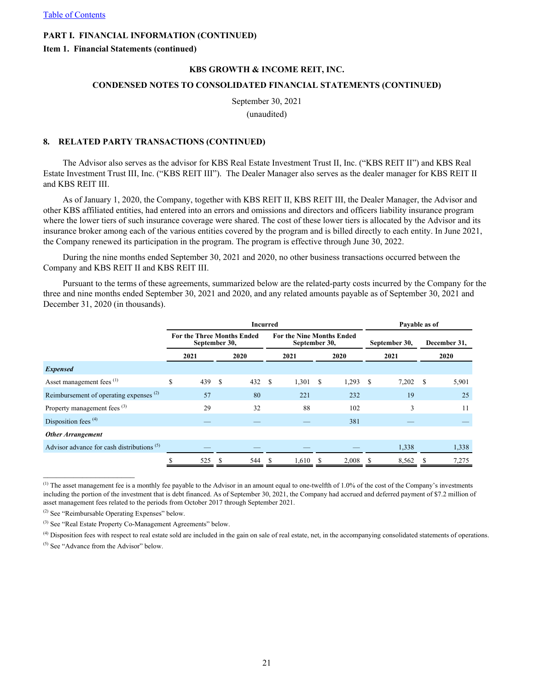**Item 1. Financial Statements (continued)**

#### **KBS GROWTH & INCOME REIT, INC.**

# **CONDENSED NOTES TO CONSOLIDATED FINANCIAL STATEMENTS (CONTINUED)**

September 30, 2021

(unaudited)

## **8. RELATED PARTY TRANSACTIONS (CONTINUED)**

The Advisor also serves as the advisor for KBS Real Estate Investment Trust II, Inc. ("KBS REIT II") and KBS Real Estate Investment Trust III, Inc. ("KBS REIT III"). The Dealer Manager also serves as the dealer manager for KBS REIT II and KBS REIT III.

As of January 1, 2020, the Company, together with KBS REIT II, KBS REIT III, the Dealer Manager, the Advisor and other KBS affiliated entities, had entered into an errors and omissions and directors and officers liability insurance program where the lower tiers of such insurance coverage were shared. The cost of these lower tiers is allocated by the Advisor and its insurance broker among each of the various entities covered by the program and is billed directly to each entity. In June 2021, the Company renewed its participation in the program. The program is effective through June 30, 2022.

During the nine months ended September 30, 2021 and 2020, no other business transactions occurred between the Company and KBS REIT II and KBS REIT III.

Pursuant to the terms of these agreements, summarized below are the related-party costs incurred by the Company for the three and nine months ended September 30, 2021 and 2020, and any related amounts payable as of September 30, 2021 and December 31, 2020 (in thousands).

|                                                       | Incurred                                           |     |     |      |                                                   |       |    |       | Payable as of |               |   |              |  |
|-------------------------------------------------------|----------------------------------------------------|-----|-----|------|---------------------------------------------------|-------|----|-------|---------------|---------------|---|--------------|--|
|                                                       | <b>For the Three Months Ended</b><br>September 30, |     |     |      | <b>For the Nine Months Ended</b><br>September 30, |       |    |       |               | September 30, |   | December 31, |  |
|                                                       | 2021                                               |     |     | 2020 |                                                   | 2021  |    | 2020  |               | 2021          |   | 2020         |  |
| <b>Expensed</b>                                       |                                                    |     |     |      |                                                   |       |    |       |               |               |   |              |  |
| Asset management fees <sup>(1)</sup>                  | \$                                                 | 439 | - S | 432  | S                                                 | 1,301 | S. | 1,293 | - S           | 7,202         | S | 5,901        |  |
| Reimbursement of operating expenses <sup>(2)</sup>    |                                                    | 57  |     | 80   |                                                   | 221   |    | 232   |               | 19            |   | 25           |  |
| Property management fees <sup>(3)</sup>               |                                                    | 29  |     | 32   |                                                   | 88    |    | 102   |               | 3             |   | 11           |  |
| Disposition fees $(4)$                                |                                                    |     |     |      |                                                   |       |    | 381   |               |               |   |              |  |
| <b>Other Arrangement</b>                              |                                                    |     |     |      |                                                   |       |    |       |               |               |   |              |  |
| Advisor advance for cash distributions <sup>(5)</sup> |                                                    |     |     |      |                                                   |       |    |       |               | 1,338         |   | 1,338        |  |
|                                                       | S                                                  | 525 |     | 544  | S                                                 | 1,610 | S  | 2,008 | £.            | 8,562         |   | 7,275        |  |

 $<sup>(1)</sup>$  The asset management fee is a monthly fee payable to the Advisor in an amount equal to one-twelfth of 1.0% of the cost of the Company's investments</sup> including the portion of the investment that is debt financed. As of September 30, 2021, the Company had accrued and deferred payment of \$7.2 million of asset management fees related to the periods from October 2017 through September 2021.

<sup>(2)</sup> See "Reimbursable Operating Expenses" below.

<sup>(3)</sup> See "Real Estate Property Co-Management Agreements" below.

<sup>&</sup>lt;sup>(4)</sup> Disposition fees with respect to real estate sold are included in the gain on sale of real estate, net, in the accompanying consolidated statements of operations. (5) See "Advance from the Advisor" below.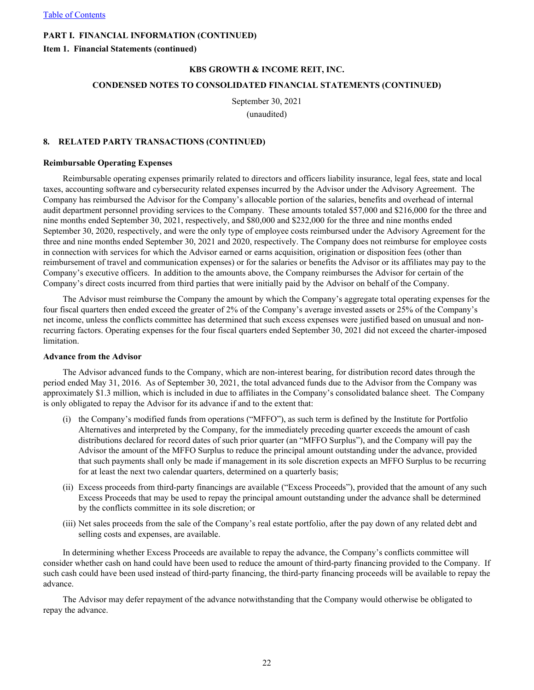**Item 1. Financial Statements (continued)**

#### **KBS GROWTH & INCOME REIT, INC.**

# **CONDENSED NOTES TO CONSOLIDATED FINANCIAL STATEMENTS (CONTINUED)**

September 30, 2021 (unaudited)

#### **8. RELATED PARTY TRANSACTIONS (CONTINUED)**

#### **Reimbursable Operating Expenses**

Reimbursable operating expenses primarily related to directors and officers liability insurance, legal fees, state and local taxes, accounting software and cybersecurity related expenses incurred by the Advisor under the Advisory Agreement. The Company has reimbursed the Advisor for the Company's allocable portion of the salaries, benefits and overhead of internal audit department personnel providing services to the Company. These amounts totaled \$57,000 and \$216,000 for the three and nine months ended September 30, 2021, respectively, and \$80,000 and \$232,000 for the three and nine months ended September 30, 2020, respectively, and were the only type of employee costs reimbursed under the Advisory Agreement for the three and nine months ended September 30, 2021 and 2020, respectively. The Company does not reimburse for employee costs in connection with services for which the Advisor earned or earns acquisition, origination or disposition fees (other than reimbursement of travel and communication expenses) or for the salaries or benefits the Advisor or its affiliates may pay to the Company's executive officers. In addition to the amounts above, the Company reimburses the Advisor for certain of the Company's direct costs incurred from third parties that were initially paid by the Advisor on behalf of the Company.

The Advisor must reimburse the Company the amount by which the Company's aggregate total operating expenses for the four fiscal quarters then ended exceed the greater of 2% of the Company's average invested assets or 25% of the Company's net income, unless the conflicts committee has determined that such excess expenses were justified based on unusual and nonrecurring factors. Operating expenses for the four fiscal quarters ended September 30, 2021 did not exceed the charter-imposed limitation.

#### **Advance from the Advisor**

The Advisor advanced funds to the Company, which are non-interest bearing, for distribution record dates through the period ended May 31, 2016. As of September 30, 2021, the total advanced funds due to the Advisor from the Company was approximately \$1.3 million, which is included in due to affiliates in the Company's consolidated balance sheet. The Company is only obligated to repay the Advisor for its advance if and to the extent that:

- (i) the Company's modified funds from operations ("MFFO"), as such term is defined by the Institute for Portfolio Alternatives and interpreted by the Company, for the immediately preceding quarter exceeds the amount of cash distributions declared for record dates of such prior quarter (an "MFFO Surplus"), and the Company will pay the Advisor the amount of the MFFO Surplus to reduce the principal amount outstanding under the advance, provided that such payments shall only be made if management in its sole discretion expects an MFFO Surplus to be recurring for at least the next two calendar quarters, determined on a quarterly basis;
- (ii) Excess proceeds from third-party financings are available ("Excess Proceeds"), provided that the amount of any such Excess Proceeds that may be used to repay the principal amount outstanding under the advance shall be determined by the conflicts committee in its sole discretion; or
- (iii) Net sales proceeds from the sale of the Company's real estate portfolio, after the pay down of any related debt and selling costs and expenses, are available.

In determining whether Excess Proceeds are available to repay the advance, the Company's conflicts committee will consider whether cash on hand could have been used to reduce the amount of third-party financing provided to the Company. If such cash could have been used instead of third-party financing, the third-party financing proceeds will be available to repay the advance.

The Advisor may defer repayment of the advance notwithstanding that the Company would otherwise be obligated to repay the advance.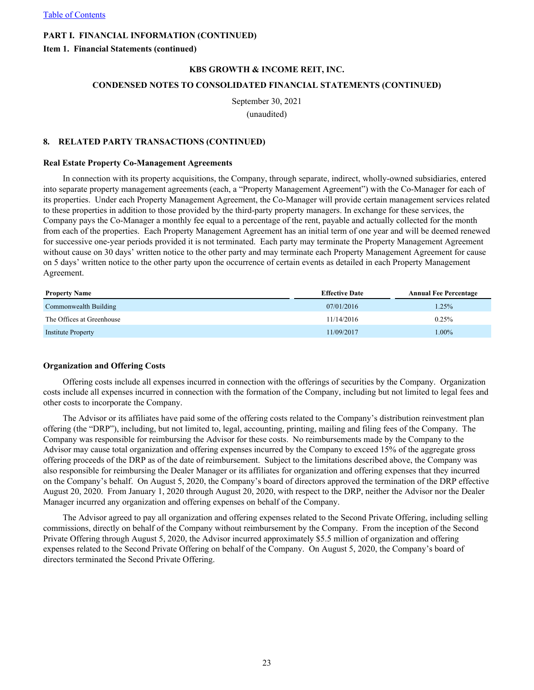**Item 1. Financial Statements (continued)**

## **KBS GROWTH & INCOME REIT, INC.**

# **CONDENSED NOTES TO CONSOLIDATED FINANCIAL STATEMENTS (CONTINUED)**

September 30, 2021

(unaudited)

## **8. RELATED PARTY TRANSACTIONS (CONTINUED)**

#### **Real Estate Property Co-Management Agreements**

In connection with its property acquisitions, the Company, through separate, indirect, wholly-owned subsidiaries, entered into separate property management agreements (each, a "Property Management Agreement") with the Co-Manager for each of its properties. Under each Property Management Agreement, the Co-Manager will provide certain management services related to these properties in addition to those provided by the third-party property managers. In exchange for these services, the Company pays the Co-Manager a monthly fee equal to a percentage of the rent, payable and actually collected for the month from each of the properties. Each Property Management Agreement has an initial term of one year and will be deemed renewed for successive one-year periods provided it is not terminated. Each party may terminate the Property Management Agreement without cause on 30 days' written notice to the other party and may terminate each Property Management Agreement for cause on 5 days' written notice to the other party upon the occurrence of certain events as detailed in each Property Management Agreement.

| <b>Property Name</b>      | <b>Effective Date</b> | <b>Annual Fee Percentage</b> |
|---------------------------|-----------------------|------------------------------|
| Commonwealth Building     | 07/01/2016            | .25%                         |
| The Offices at Greenhouse | 11/14/2016            | 0.25%                        |
| Institute Property        | 11/09/2017            | $00\%$                       |

#### **Organization and Offering Costs**

Offering costs include all expenses incurred in connection with the offerings of securities by the Company. Organization costs include all expenses incurred in connection with the formation of the Company, including but not limited to legal fees and other costs to incorporate the Company.

The Advisor or its affiliates have paid some of the offering costs related to the Company's distribution reinvestment plan offering (the "DRP"), including, but not limited to, legal, accounting, printing, mailing and filing fees of the Company. The Company was responsible for reimbursing the Advisor for these costs. No reimbursements made by the Company to the Advisor may cause total organization and offering expenses incurred by the Company to exceed 15% of the aggregate gross offering proceeds of the DRP as of the date of reimbursement. Subject to the limitations described above, the Company was also responsible for reimbursing the Dealer Manager or its affiliates for organization and offering expenses that they incurred on the Company's behalf. On August 5, 2020, the Company's board of directors approved the termination of the DRP effective August 20, 2020. From January 1, 2020 through August 20, 2020, with respect to the DRP, neither the Advisor nor the Dealer Manager incurred any organization and offering expenses on behalf of the Company.

The Advisor agreed to pay all organization and offering expenses related to the Second Private Offering, including selling commissions, directly on behalf of the Company without reimbursement by the Company. From the inception of the Second Private Offering through August 5, 2020, the Advisor incurred approximately \$5.5 million of organization and offering expenses related to the Second Private Offering on behalf of the Company. On August 5, 2020, the Company's board of directors terminated the Second Private Offering.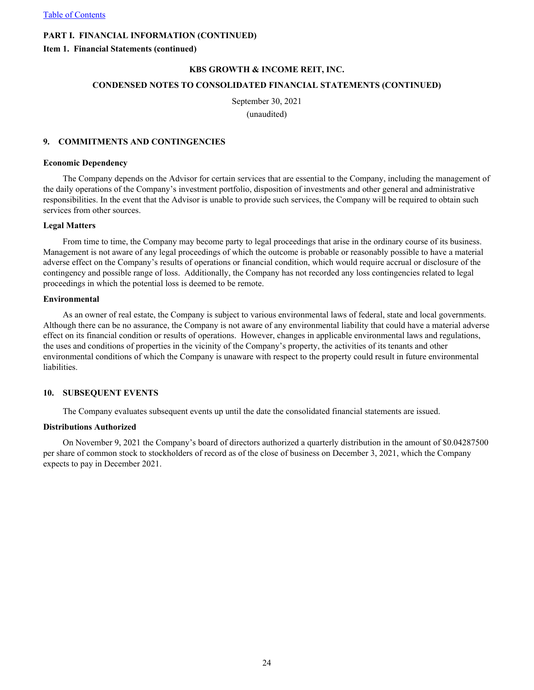**Item 1. Financial Statements (continued)**

## **KBS GROWTH & INCOME REIT, INC.**

# **CONDENSED NOTES TO CONSOLIDATED FINANCIAL STATEMENTS (CONTINUED)**

September 30, 2021 (unaudited)

#### **9. COMMITMENTS AND CONTINGENCIES**

#### **Economic Dependency**

The Company depends on the Advisor for certain services that are essential to the Company, including the management of the daily operations of the Company's investment portfolio, disposition of investments and other general and administrative responsibilities. In the event that the Advisor is unable to provide such services, the Company will be required to obtain such services from other sources.

#### **Legal Matters**

From time to time, the Company may become party to legal proceedings that arise in the ordinary course of its business. Management is not aware of any legal proceedings of which the outcome is probable or reasonably possible to have a material adverse effect on the Company's results of operations or financial condition, which would require accrual or disclosure of the contingency and possible range of loss. Additionally, the Company has not recorded any loss contingencies related to legal proceedings in which the potential loss is deemed to be remote.

#### **Environmental**

As an owner of real estate, the Company is subject to various environmental laws of federal, state and local governments. Although there can be no assurance, the Company is not aware of any environmental liability that could have a material adverse effect on its financial condition or results of operations. However, changes in applicable environmental laws and regulations, the uses and conditions of properties in the vicinity of the Company's property, the activities of its tenants and other environmental conditions of which the Company is unaware with respect to the property could result in future environmental liabilities.

#### **10. SUBSEQUENT EVENTS**

The Company evaluates subsequent events up until the date the consolidated financial statements are issued.

## **Distributions Authorized**

On November 9, 2021 the Company's board of directors authorized a quarterly distribution in the amount of \$0.04287500 per share of common stock to stockholders of record as of the close of business on December 3, 2021, which the Company expects to pay in December 2021.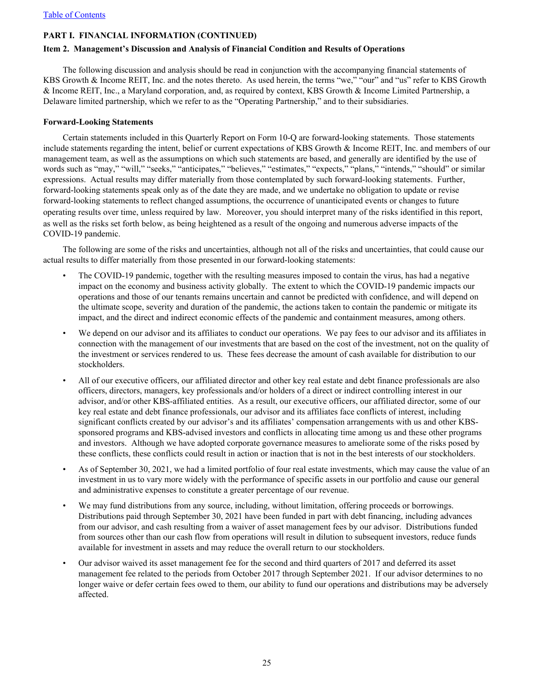# <span id="page-25-0"></span>**Item 2. Management's Discussion and Analysis of Financial Condition and Results of Operations**

The following discussion and analysis should be read in conjunction with the accompanying financial statements of KBS Growth & Income REIT, Inc. and the notes thereto. As used herein, the terms "we," "our" and "us" refer to KBS Growth & Income REIT, Inc., a Maryland corporation, and, as required by context, KBS Growth & Income Limited Partnership, a Delaware limited partnership, which we refer to as the "Operating Partnership," and to their subsidiaries.

## **Forward-Looking Statements**

Certain statements included in this Quarterly Report on Form 10-Q are forward-looking statements. Those statements include statements regarding the intent, belief or current expectations of KBS Growth & Income REIT, Inc. and members of our management team, as well as the assumptions on which such statements are based, and generally are identified by the use of words such as "may," "will," "seeks," "anticipates," "believes," "estimates," "expects," "plans," "intends," "should" or similar expressions. Actual results may differ materially from those contemplated by such forward-looking statements. Further, forward-looking statements speak only as of the date they are made, and we undertake no obligation to update or revise forward-looking statements to reflect changed assumptions, the occurrence of unanticipated events or changes to future operating results over time, unless required by law. Moreover, you should interpret many of the risks identified in this report, as well as the risks set forth below, as being heightened as a result of the ongoing and numerous adverse impacts of the COVID-19 pandemic.

The following are some of the risks and uncertainties, although not all of the risks and uncertainties, that could cause our actual results to differ materially from those presented in our forward-looking statements:

- The COVID-19 pandemic, together with the resulting measures imposed to contain the virus, has had a negative impact on the economy and business activity globally. The extent to which the COVID-19 pandemic impacts our operations and those of our tenants remains uncertain and cannot be predicted with confidence, and will depend on the ultimate scope, severity and duration of the pandemic, the actions taken to contain the pandemic or mitigate its impact, and the direct and indirect economic effects of the pandemic and containment measures, among others.
- We depend on our advisor and its affiliates to conduct our operations. We pay fees to our advisor and its affiliates in connection with the management of our investments that are based on the cost of the investment, not on the quality of the investment or services rendered to us. These fees decrease the amount of cash available for distribution to our stockholders.
- All of our executive officers, our affiliated director and other key real estate and debt finance professionals are also officers, directors, managers, key professionals and/or holders of a direct or indirect controlling interest in our advisor, and/or other KBS-affiliated entities. As a result, our executive officers, our affiliated director, some of our key real estate and debt finance professionals, our advisor and its affiliates face conflicts of interest, including significant conflicts created by our advisor's and its affiliates' compensation arrangements with us and other KBSsponsored programs and KBS-advised investors and conflicts in allocating time among us and these other programs and investors. Although we have adopted corporate governance measures to ameliorate some of the risks posed by these conflicts, these conflicts could result in action or inaction that is not in the best interests of our stockholders.
- As of September 30, 2021, we had a limited portfolio of four real estate investments, which may cause the value of an investment in us to vary more widely with the performance of specific assets in our portfolio and cause our general and administrative expenses to constitute a greater percentage of our revenue.
- We may fund distributions from any source, including, without limitation, offering proceeds or borrowings. Distributions paid through September 30, 2021 have been funded in part with debt financing, including advances from our advisor, and cash resulting from a waiver of asset management fees by our advisor. Distributions funded from sources other than our cash flow from operations will result in dilution to subsequent investors, reduce funds available for investment in assets and may reduce the overall return to our stockholders.
- Our advisor waived its asset management fee for the second and third quarters of 2017 and deferred its asset management fee related to the periods from October 2017 through September 2021. If our advisor determines to no longer waive or defer certain fees owed to them, our ability to fund our operations and distributions may be adversely affected.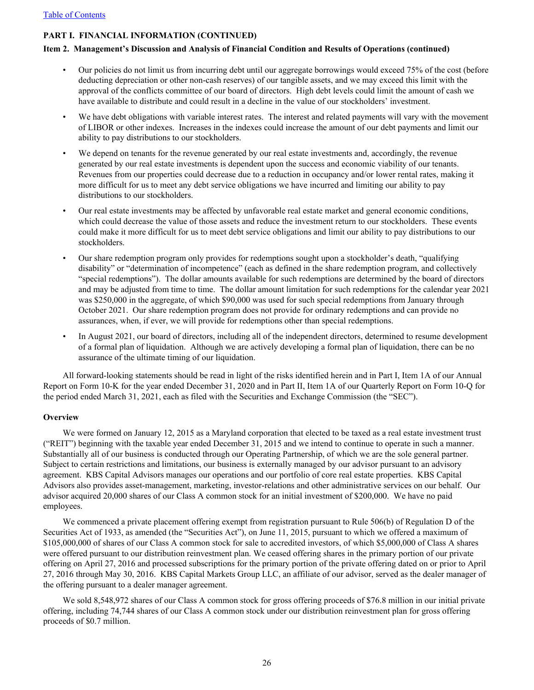# **Item 2. Management's Discussion and Analysis of Financial Condition and Results of Operations (continued)**

- Our policies do not limit us from incurring debt until our aggregate borrowings would exceed 75% of the cost (before deducting depreciation or other non-cash reserves) of our tangible assets, and we may exceed this limit with the approval of the conflicts committee of our board of directors. High debt levels could limit the amount of cash we have available to distribute and could result in a decline in the value of our stockholders' investment.
- We have debt obligations with variable interest rates. The interest and related payments will vary with the movement of LIBOR or other indexes. Increases in the indexes could increase the amount of our debt payments and limit our ability to pay distributions to our stockholders.
- We depend on tenants for the revenue generated by our real estate investments and, accordingly, the revenue generated by our real estate investments is dependent upon the success and economic viability of our tenants. Revenues from our properties could decrease due to a reduction in occupancy and/or lower rental rates, making it more difficult for us to meet any debt service obligations we have incurred and limiting our ability to pay distributions to our stockholders.
- Our real estate investments may be affected by unfavorable real estate market and general economic conditions, which could decrease the value of those assets and reduce the investment return to our stockholders. These events could make it more difficult for us to meet debt service obligations and limit our ability to pay distributions to our stockholders.
- Our share redemption program only provides for redemptions sought upon a stockholder's death, "qualifying disability" or "determination of incompetence" (each as defined in the share redemption program, and collectively "special redemptions"). The dollar amounts available for such redemptions are determined by the board of directors and may be adjusted from time to time. The dollar amount limitation for such redemptions for the calendar year 2021 was \$250,000 in the aggregate, of which \$90,000 was used for such special redemptions from January through October 2021. Our share redemption program does not provide for ordinary redemptions and can provide no assurances, when, if ever, we will provide for redemptions other than special redemptions.
- In August 2021, our board of directors, including all of the independent directors, determined to resume development of a formal plan of liquidation. Although we are actively developing a formal plan of liquidation, there can be no assurance of the ultimate timing of our liquidation.

All forward-looking statements should be read in light of the risks identified herein and in Part I, Item 1A of our Annual Report on Form 10-K for the year ended December 31, 2020 and in Part II, Item 1A of our Quarterly Report on Form 10-Q for the period ended March 31, 2021, each as filed with the Securities and Exchange Commission (the "SEC").

# **Overview**

We were formed on January 12, 2015 as a Maryland corporation that elected to be taxed as a real estate investment trust ("REIT") beginning with the taxable year ended December 31, 2015 and we intend to continue to operate in such a manner. Substantially all of our business is conducted through our Operating Partnership, of which we are the sole general partner. Subject to certain restrictions and limitations, our business is externally managed by our advisor pursuant to an advisory agreement. KBS Capital Advisors manages our operations and our portfolio of core real estate properties. KBS Capital Advisors also provides asset-management, marketing, investor-relations and other administrative services on our behalf. Our advisor acquired 20,000 shares of our Class A common stock for an initial investment of \$200,000. We have no paid employees.

We commenced a private placement offering exempt from registration pursuant to Rule 506(b) of Regulation D of the Securities Act of 1933, as amended (the "Securities Act"), on June 11, 2015, pursuant to which we offered a maximum of \$105,000,000 of shares of our Class A common stock for sale to accredited investors, of which \$5,000,000 of Class A shares were offered pursuant to our distribution reinvestment plan. We ceased offering shares in the primary portion of our private offering on April 27, 2016 and processed subscriptions for the primary portion of the private offering dated on or prior to April 27, 2016 through May 30, 2016. KBS Capital Markets Group LLC, an affiliate of our advisor, served as the dealer manager of the offering pursuant to a dealer manager agreement.

We sold 8,548,972 shares of our Class A common stock for gross offering proceeds of \$76.8 million in our initial private offering, including 74,744 shares of our Class A common stock under our distribution reinvestment plan for gross offering proceeds of \$0.7 million.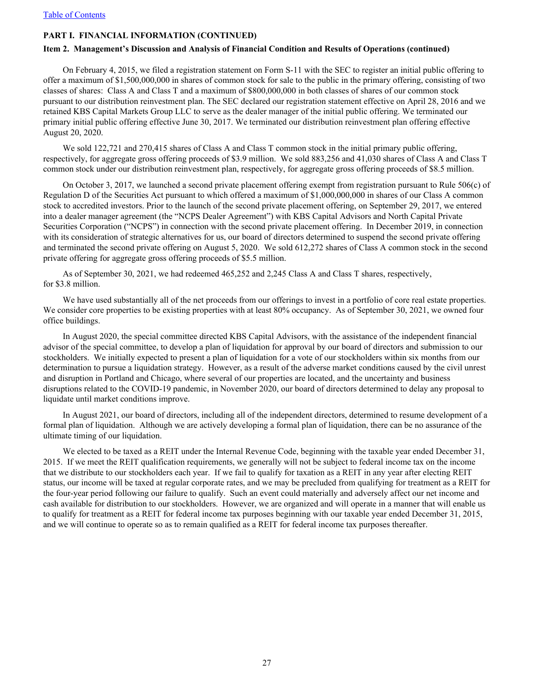# **Item 2. Management's Discussion and Analysis of Financial Condition and Results of Operations (continued)**

On February 4, 2015, we filed a registration statement on Form S-11 with the SEC to register an initial public offering to offer a maximum of \$1,500,000,000 in shares of common stock for sale to the public in the primary offering, consisting of two classes of shares: Class A and Class T and a maximum of \$800,000,000 in both classes of shares of our common stock pursuant to our distribution reinvestment plan. The SEC declared our registration statement effective on April 28, 2016 and we retained KBS Capital Markets Group LLC to serve as the dealer manager of the initial public offering. We terminated our primary initial public offering effective June 30, 2017. We terminated our distribution reinvestment plan offering effective August 20, 2020.

We sold 122,721 and 270,415 shares of Class A and Class T common stock in the initial primary public offering, respectively, for aggregate gross offering proceeds of \$3.9 million. We sold 883,256 and 41,030 shares of Class A and Class T common stock under our distribution reinvestment plan, respectively, for aggregate gross offering proceeds of \$8.5 million.

On October 3, 2017, we launched a second private placement offering exempt from registration pursuant to Rule 506(c) of Regulation D of the Securities Act pursuant to which offered a maximum of \$1,000,000,000 in shares of our Class A common stock to accredited investors. Prior to the launch of the second private placement offering, on September 29, 2017, we entered into a dealer manager agreement (the "NCPS Dealer Agreement") with KBS Capital Advisors and North Capital Private Securities Corporation ("NCPS") in connection with the second private placement offering. In December 2019, in connection with its consideration of strategic alternatives for us, our board of directors determined to suspend the second private offering and terminated the second private offering on August 5, 2020. We sold 612,272 shares of Class A common stock in the second private offering for aggregate gross offering proceeds of \$5.5 million.

As of September 30, 2021, we had redeemed 465,252 and 2,245 Class A and Class T shares, respectively, for \$3.8 million.

We have used substantially all of the net proceeds from our offerings to invest in a portfolio of core real estate properties. We consider core properties to be existing properties with at least 80% occupancy. As of September 30, 2021, we owned four office buildings.

In August 2020, the special committee directed KBS Capital Advisors, with the assistance of the independent financial advisor of the special committee, to develop a plan of liquidation for approval by our board of directors and submission to our stockholders. We initially expected to present a plan of liquidation for a vote of our stockholders within six months from our determination to pursue a liquidation strategy. However, as a result of the adverse market conditions caused by the civil unrest and disruption in Portland and Chicago, where several of our properties are located, and the uncertainty and business disruptions related to the COVID-19 pandemic, in November 2020, our board of directors determined to delay any proposal to liquidate until market conditions improve.

In August 2021, our board of directors, including all of the independent directors, determined to resume development of a formal plan of liquidation. Although we are actively developing a formal plan of liquidation, there can be no assurance of the ultimate timing of our liquidation.

We elected to be taxed as a REIT under the Internal Revenue Code, beginning with the taxable year ended December 31, 2015. If we meet the REIT qualification requirements, we generally will not be subject to federal income tax on the income that we distribute to our stockholders each year. If we fail to qualify for taxation as a REIT in any year after electing REIT status, our income will be taxed at regular corporate rates, and we may be precluded from qualifying for treatment as a REIT for the four-year period following our failure to qualify. Such an event could materially and adversely affect our net income and cash available for distribution to our stockholders. However, we are organized and will operate in a manner that will enable us to qualify for treatment as a REIT for federal income tax purposes beginning with our taxable year ended December 31, 2015, and we will continue to operate so as to remain qualified as a REIT for federal income tax purposes thereafter.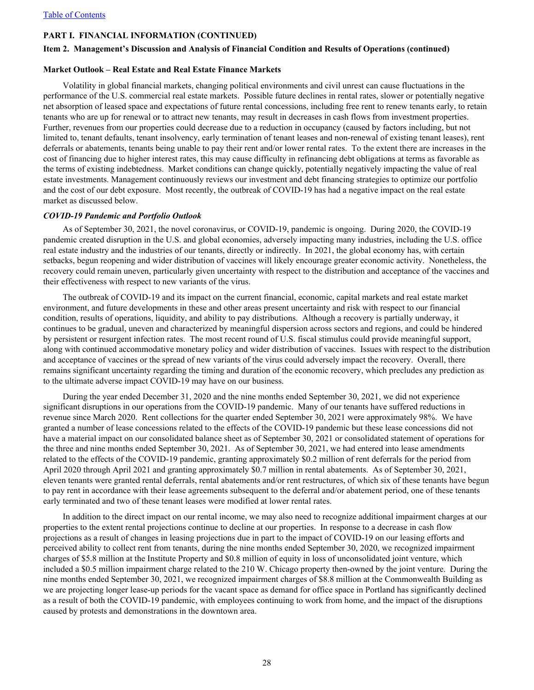## **Item 2. Management's Discussion and Analysis of Financial Condition and Results of Operations (continued)**

#### **Market Outlook – Real Estate and Real Estate Finance Markets**

Volatility in global financial markets, changing political environments and civil unrest can cause fluctuations in the performance of the U.S. commercial real estate markets. Possible future declines in rental rates, slower or potentially negative net absorption of leased space and expectations of future rental concessions, including free rent to renew tenants early, to retain tenants who are up for renewal or to attract new tenants, may result in decreases in cash flows from investment properties. Further, revenues from our properties could decrease due to a reduction in occupancy (caused by factors including, but not limited to, tenant defaults, tenant insolvency, early termination of tenant leases and non-renewal of existing tenant leases), rent deferrals or abatements, tenants being unable to pay their rent and/or lower rental rates. To the extent there are increases in the cost of financing due to higher interest rates, this may cause difficulty in refinancing debt obligations at terms as favorable as the terms of existing indebtedness. Market conditions can change quickly, potentially negatively impacting the value of real estate investments. Management continuously reviews our investment and debt financing strategies to optimize our portfolio and the cost of our debt exposure. Most recently, the outbreak of COVID-19 has had a negative impact on the real estate market as discussed below.

#### *COVID-19 Pandemic and Portfolio Outlook*

As of September 30, 2021, the novel coronavirus, or COVID-19, pandemic is ongoing. During 2020, the COVID-19 pandemic created disruption in the U.S. and global economies, adversely impacting many industries, including the U.S. office real estate industry and the industries of our tenants, directly or indirectly. In 2021, the global economy has, with certain setbacks, begun reopening and wider distribution of vaccines will likely encourage greater economic activity. Nonetheless, the recovery could remain uneven, particularly given uncertainty with respect to the distribution and acceptance of the vaccines and their effectiveness with respect to new variants of the virus.

The outbreak of COVID-19 and its impact on the current financial, economic, capital markets and real estate market environment, and future developments in these and other areas present uncertainty and risk with respect to our financial condition, results of operations, liquidity, and ability to pay distributions. Although a recovery is partially underway, it continues to be gradual, uneven and characterized by meaningful dispersion across sectors and regions, and could be hindered by persistent or resurgent infection rates. The most recent round of U.S. fiscal stimulus could provide meaningful support, along with continued accommodative monetary policy and wider distribution of vaccines. Issues with respect to the distribution and acceptance of vaccines or the spread of new variants of the virus could adversely impact the recovery. Overall, there remains significant uncertainty regarding the timing and duration of the economic recovery, which precludes any prediction as to the ultimate adverse impact COVID-19 may have on our business.

During the year ended December 31, 2020 and the nine months ended September 30, 2021, we did not experience significant disruptions in our operations from the COVID-19 pandemic. Many of our tenants have suffered reductions in revenue since March 2020. Rent collections for the quarter ended September 30, 2021 were approximately 98%. We have granted a number of lease concessions related to the effects of the COVID-19 pandemic but these lease concessions did not have a material impact on our consolidated balance sheet as of September 30, 2021 or consolidated statement of operations for the three and nine months ended September 30, 2021. As of September 30, 2021, we had entered into lease amendments related to the effects of the COVID-19 pandemic, granting approximately \$0.2 million of rent deferrals for the period from April 2020 through April 2021 and granting approximately \$0.7 million in rental abatements. As of September 30, 2021, eleven tenants were granted rental deferrals, rental abatements and/or rent restructures, of which six of these tenants have begun to pay rent in accordance with their lease agreements subsequent to the deferral and/or abatement period, one of these tenants early terminated and two of these tenant leases were modified at lower rental rates.

In addition to the direct impact on our rental income, we may also need to recognize additional impairment charges at our properties to the extent rental projections continue to decline at our properties. In response to a decrease in cash flow projections as a result of changes in leasing projections due in part to the impact of COVID-19 on our leasing efforts and perceived ability to collect rent from tenants, during the nine months ended September 30, 2020, we recognized impairment charges of \$5.8 million at the Institute Property and \$0.8 million of equity in loss of unconsolidated joint venture, which included a \$0.5 million impairment charge related to the 210 W. Chicago property then-owned by the joint venture. During the nine months ended September 30, 2021, we recognized impairment charges of \$8.8 million at the Commonwealth Building as we are projecting longer lease-up periods for the vacant space as demand for office space in Portland has significantly declined as a result of both the COVID-19 pandemic, with employees continuing to work from home, and the impact of the disruptions caused by protests and demonstrations in the downtown area.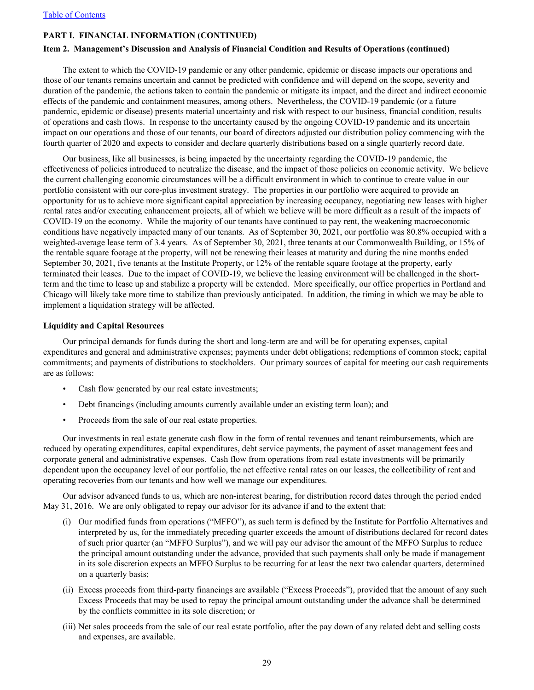# **Item 2. Management's Discussion and Analysis of Financial Condition and Results of Operations (continued)**

The extent to which the COVID-19 pandemic or any other pandemic, epidemic or disease impacts our operations and those of our tenants remains uncertain and cannot be predicted with confidence and will depend on the scope, severity and duration of the pandemic, the actions taken to contain the pandemic or mitigate its impact, and the direct and indirect economic effects of the pandemic and containment measures, among others. Nevertheless, the COVID-19 pandemic (or a future pandemic, epidemic or disease) presents material uncertainty and risk with respect to our business, financial condition, results of operations and cash flows. In response to the uncertainty caused by the ongoing COVID-19 pandemic and its uncertain impact on our operations and those of our tenants, our board of directors adjusted our distribution policy commencing with the fourth quarter of 2020 and expects to consider and declare quarterly distributions based on a single quarterly record date.

Our business, like all businesses, is being impacted by the uncertainty regarding the COVID-19 pandemic, the effectiveness of policies introduced to neutralize the disease, and the impact of those policies on economic activity. We believe the current challenging economic circumstances will be a difficult environment in which to continue to create value in our portfolio consistent with our core-plus investment strategy. The properties in our portfolio were acquired to provide an opportunity for us to achieve more significant capital appreciation by increasing occupancy, negotiating new leases with higher rental rates and/or executing enhancement projects, all of which we believe will be more difficult as a result of the impacts of COVID-19 on the economy. While the majority of our tenants have continued to pay rent, the weakening macroeconomic conditions have negatively impacted many of our tenants. As of September 30, 2021, our portfolio was 80.8% occupied with a weighted-average lease term of 3.4 years. As of September 30, 2021, three tenants at our Commonwealth Building, or 15% of the rentable square footage at the property, will not be renewing their leases at maturity and during the nine months ended September 30, 2021, five tenants at the Institute Property, or 12% of the rentable square footage at the property, early terminated their leases. Due to the impact of COVID-19, we believe the leasing environment will be challenged in the shortterm and the time to lease up and stabilize a property will be extended. More specifically, our office properties in Portland and Chicago will likely take more time to stabilize than previously anticipated. In addition, the timing in which we may be able to implement a liquidation strategy will be affected.

#### **Liquidity and Capital Resources**

Our principal demands for funds during the short and long-term are and will be for operating expenses, capital expenditures and general and administrative expenses; payments under debt obligations; redemptions of common stock; capital commitments; and payments of distributions to stockholders. Our primary sources of capital for meeting our cash requirements are as follows:

- Cash flow generated by our real estate investments;
- Debt financings (including amounts currently available under an existing term loan); and
- Proceeds from the sale of our real estate properties.

Our investments in real estate generate cash flow in the form of rental revenues and tenant reimbursements, which are reduced by operating expenditures, capital expenditures, debt service payments, the payment of asset management fees and corporate general and administrative expenses. Cash flow from operations from real estate investments will be primarily dependent upon the occupancy level of our portfolio, the net effective rental rates on our leases, the collectibility of rent and operating recoveries from our tenants and how well we manage our expenditures.

Our advisor advanced funds to us, which are non-interest bearing, for distribution record dates through the period ended May 31, 2016. We are only obligated to repay our advisor for its advance if and to the extent that:

- (i) Our modified funds from operations ("MFFO"), as such term is defined by the Institute for Portfolio Alternatives and interpreted by us, for the immediately preceding quarter exceeds the amount of distributions declared for record dates of such prior quarter (an "MFFO Surplus"), and we will pay our advisor the amount of the MFFO Surplus to reduce the principal amount outstanding under the advance, provided that such payments shall only be made if management in its sole discretion expects an MFFO Surplus to be recurring for at least the next two calendar quarters, determined on a quarterly basis;
- (ii) Excess proceeds from third-party financings are available ("Excess Proceeds"), provided that the amount of any such Excess Proceeds that may be used to repay the principal amount outstanding under the advance shall be determined by the conflicts committee in its sole discretion; or
- (iii) Net sales proceeds from the sale of our real estate portfolio, after the pay down of any related debt and selling costs and expenses, are available.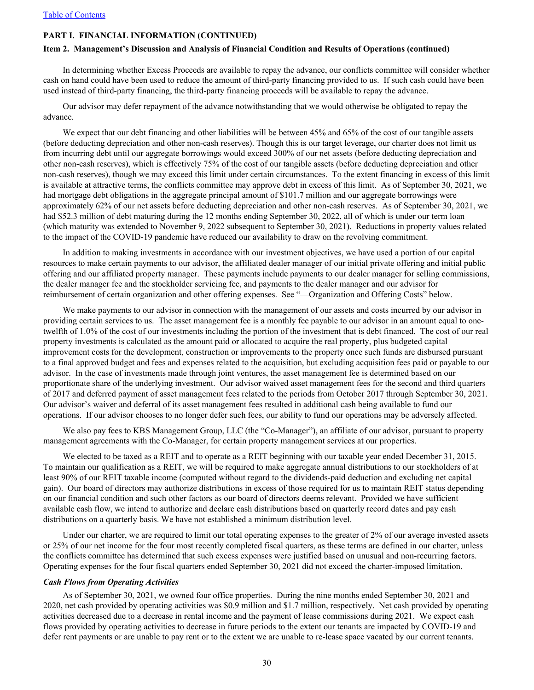# **Item 2. Management's Discussion and Analysis of Financial Condition and Results of Operations (continued)**

In determining whether Excess Proceeds are available to repay the advance, our conflicts committee will consider whether cash on hand could have been used to reduce the amount of third-party financing provided to us. If such cash could have been used instead of third-party financing, the third-party financing proceeds will be available to repay the advance.

Our advisor may defer repayment of the advance notwithstanding that we would otherwise be obligated to repay the advance.

We expect that our debt financing and other liabilities will be between 45% and 65% of the cost of our tangible assets (before deducting depreciation and other non-cash reserves). Though this is our target leverage, our charter does not limit us from incurring debt until our aggregate borrowings would exceed 300% of our net assets (before deducting depreciation and other non-cash reserves), which is effectively 75% of the cost of our tangible assets (before deducting depreciation and other non-cash reserves), though we may exceed this limit under certain circumstances. To the extent financing in excess of this limit is available at attractive terms, the conflicts committee may approve debt in excess of this limit. As of September 30, 2021, we had mortgage debt obligations in the aggregate principal amount of \$101.7 million and our aggregate borrowings were approximately 62% of our net assets before deducting depreciation and other non-cash reserves. As of September 30, 2021, we had \$52.3 million of debt maturing during the 12 months ending September 30, 2022, all of which is under our term loan (which maturity was extended to November 9, 2022 subsequent to September 30, 2021). Reductions in property values related to the impact of the COVID-19 pandemic have reduced our availability to draw on the revolving commitment.

In addition to making investments in accordance with our investment objectives, we have used a portion of our capital resources to make certain payments to our advisor, the affiliated dealer manager of our initial private offering and initial public offering and our affiliated property manager. These payments include payments to our dealer manager for selling commissions, the dealer manager fee and the stockholder servicing fee, and payments to the dealer manager and our advisor for reimbursement of certain organization and other offering expenses. See "—Organization and Offering Costs" below.

We make payments to our advisor in connection with the management of our assets and costs incurred by our advisor in providing certain services to us. The asset management fee is a monthly fee payable to our advisor in an amount equal to onetwelfth of 1.0% of the cost of our investments including the portion of the investment that is debt financed. The cost of our real property investments is calculated as the amount paid or allocated to acquire the real property, plus budgeted capital improvement costs for the development, construction or improvements to the property once such funds are disbursed pursuant to a final approved budget and fees and expenses related to the acquisition, but excluding acquisition fees paid or payable to our advisor. In the case of investments made through joint ventures, the asset management fee is determined based on our proportionate share of the underlying investment. Our advisor waived asset management fees for the second and third quarters of 2017 and deferred payment of asset management fees related to the periods from October 2017 through September 30, 2021. Our advisor's waiver and deferral of its asset management fees resulted in additional cash being available to fund our operations. If our advisor chooses to no longer defer such fees, our ability to fund our operations may be adversely affected.

We also pay fees to KBS Management Group, LLC (the "Co-Manager"), an affiliate of our advisor, pursuant to property management agreements with the Co-Manager, for certain property management services at our properties.

We elected to be taxed as a REIT and to operate as a REIT beginning with our taxable year ended December 31, 2015. To maintain our qualification as a REIT, we will be required to make aggregate annual distributions to our stockholders of at least 90% of our REIT taxable income (computed without regard to the dividends-paid deduction and excluding net capital gain). Our board of directors may authorize distributions in excess of those required for us to maintain REIT status depending on our financial condition and such other factors as our board of directors deems relevant. Provided we have sufficient available cash flow, we intend to authorize and declare cash distributions based on quarterly record dates and pay cash distributions on a quarterly basis. We have not established a minimum distribution level.

Under our charter, we are required to limit our total operating expenses to the greater of 2% of our average invested assets or 25% of our net income for the four most recently completed fiscal quarters, as these terms are defined in our charter, unless the conflicts committee has determined that such excess expenses were justified based on unusual and non-recurring factors. Operating expenses for the four fiscal quarters ended September 30, 2021 did not exceed the charter-imposed limitation.

#### *Cash Flows from Operating Activities*

As of September 30, 2021, we owned four office properties. During the nine months ended September 30, 2021 and 2020, net cash provided by operating activities was \$0.9 million and \$1.7 million, respectively. Net cash provided by operating activities decreased due to a decrease in rental income and the payment of lease commissions during 2021. We expect cash flows provided by operating activities to decrease in future periods to the extent our tenants are impacted by COVID-19 and defer rent payments or are unable to pay rent or to the extent we are unable to re-lease space vacated by our current tenants.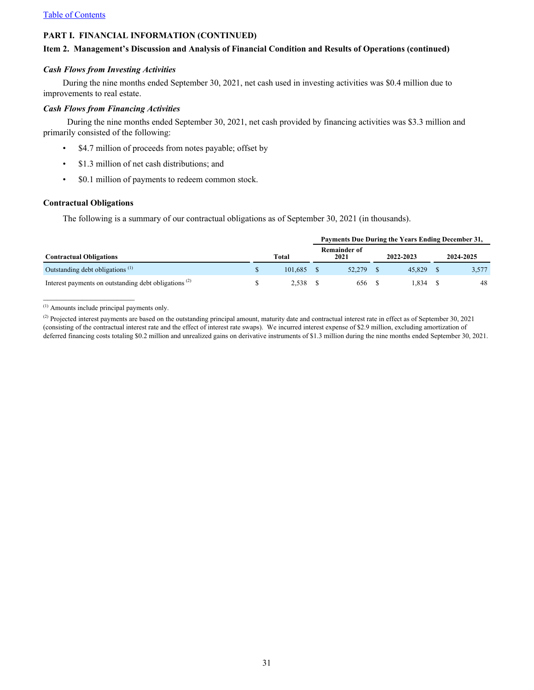## **Item 2. Management's Discussion and Analysis of Financial Condition and Results of Operations (continued)**

#### *Cash Flows from Investing Activities*

During the nine months ended September 30, 2021, net cash used in investing activities was \$0.4 million due to improvements to real estate.

#### *Cash Flows from Financing Activities*

 During the nine months ended September 30, 2021, net cash provided by financing activities was \$3.3 million and primarily consisted of the following:

- \$4.7 million of proceeds from notes payable; offset by
- \$1.3 million of net cash distributions; and
- \$0.1 million of payments to redeem common stock.

#### **Contractual Obligations**

The following is a summary of our contractual obligations as of September 30, 2021 (in thousands).

|                                                         |          | Payments Due During the Years Ending December 31, |        |  |           |           |       |
|---------------------------------------------------------|----------|---------------------------------------------------|--------|--|-----------|-----------|-------|
| <b>Contractual Obligations</b>                          | Total    | <b>Remainder of</b><br>2021                       |        |  | 2022-2023 | 2024-2025 |       |
| Outstanding debt obligations <sup>(1)</sup>             | 101.685  |                                                   | 52.279 |  | 45.829    |           | 3,577 |
| Interest payments on outstanding debt obligations $(2)$ | 2,538 \$ |                                                   | 656.   |  | 1.834     |           | 48    |

<sup>(1)</sup> Amounts include principal payments only.

 $\mathcal{L}_\text{max}$  , where  $\mathcal{L}_\text{max}$  and  $\mathcal{L}_\text{max}$ 

<sup>(2)</sup> Projected interest payments are based on the outstanding principal amount, maturity date and contractual interest rate in effect as of September 30, 2021 (consisting of the contractual interest rate and the effect of interest rate swaps). We incurred interest expense of \$2.9 million, excluding amortization of deferred financing costs totaling \$0.2 million and unrealized gains on derivative instruments of \$1.3 million during the nine months ended September 30, 2021.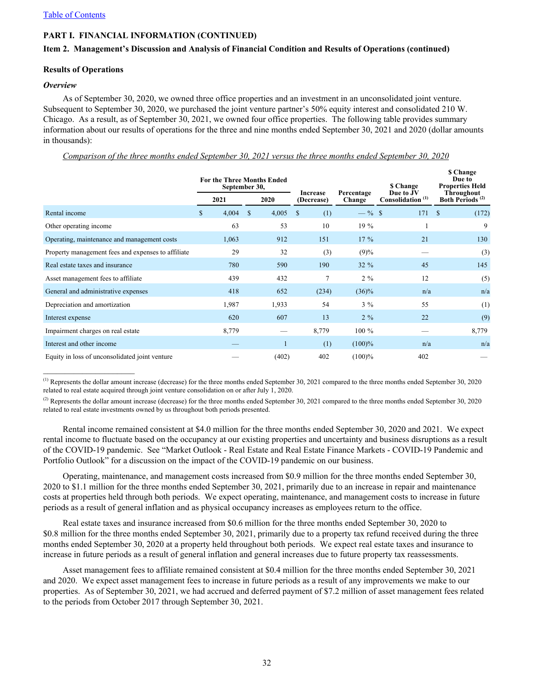## **Item 2. Management's Discussion and Analysis of Financial Condition and Results of Operations (continued)**

## **Results of Operations**

 $\mathcal{L}_\text{max}$  , where  $\mathcal{L}_\text{max}$  and  $\mathcal{L}_\text{max}$ 

#### *Overview*

As of September 30, 2020, we owned three office properties and an investment in an unconsolidated joint venture. Subsequent to September 30, 2020, we purchased the joint venture partner's 50% equity interest and consolidated 210 W. Chicago. As a result, as of September 30, 2021, we owned four office properties. The following table provides summary information about our results of operations for the three and nine months ended September 30, 2021 and 2020 (dollar amounts in thousands):

*Comparison of the three months ended September 30, 2021 versus the three months ended September 30, 2020*

|                                                    |             | <b>For the Three Months Ended</b><br>September 30, |       |   |                        |                      | <b>S</b> Change                           | \$ Change<br>Due to<br><b>Properties Held</b><br>Throughout<br>Both Periods <sup>(2)</sup> |  |
|----------------------------------------------------|-------------|----------------------------------------------------|-------|---|------------------------|----------------------|-------------------------------------------|--------------------------------------------------------------------------------------------|--|
|                                                    | 2021        |                                                    | 2020  |   | Increase<br>(Decrease) | Percentage<br>Change | Due to JV<br>Consolidation <sup>(1)</sup> |                                                                                            |  |
| Rental income                                      | \$<br>4,004 | $\mathbf{s}$                                       | 4,005 | S | (1)                    | $-$ % \$             | 171                                       | -S<br>(172)                                                                                |  |
| Other operating income                             | 63          |                                                    | 53    |   | 10                     | $19\%$               |                                           | 9                                                                                          |  |
| Operating, maintenance and management costs        | 1,063       |                                                    | 912   |   | 151                    | $17\%$               | 21                                        | 130                                                                                        |  |
| Property management fees and expenses to affiliate | 29          |                                                    | 32    |   | (3)                    | (9)%                 |                                           | (3)                                                                                        |  |
| Real estate taxes and insurance                    | 780         |                                                    | 590   |   | 190                    | $32 \%$              | 45                                        | 145                                                                                        |  |
| Asset management fees to affiliate                 | 439         |                                                    | 432   |   | $\overline{7}$         | $2\%$                | 12                                        | (5)                                                                                        |  |
| General and administrative expenses                | 418         |                                                    | 652   |   | (234)                  | $(36)\%$             | n/a                                       | n/a                                                                                        |  |
| Depreciation and amortization                      | 1,987       |                                                    | 1,933 |   | 54                     | $3\%$                | 55                                        | (1)                                                                                        |  |
| Interest expense                                   | 620         |                                                    | 607   |   | 13                     | $2\%$                | 22                                        | (9)                                                                                        |  |
| Impairment charges on real estate                  | 8,779       |                                                    |       |   | 8,779                  | 100 %                |                                           | 8,779                                                                                      |  |
| Interest and other income                          |             |                                                    |       |   | (1)                    | $(100)\%$            | n/a                                       | n/a                                                                                        |  |
| Equity in loss of unconsolidated joint venture     |             |                                                    | (402) |   | 402                    | (100)%               | 402                                       |                                                                                            |  |

(1) Represents the dollar amount increase (decrease) for the three months ended September 30, 2021 compared to the three months ended September 30, 2020 related to real estate acquired through joint venture consolidation on or after July 1, 2020.

<sup>(2)</sup> Represents the dollar amount increase (decrease) for the three months ended September 30, 2021 compared to the three months ended September 30, 2020 related to real estate investments owned by us throughout both periods presented.

Rental income remained consistent at \$4.0 million for the three months ended September 30, 2020 and 2021. We expect rental income to fluctuate based on the occupancy at our existing properties and uncertainty and business disruptions as a result of the COVID-19 pandemic. See "Market Outlook - Real Estate and Real Estate Finance Markets - COVID-19 Pandemic and Portfolio Outlook" for a discussion on the impact of the COVID-19 pandemic on our business.

Operating, maintenance, and management costs increased from \$0.9 million for the three months ended September 30, 2020 to \$1.1 million for the three months ended September 30, 2021, primarily due to an increase in repair and maintenance costs at properties held through both periods. We expect operating, maintenance, and management costs to increase in future periods as a result of general inflation and as physical occupancy increases as employees return to the office.

Real estate taxes and insurance increased from \$0.6 million for the three months ended September 30, 2020 to \$0.8 million for the three months ended September 30, 2021, primarily due to a property tax refund received during the three months ended September 30, 2020 at a property held throughout both periods. We expect real estate taxes and insurance to increase in future periods as a result of general inflation and general increases due to future property tax reassessments.

Asset management fees to affiliate remained consistent at \$0.4 million for the three months ended September 30, 2021 and 2020. We expect asset management fees to increase in future periods as a result of any improvements we make to our properties. As of September 30, 2021, we had accrued and deferred payment of \$7.2 million of asset management fees related to the periods from October 2017 through September 30, 2021.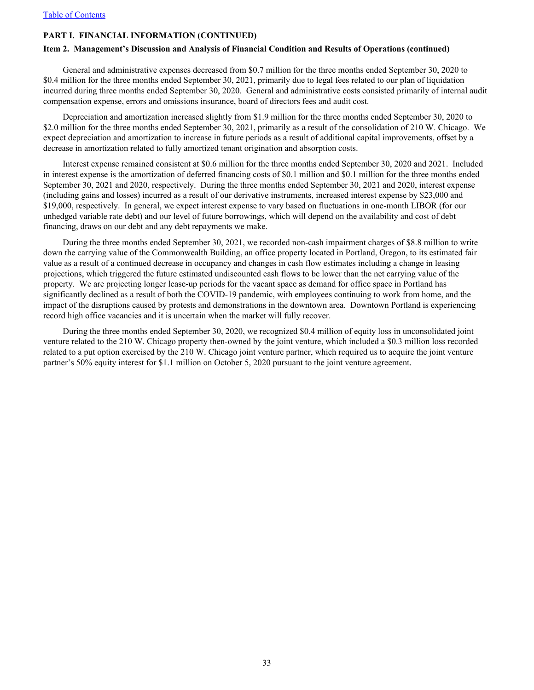# **Item 2. Management's Discussion and Analysis of Financial Condition and Results of Operations (continued)**

General and administrative expenses decreased from \$0.7 million for the three months ended September 30, 2020 to \$0.4 million for the three months ended September 30, 2021, primarily due to legal fees related to our plan of liquidation incurred during three months ended September 30, 2020. General and administrative costs consisted primarily of internal audit compensation expense, errors and omissions insurance, board of directors fees and audit cost.

Depreciation and amortization increased slightly from \$1.9 million for the three months ended September 30, 2020 to \$2.0 million for the three months ended September 30, 2021, primarily as a result of the consolidation of 210 W. Chicago. We expect depreciation and amortization to increase in future periods as a result of additional capital improvements, offset by a decrease in amortization related to fully amortized tenant origination and absorption costs.

Interest expense remained consistent at \$0.6 million for the three months ended September 30, 2020 and 2021. Included in interest expense is the amortization of deferred financing costs of \$0.1 million and \$0.1 million for the three months ended September 30, 2021 and 2020, respectively. During the three months ended September 30, 2021 and 2020, interest expense (including gains and losses) incurred as a result of our derivative instruments, increased interest expense by \$23,000 and \$19,000, respectively. In general, we expect interest expense to vary based on fluctuations in one-month LIBOR (for our unhedged variable rate debt) and our level of future borrowings, which will depend on the availability and cost of debt financing, draws on our debt and any debt repayments we make.

During the three months ended September 30, 2021, we recorded non-cash impairment charges of \$8.8 million to write down the carrying value of the Commonwealth Building, an office property located in Portland, Oregon, to its estimated fair value as a result of a continued decrease in occupancy and changes in cash flow estimates including a change in leasing projections, which triggered the future estimated undiscounted cash flows to be lower than the net carrying value of the property. We are projecting longer lease-up periods for the vacant space as demand for office space in Portland has significantly declined as a result of both the COVID-19 pandemic, with employees continuing to work from home, and the impact of the disruptions caused by protests and demonstrations in the downtown area. Downtown Portland is experiencing record high office vacancies and it is uncertain when the market will fully recover.

During the three months ended September 30, 2020, we recognized \$0.4 million of equity loss in unconsolidated joint venture related to the 210 W. Chicago property then-owned by the joint venture, which included a \$0.3 million loss recorded related to a put option exercised by the 210 W. Chicago joint venture partner, which required us to acquire the joint venture partner's 50% equity interest for \$1.1 million on October 5, 2020 pursuant to the joint venture agreement.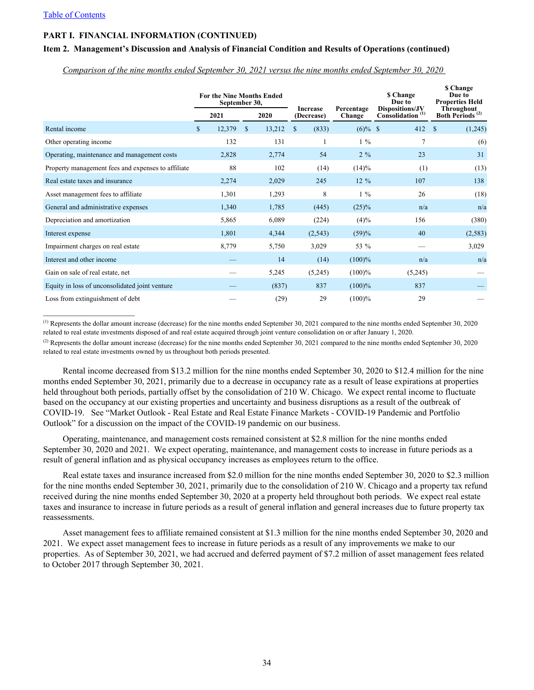$\mathcal{L}_\text{max}$  , where  $\mathcal{L}_\text{max}$  and  $\mathcal{L}_\text{max}$ 

# **PART I. FINANCIAL INFORMATION (CONTINUED)**

# **Item 2. Management's Discussion and Analysis of Financial Condition and Results of Operations (continued)**

*Comparison of the nine months ended September 30, 2021 versus the nine months ended September 30, 2020*

|                                                    | <b>For the Nine Months Ended</b><br>September 30, |        |      | <b>Increase</b> |            | Percentage | <b>\$</b> Change<br>Due to<br>Dispositions/JV | \$ Change<br>Due to<br><b>Properties Held</b><br><b>Throughout</b> |                             |  |
|----------------------------------------------------|---------------------------------------------------|--------|------|-----------------|------------|------------|-----------------------------------------------|--------------------------------------------------------------------|-----------------------------|--|
|                                                    |                                                   | 2021   | 2020 |                 | (Decrease) |            | Change                                        | Consolidation <sup>(1)</sup>                                       | Both Periods <sup>(2)</sup> |  |
| Rental income                                      | \$                                                | 12,379 | \$   | 13,212          | \$         | (833)      | $(6)\%$ \$                                    | 412                                                                | - \$<br>(1,245)             |  |
| Other operating income                             |                                                   | 132    |      | 131             |            |            | $1\%$                                         | 7                                                                  | (6)                         |  |
| Operating, maintenance and management costs        |                                                   | 2,828  |      | 2,774           |            | 54         | $2\%$                                         | 23                                                                 | 31                          |  |
| Property management fees and expenses to affiliate |                                                   | 88     |      | 102             |            | (14)       | (14)%                                         | (1)                                                                | (13)                        |  |
| Real estate taxes and insurance                    |                                                   | 2,274  |      | 2,029           |            | 245        | 12 %                                          | 107                                                                | 138                         |  |
| Asset management fees to affiliate                 |                                                   | 1,301  |      | 1,293           |            | 8          | $1\%$                                         | 26                                                                 | (18)                        |  |
| General and administrative expenses                |                                                   | 1,340  |      | 1,785           |            | (445)      | $(25)\%$                                      | n/a                                                                | n/a                         |  |
| Depreciation and amortization                      |                                                   | 5,865  |      | 6,089           |            | (224)      | $(4)\%$                                       | 156                                                                | (380)                       |  |
| Interest expense                                   |                                                   | 1,801  |      | 4,344           |            | (2, 543)   | (59)%                                         | 40                                                                 | (2,583)                     |  |
| Impairment charges on real estate                  |                                                   | 8,779  |      | 5,750           |            | 3,029      | 53 %                                          |                                                                    | 3,029                       |  |
| Interest and other income                          |                                                   |        |      | 14              |            | (14)       | $(100)\%$                                     | n/a                                                                | n/a                         |  |
| Gain on sale of real estate, net                   |                                                   |        |      | 5,245           |            | (5,245)    | $(100)\%$                                     | (5,245)                                                            |                             |  |
| Equity in loss of unconsolidated joint venture     |                                                   |        |      | (837)           |            | 837        | $(100)\%$                                     | 837                                                                |                             |  |
| Loss from extinguishment of debt                   |                                                   |        |      | (29)            |            | 29         | (100)%                                        | 29                                                                 |                             |  |

(1) Represents the dollar amount increase (decrease) for the nine months ended September 30, 2021 compared to the nine months ended September 30, 2020 related to real estate investments disposed of and real estate acquired through joint venture consolidation on or after January 1, 2020.

<sup>(2)</sup> Represents the dollar amount increase (decrease) for the nine months ended September 30, 2021 compared to the nine months ended September 30, 2020 related to real estate investments owned by us throughout both periods presented.

Rental income decreased from \$13.2 million for the nine months ended September 30, 2020 to \$12.4 million for the nine months ended September 30, 2021, primarily due to a decrease in occupancy rate as a result of lease expirations at properties held throughout both periods, partially offset by the consolidation of 210 W. Chicago. We expect rental income to fluctuate based on the occupancy at our existing properties and uncertainty and business disruptions as a result of the outbreak of COVID-19. See "Market Outlook - Real Estate and Real Estate Finance Markets - COVID-19 Pandemic and Portfolio Outlook" for a discussion on the impact of the COVID-19 pandemic on our business.

Operating, maintenance, and management costs remained consistent at \$2.8 million for the nine months ended September 30, 2020 and 2021. We expect operating, maintenance, and management costs to increase in future periods as a result of general inflation and as physical occupancy increases as employees return to the office.

Real estate taxes and insurance increased from \$2.0 million for the nine months ended September 30, 2020 to \$2.3 million for the nine months ended September 30, 2021, primarily due to the consolidation of 210 W. Chicago and a property tax refund received during the nine months ended September 30, 2020 at a property held throughout both periods. We expect real estate taxes and insurance to increase in future periods as a result of general inflation and general increases due to future property tax reassessments.

Asset management fees to affiliate remained consistent at \$1.3 million for the nine months ended September 30, 2020 and 2021. We expect asset management fees to increase in future periods as a result of any improvements we make to our properties. As of September 30, 2021, we had accrued and deferred payment of \$7.2 million of asset management fees related to October 2017 through September 30, 2021.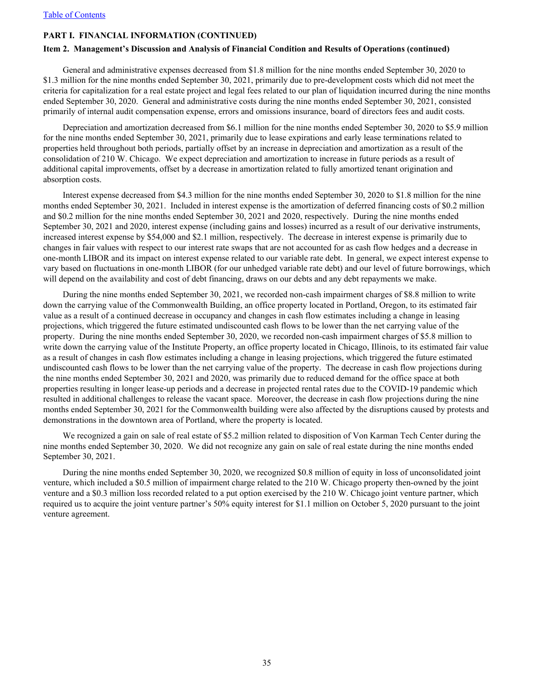# **Item 2. Management's Discussion and Analysis of Financial Condition and Results of Operations (continued)**

General and administrative expenses decreased from \$1.8 million for the nine months ended September 30, 2020 to \$1.3 million for the nine months ended September 30, 2021, primarily due to pre-development costs which did not meet the criteria for capitalization for a real estate project and legal fees related to our plan of liquidation incurred during the nine months ended September 30, 2020. General and administrative costs during the nine months ended September 30, 2021, consisted primarily of internal audit compensation expense, errors and omissions insurance, board of directors fees and audit costs.

Depreciation and amortization decreased from \$6.1 million for the nine months ended September 30, 2020 to \$5.9 million for the nine months ended September 30, 2021, primarily due to lease expirations and early lease terminations related to properties held throughout both periods, partially offset by an increase in depreciation and amortization as a result of the consolidation of 210 W. Chicago. We expect depreciation and amortization to increase in future periods as a result of additional capital improvements, offset by a decrease in amortization related to fully amortized tenant origination and absorption costs.

Interest expense decreased from \$4.3 million for the nine months ended September 30, 2020 to \$1.8 million for the nine months ended September 30, 2021. Included in interest expense is the amortization of deferred financing costs of \$0.2 million and \$0.2 million for the nine months ended September 30, 2021 and 2020, respectively. During the nine months ended September 30, 2021 and 2020, interest expense (including gains and losses) incurred as a result of our derivative instruments, increased interest expense by \$54,000 and \$2.1 million, respectively. The decrease in interest expense is primarily due to changes in fair values with respect to our interest rate swaps that are not accounted for as cash flow hedges and a decrease in one-month LIBOR and its impact on interest expense related to our variable rate debt. In general, we expect interest expense to vary based on fluctuations in one-month LIBOR (for our unhedged variable rate debt) and our level of future borrowings, which will depend on the availability and cost of debt financing, draws on our debts and any debt repayments we make.

During the nine months ended September 30, 2021, we recorded non-cash impairment charges of \$8.8 million to write down the carrying value of the Commonwealth Building, an office property located in Portland, Oregon, to its estimated fair value as a result of a continued decrease in occupancy and changes in cash flow estimates including a change in leasing projections, which triggered the future estimated undiscounted cash flows to be lower than the net carrying value of the property. During the nine months ended September 30, 2020, we recorded non-cash impairment charges of \$5.8 million to write down the carrying value of the Institute Property, an office property located in Chicago, Illinois, to its estimated fair value as a result of changes in cash flow estimates including a change in leasing projections, which triggered the future estimated undiscounted cash flows to be lower than the net carrying value of the property. The decrease in cash flow projections during the nine months ended September 30, 2021 and 2020, was primarily due to reduced demand for the office space at both properties resulting in longer lease-up periods and a decrease in projected rental rates due to the COVID-19 pandemic which resulted in additional challenges to release the vacant space. Moreover, the decrease in cash flow projections during the nine months ended September 30, 2021 for the Commonwealth building were also affected by the disruptions caused by protests and demonstrations in the downtown area of Portland, where the property is located.

We recognized a gain on sale of real estate of \$5.2 million related to disposition of Von Karman Tech Center during the nine months ended September 30, 2020. We did not recognize any gain on sale of real estate during the nine months ended September 30, 2021.

During the nine months ended September 30, 2020, we recognized \$0.8 million of equity in loss of unconsolidated joint venture, which included a \$0.5 million of impairment charge related to the 210 W. Chicago property then-owned by the joint venture and a \$0.3 million loss recorded related to a put option exercised by the 210 W. Chicago joint venture partner, which required us to acquire the joint venture partner's 50% equity interest for \$1.1 million on October 5, 2020 pursuant to the joint venture agreement.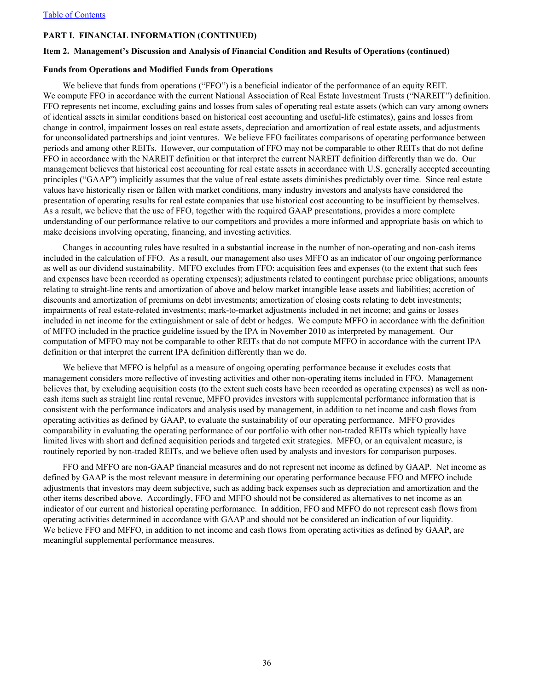#### **Item 2. Management's Discussion and Analysis of Financial Condition and Results of Operations (continued)**

#### **Funds from Operations and Modified Funds from Operations**

We believe that funds from operations ("FFO") is a beneficial indicator of the performance of an equity REIT. We compute FFO in accordance with the current National Association of Real Estate Investment Trusts ("NAREIT") definition. FFO represents net income, excluding gains and losses from sales of operating real estate assets (which can vary among owners of identical assets in similar conditions based on historical cost accounting and useful-life estimates), gains and losses from change in control, impairment losses on real estate assets, depreciation and amortization of real estate assets, and adjustments for unconsolidated partnerships and joint ventures. We believe FFO facilitates comparisons of operating performance between periods and among other REITs. However, our computation of FFO may not be comparable to other REITs that do not define FFO in accordance with the NAREIT definition or that interpret the current NAREIT definition differently than we do. Our management believes that historical cost accounting for real estate assets in accordance with U.S. generally accepted accounting principles ("GAAP") implicitly assumes that the value of real estate assets diminishes predictably over time. Since real estate values have historically risen or fallen with market conditions, many industry investors and analysts have considered the presentation of operating results for real estate companies that use historical cost accounting to be insufficient by themselves. As a result, we believe that the use of FFO, together with the required GAAP presentations, provides a more complete understanding of our performance relative to our competitors and provides a more informed and appropriate basis on which to make decisions involving operating, financing, and investing activities.

Changes in accounting rules have resulted in a substantial increase in the number of non-operating and non-cash items included in the calculation of FFO. As a result, our management also uses MFFO as an indicator of our ongoing performance as well as our dividend sustainability. MFFO excludes from FFO: acquisition fees and expenses (to the extent that such fees and expenses have been recorded as operating expenses); adjustments related to contingent purchase price obligations; amounts relating to straight-line rents and amortization of above and below market intangible lease assets and liabilities; accretion of discounts and amortization of premiums on debt investments; amortization of closing costs relating to debt investments; impairments of real estate-related investments; mark-to-market adjustments included in net income; and gains or losses included in net income for the extinguishment or sale of debt or hedges. We compute MFFO in accordance with the definition of MFFO included in the practice guideline issued by the IPA in November 2010 as interpreted by management. Our computation of MFFO may not be comparable to other REITs that do not compute MFFO in accordance with the current IPA definition or that interpret the current IPA definition differently than we do.

We believe that MFFO is helpful as a measure of ongoing operating performance because it excludes costs that management considers more reflective of investing activities and other non-operating items included in FFO. Management believes that, by excluding acquisition costs (to the extent such costs have been recorded as operating expenses) as well as noncash items such as straight line rental revenue, MFFO provides investors with supplemental performance information that is consistent with the performance indicators and analysis used by management, in addition to net income and cash flows from operating activities as defined by GAAP, to evaluate the sustainability of our operating performance. MFFO provides comparability in evaluating the operating performance of our portfolio with other non-traded REITs which typically have limited lives with short and defined acquisition periods and targeted exit strategies. MFFO, or an equivalent measure, is routinely reported by non-traded REITs, and we believe often used by analysts and investors for comparison purposes.

FFO and MFFO are non-GAAP financial measures and do not represent net income as defined by GAAP. Net income as defined by GAAP is the most relevant measure in determining our operating performance because FFO and MFFO include adjustments that investors may deem subjective, such as adding back expenses such as depreciation and amortization and the other items described above. Accordingly, FFO and MFFO should not be considered as alternatives to net income as an indicator of our current and historical operating performance. In addition, FFO and MFFO do not represent cash flows from operating activities determined in accordance with GAAP and should not be considered an indication of our liquidity. We believe FFO and MFFO, in addition to net income and cash flows from operating activities as defined by GAAP, are meaningful supplemental performance measures.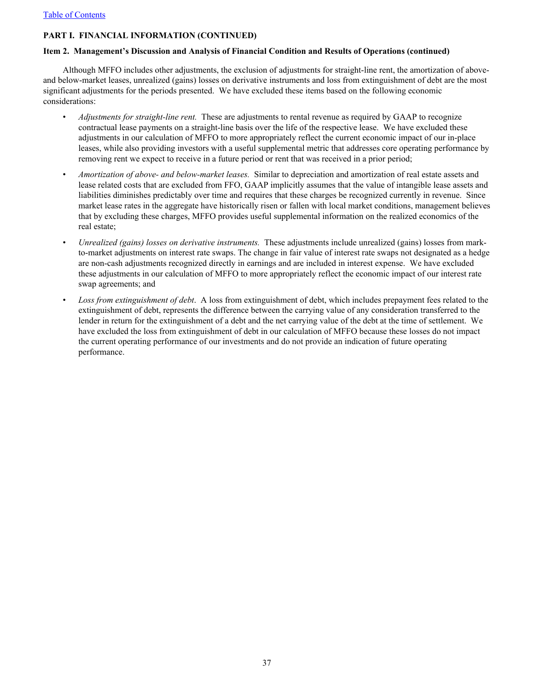# **Item 2. Management's Discussion and Analysis of Financial Condition and Results of Operations (continued)**

Although MFFO includes other adjustments, the exclusion of adjustments for straight-line rent, the amortization of aboveand below-market leases, unrealized (gains) losses on derivative instruments and loss from extinguishment of debt are the most significant adjustments for the periods presented. We have excluded these items based on the following economic considerations:

- *Adjustments for straight-line rent.* These are adjustments to rental revenue as required by GAAP to recognize contractual lease payments on a straight-line basis over the life of the respective lease. We have excluded these adjustments in our calculation of MFFO to more appropriately reflect the current economic impact of our in-place leases, while also providing investors with a useful supplemental metric that addresses core operating performance by removing rent we expect to receive in a future period or rent that was received in a prior period;
- *Amortization of above- and below-market leases.* Similar to depreciation and amortization of real estate assets and lease related costs that are excluded from FFO, GAAP implicitly assumes that the value of intangible lease assets and liabilities diminishes predictably over time and requires that these charges be recognized currently in revenue. Since market lease rates in the aggregate have historically risen or fallen with local market conditions, management believes that by excluding these charges, MFFO provides useful supplemental information on the realized economics of the real estate;
- *Unrealized (gains) losses on derivative instruments.* These adjustments include unrealized (gains) losses from markto-market adjustments on interest rate swaps. The change in fair value of interest rate swaps not designated as a hedge are non-cash adjustments recognized directly in earnings and are included in interest expense. We have excluded these adjustments in our calculation of MFFO to more appropriately reflect the economic impact of our interest rate swap agreements; and
- *Loss from extinguishment of debt*. A loss from extinguishment of debt, which includes prepayment fees related to the extinguishment of debt, represents the difference between the carrying value of any consideration transferred to the lender in return for the extinguishment of a debt and the net carrying value of the debt at the time of settlement. We have excluded the loss from extinguishment of debt in our calculation of MFFO because these losses do not impact the current operating performance of our investments and do not provide an indication of future operating performance.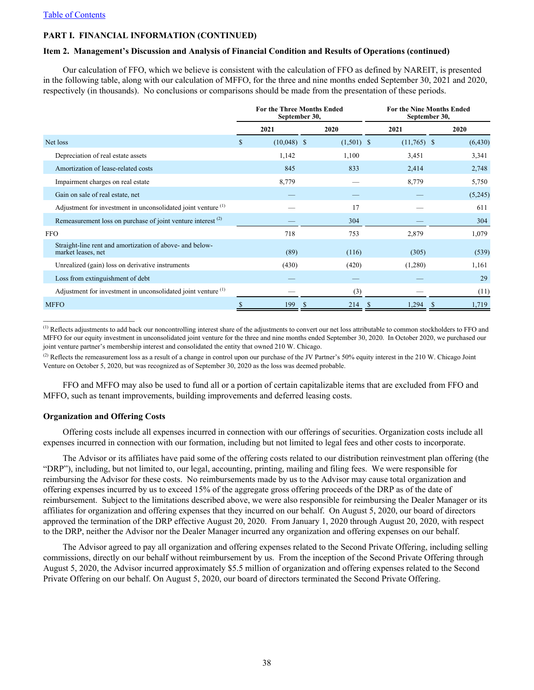#### **Item 2. Management's Discussion and Analysis of Financial Condition and Results of Operations (continued)**

Our calculation of FFO, which we believe is consistent with the calculation of FFO as defined by NAREIT, is presented in the following table, along with our calculation of MFFO, for the three and nine months ended September 30, 2021 and 2020, respectively (in thousands). No conclusions or comparisons should be made from the presentation of these periods.

|                                                                                |   | <b>For the Three Months Ended</b><br>September 30, |              | <b>For the Nine Months Ended</b><br>September 30, |  |          |  |
|--------------------------------------------------------------------------------|---|----------------------------------------------------|--------------|---------------------------------------------------|--|----------|--|
|                                                                                |   | 2021                                               | 2020         | 2021                                              |  | 2020     |  |
| Net loss                                                                       | S | $(10,048)$ \$                                      | $(1,501)$ \$ | $(11,765)$ \$                                     |  | (6, 430) |  |
| Depreciation of real estate assets                                             |   | 1,142                                              | 1,100        | 3,451                                             |  | 3,341    |  |
| Amortization of lease-related costs                                            |   | 845                                                | 833          | 2,414                                             |  | 2,748    |  |
| Impairment charges on real estate                                              |   | 8,779                                              |              | 8,779                                             |  | 5,750    |  |
| Gain on sale of real estate, net                                               |   |                                                    |              |                                                   |  | (5,245)  |  |
| Adjustment for investment in unconsolidated joint venture <sup>(1)</sup>       |   |                                                    | 17           |                                                   |  | 611      |  |
| Remeasurement loss on purchase of joint venture interest <sup>(2)</sup>        |   |                                                    | 304          |                                                   |  | 304      |  |
| <b>FFO</b>                                                                     |   | 718                                                | 753          | 2,879                                             |  | 1,079    |  |
| Straight-line rent and amortization of above- and below-<br>market leases, net |   | (89)                                               | (116)        | (305)                                             |  | (539)    |  |
| Unrealized (gain) loss on derivative instruments                               |   | (430)                                              | (420)        | (1,280)                                           |  | 1,161    |  |
| Loss from extinguishment of debt                                               |   |                                                    |              |                                                   |  | 29       |  |
| Adjustment for investment in unconsolidated joint venture <sup>(1)</sup>       |   |                                                    | (3)          |                                                   |  | (11)     |  |
| <b>MFFO</b>                                                                    |   | 199                                                | 214          | 1,294                                             |  | 1,719    |  |

<sup>(1)</sup> Reflects adjustments to add back our noncontrolling interest share of the adjustments to convert our net loss attributable to common stockholders to FFO and MFFO for our equity investment in unconsolidated joint venture for the three and nine months ended September 30, 2020. In October 2020, we purchased our joint venture partner's membership interest and consolidated the entity that owned 210 W. Chicago.

<sup>(2)</sup> Reflects the remeasurement loss as a result of a change in control upon our purchase of the JV Partner's 50% equity interest in the 210 W. Chicago Joint Venture on October 5, 2020, but was recognized as of September 30, 2020 as the loss was deemed probable.

FFO and MFFO may also be used to fund all or a portion of certain capitalizable items that are excluded from FFO and MFFO, such as tenant improvements, building improvements and deferred leasing costs.

#### **Organization and Offering Costs**

 $\mathcal{L}_\text{max}$  , where  $\mathcal{L}_\text{max}$  and  $\mathcal{L}_\text{max}$ 

Offering costs include all expenses incurred in connection with our offerings of securities. Organization costs include all expenses incurred in connection with our formation, including but not limited to legal fees and other costs to incorporate.

The Advisor or its affiliates have paid some of the offering costs related to our distribution reinvestment plan offering (the "DRP"), including, but not limited to, our legal, accounting, printing, mailing and filing fees. We were responsible for reimbursing the Advisor for these costs. No reimbursements made by us to the Advisor may cause total organization and offering expenses incurred by us to exceed 15% of the aggregate gross offering proceeds of the DRP as of the date of reimbursement. Subject to the limitations described above, we were also responsible for reimbursing the Dealer Manager or its affiliates for organization and offering expenses that they incurred on our behalf. On August 5, 2020, our board of directors approved the termination of the DRP effective August 20, 2020. From January 1, 2020 through August 20, 2020, with respect to the DRP, neither the Advisor nor the Dealer Manager incurred any organization and offering expenses on our behalf.

The Advisor agreed to pay all organization and offering expenses related to the Second Private Offering, including selling commissions, directly on our behalf without reimbursement by us. From the inception of the Second Private Offering through August 5, 2020, the Advisor incurred approximately \$5.5 million of organization and offering expenses related to the Second Private Offering on our behalf. On August 5, 2020, our board of directors terminated the Second Private Offering.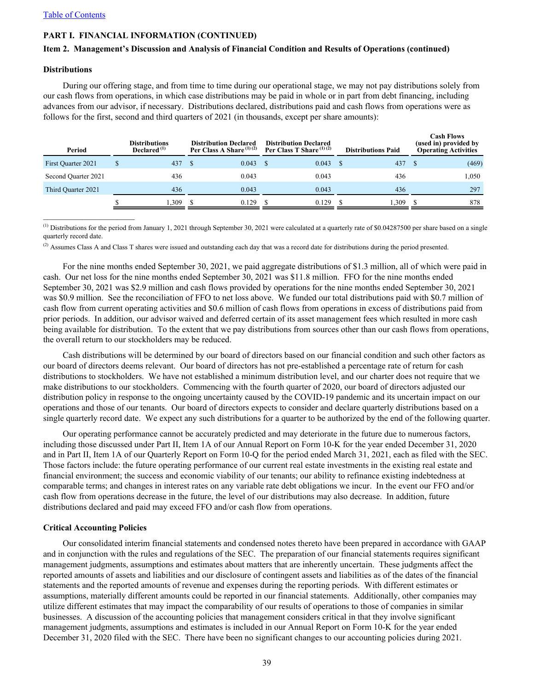## **Item 2. Management's Discussion and Analysis of Financial Condition and Results of Operations (continued)**

#### **Distributions**

 $\mathcal{L}_\text{max}$  , where  $\mathcal{L}_\text{max}$  and  $\mathcal{L}_\text{max}$ 

During our offering stage, and from time to time during our operational stage, we may not pay distributions solely from our cash flows from operations, in which case distributions may be paid in whole or in part from debt financing, including advances from our advisor, if necessary. Distributions declared, distributions paid and cash flows from operations were as follows for the first, second and third quarters of 2021 (in thousands, except per share amounts):

| Period              |   | <b>Distributions</b><br>Declared <sup>(1)</sup> | <b>Distribution Declared</b><br>Per Class A Share $(1)(2)$ | <b>Distribution Declared</b><br>Per Class T Share $(1)(2)$ | <b>Distributions Paid</b> | <b>Cash Flows</b><br>(used in) provided by<br><b>Operating Activities</b> |
|---------------------|---|-------------------------------------------------|------------------------------------------------------------|------------------------------------------------------------|---------------------------|---------------------------------------------------------------------------|
| First Ouarter 2021  | S | 437                                             | 0.043                                                      | 0.043                                                      | 437                       | (469)                                                                     |
| Second Quarter 2021 |   | 436                                             | 0.043                                                      | 0.043                                                      | 436                       | 1,050                                                                     |
| Third Ouarter 2021  |   | 436                                             | 0.043                                                      | 0.043                                                      | 436                       | 297                                                                       |
|                     |   | 1.309                                           | 0.129                                                      | 0.129                                                      | 1,309                     | 878                                                                       |

 $^{(1)}$  Distributions for the period from January 1, 2021 through September 30, 2021 were calculated at a quarterly rate of \$0.04287500 per share based on a single quarterly record date.

<sup>(2)</sup> Assumes Class A and Class T shares were issued and outstanding each day that was a record date for distributions during the period presented.

For the nine months ended September 30, 2021, we paid aggregate distributions of \$1.3 million, all of which were paid in cash. Our net loss for the nine months ended September 30, 2021 was \$11.8 million. FFO for the nine months ended September 30, 2021 was \$2.9 million and cash flows provided by operations for the nine months ended September 30, 2021 was \$0.9 million. See the reconciliation of FFO to net loss above. We funded our total distributions paid with \$0.7 million of cash flow from current operating activities and \$0.6 million of cash flows from operations in excess of distributions paid from prior periods. In addition, our advisor waived and deferred certain of its asset management fees which resulted in more cash being available for distribution. To the extent that we pay distributions from sources other than our cash flows from operations, the overall return to our stockholders may be reduced.

Cash distributions will be determined by our board of directors based on our financial condition and such other factors as our board of directors deems relevant. Our board of directors has not pre-established a percentage rate of return for cash distributions to stockholders. We have not established a minimum distribution level, and our charter does not require that we make distributions to our stockholders. Commencing with the fourth quarter of 2020, our board of directors adjusted our distribution policy in response to the ongoing uncertainty caused by the COVID-19 pandemic and its uncertain impact on our operations and those of our tenants. Our board of directors expects to consider and declare quarterly distributions based on a single quarterly record date. We expect any such distributions for a quarter to be authorized by the end of the following quarter.

Our operating performance cannot be accurately predicted and may deteriorate in the future due to numerous factors, including those discussed under Part II, Item 1A of our Annual Report on Form 10-K for the year ended December 31, 2020 and in Part II, Item 1A of our Quarterly Report on Form 10-Q for the period ended March 31, 2021, each as filed with the SEC. Those factors include: the future operating performance of our current real estate investments in the existing real estate and financial environment; the success and economic viability of our tenants; our ability to refinance existing indebtedness at comparable terms; and changes in interest rates on any variable rate debt obligations we incur. In the event our FFO and/or cash flow from operations decrease in the future, the level of our distributions may also decrease. In addition, future distributions declared and paid may exceed FFO and/or cash flow from operations.

#### **Critical Accounting Policies**

Our consolidated interim financial statements and condensed notes thereto have been prepared in accordance with GAAP and in conjunction with the rules and regulations of the SEC. The preparation of our financial statements requires significant management judgments, assumptions and estimates about matters that are inherently uncertain. These judgments affect the reported amounts of assets and liabilities and our disclosure of contingent assets and liabilities as of the dates of the financial statements and the reported amounts of revenue and expenses during the reporting periods. With different estimates or assumptions, materially different amounts could be reported in our financial statements. Additionally, other companies may utilize different estimates that may impact the comparability of our results of operations to those of companies in similar businesses. A discussion of the accounting policies that management considers critical in that they involve significant management judgments, assumptions and estimates is included in our Annual Report on Form 10-K for the year ended December 31, 2020 filed with the SEC. There have been no significant changes to our accounting policies during 2021.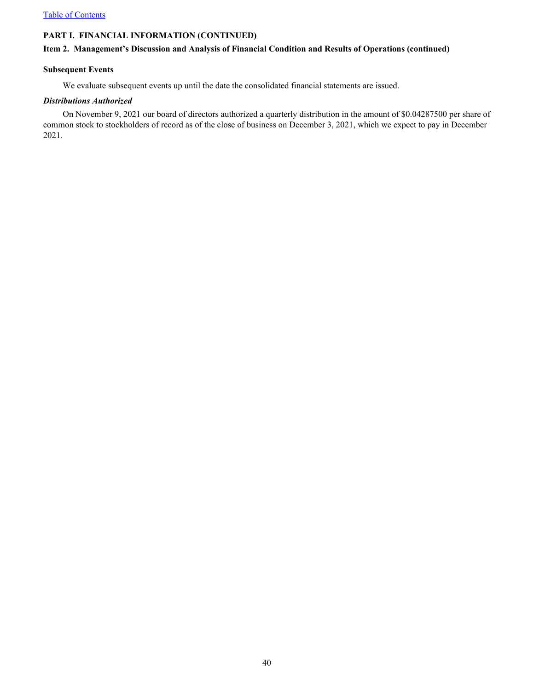# **Item 2. Management's Discussion and Analysis of Financial Condition and Results of Operations (continued)**

## **Subsequent Events**

We evaluate subsequent events up until the date the consolidated financial statements are issued.

# *Distributions Authorized*

On November 9, 2021 our board of directors authorized a quarterly distribution in the amount of \$0.04287500 per share of common stock to stockholders of record as of the close of business on December 3, 2021, which we expect to pay in December 2021.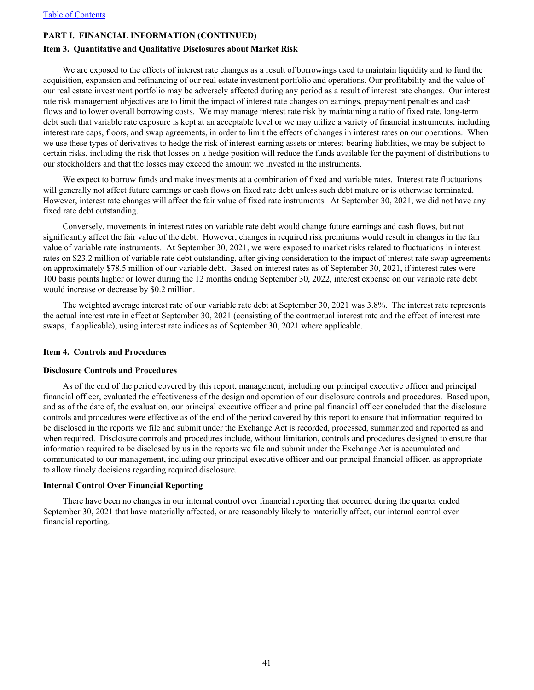#### <span id="page-41-0"></span>**Item 3. Quantitative and Qualitative Disclosures about Market Risk**

We are exposed to the effects of interest rate changes as a result of borrowings used to maintain liquidity and to fund the acquisition, expansion and refinancing of our real estate investment portfolio and operations. Our profitability and the value of our real estate investment portfolio may be adversely affected during any period as a result of interest rate changes. Our interest rate risk management objectives are to limit the impact of interest rate changes on earnings, prepayment penalties and cash flows and to lower overall borrowing costs. We may manage interest rate risk by maintaining a ratio of fixed rate, long-term debt such that variable rate exposure is kept at an acceptable level or we may utilize a variety of financial instruments, including interest rate caps, floors, and swap agreements, in order to limit the effects of changes in interest rates on our operations. When we use these types of derivatives to hedge the risk of interest-earning assets or interest-bearing liabilities, we may be subject to certain risks, including the risk that losses on a hedge position will reduce the funds available for the payment of distributions to our stockholders and that the losses may exceed the amount we invested in the instruments.

We expect to borrow funds and make investments at a combination of fixed and variable rates. Interest rate fluctuations will generally not affect future earnings or cash flows on fixed rate debt unless such debt mature or is otherwise terminated. However, interest rate changes will affect the fair value of fixed rate instruments. At September 30, 2021, we did not have any fixed rate debt outstanding.

Conversely, movements in interest rates on variable rate debt would change future earnings and cash flows, but not significantly affect the fair value of the debt. However, changes in required risk premiums would result in changes in the fair value of variable rate instruments. At September 30, 2021, we were exposed to market risks related to fluctuations in interest rates on \$23.2 million of variable rate debt outstanding, after giving consideration to the impact of interest rate swap agreements on approximately \$78.5 million of our variable debt. Based on interest rates as of September 30, 2021, if interest rates were 100 basis points higher or lower during the 12 months ending September 30, 2022, interest expense on our variable rate debt would increase or decrease by \$0.2 million.

The weighted average interest rate of our variable rate debt at September 30, 2021 was 3.8%. The interest rate represents the actual interest rate in effect at September 30, 2021 (consisting of the contractual interest rate and the effect of interest rate swaps, if applicable), using interest rate indices as of September 30, 2021 where applicable.

#### **Item 4. Controls and Procedures**

#### **Disclosure Controls and Procedures**

As of the end of the period covered by this report, management, including our principal executive officer and principal financial officer, evaluated the effectiveness of the design and operation of our disclosure controls and procedures. Based upon, and as of the date of, the evaluation, our principal executive officer and principal financial officer concluded that the disclosure controls and procedures were effective as of the end of the period covered by this report to ensure that information required to be disclosed in the reports we file and submit under the Exchange Act is recorded, processed, summarized and reported as and when required. Disclosure controls and procedures include, without limitation, controls and procedures designed to ensure that information required to be disclosed by us in the reports we file and submit under the Exchange Act is accumulated and communicated to our management, including our principal executive officer and our principal financial officer, as appropriate to allow timely decisions regarding required disclosure.

#### **Internal Control Over Financial Reporting**

There have been no changes in our internal control over financial reporting that occurred during the quarter ended September 30, 2021 that have materially affected, or are reasonably likely to materially affect, our internal control over financial reporting.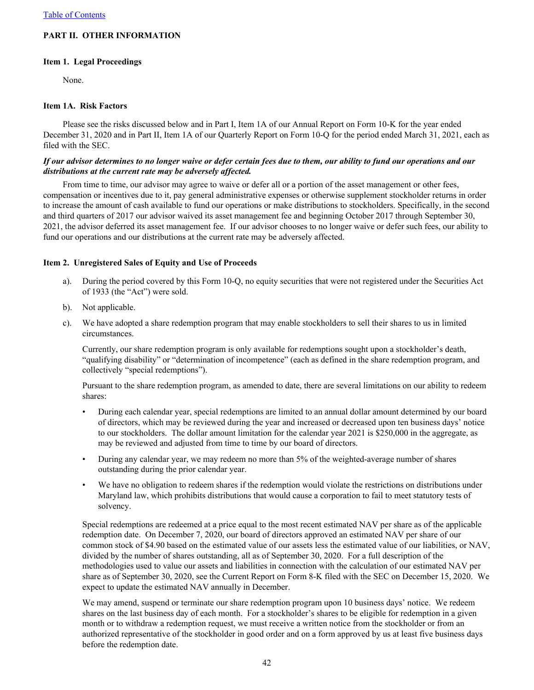# <span id="page-42-0"></span>**PART II. OTHER INFORMATION**

## **Item 1. Legal Proceedings**

None.

#### **Item 1A. Risk Factors**

Please see the risks discussed below and in Part I, Item 1A of our Annual Report on Form 10-K for the year ended December 31, 2020 and in Part II, Item 1A of our Quarterly Report on Form 10-Q for the period ended March 31, 2021, each as filed with the SEC.

# *If our advisor determines to no longer waive or defer certain fees due to them, our ability to fund our operations and our distributions at the current rate may be adversely affected.*

From time to time, our advisor may agree to waive or defer all or a portion of the asset management or other fees, compensation or incentives due to it, pay general administrative expenses or otherwise supplement stockholder returns in order to increase the amount of cash available to fund our operations or make distributions to stockholders. Specifically, in the second and third quarters of 2017 our advisor waived its asset management fee and beginning October 2017 through September 30, 2021, the advisor deferred its asset management fee. If our advisor chooses to no longer waive or defer such fees, our ability to fund our operations and our distributions at the current rate may be adversely affected.

# **Item 2. Unregistered Sales of Equity and Use of Proceeds**

- a). During the period covered by this Form 10-Q, no equity securities that were not registered under the Securities Act of 1933 (the "Act") were sold.
- b). Not applicable.
- c). We have adopted a share redemption program that may enable stockholders to sell their shares to us in limited circumstances.

Currently, our share redemption program is only available for redemptions sought upon a stockholder's death, "qualifying disability" or "determination of incompetence" (each as defined in the share redemption program, and collectively "special redemptions").

Pursuant to the share redemption program, as amended to date, there are several limitations on our ability to redeem shares:

- During each calendar year, special redemptions are limited to an annual dollar amount determined by our board of directors, which may be reviewed during the year and increased or decreased upon ten business days' notice to our stockholders. The dollar amount limitation for the calendar year 2021 is \$250,000 in the aggregate, as may be reviewed and adjusted from time to time by our board of directors.
- During any calendar year, we may redeem no more than 5% of the weighted-average number of shares outstanding during the prior calendar year.
- We have no obligation to redeem shares if the redemption would violate the restrictions on distributions under Maryland law, which prohibits distributions that would cause a corporation to fail to meet statutory tests of solvency.

Special redemptions are redeemed at a price equal to the most recent estimated NAV per share as of the applicable redemption date. On December 7, 2020, our board of directors approved an estimated NAV per share of our common stock of \$4.90 based on the estimated value of our assets less the estimated value of our liabilities, or NAV, divided by the number of shares outstanding, all as of September 30, 2020. For a full description of the methodologies used to value our assets and liabilities in connection with the calculation of our estimated NAV per share as of September 30, 2020, see the Current Report on Form 8-K filed with the SEC on December 15, 2020. We expect to update the estimated NAV annually in December.

We may amend, suspend or terminate our share redemption program upon 10 business days' notice. We redeem shares on the last business day of each month. For a stockholder's shares to be eligible for redemption in a given month or to withdraw a redemption request, we must receive a written notice from the stockholder or from an authorized representative of the stockholder in good order and on a form approved by us at least five business days before the redemption date.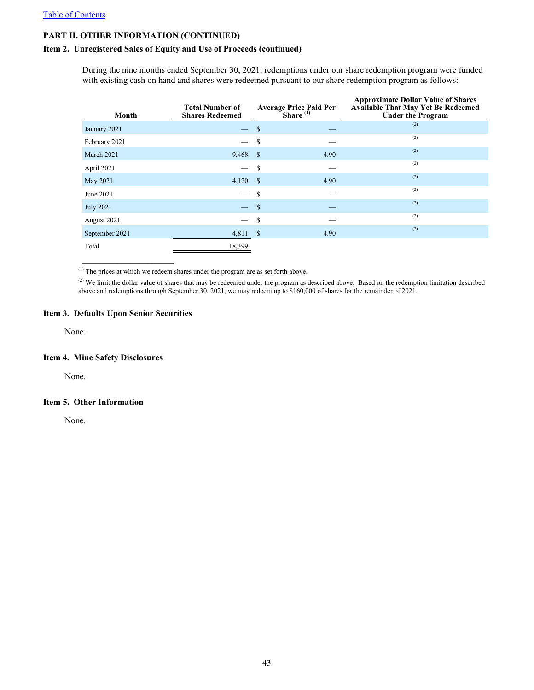# <span id="page-43-0"></span>**PART II. OTHER INFORMATION (CONTINUED)**

# **Item 2. Unregistered Sales of Equity and Use of Proceeds (continued)**

During the nine months ended September 30, 2021, redemptions under our share redemption program were funded with existing cash on hand and shares were redeemed pursuant to our share redemption program as follows:

| Month            | <b>Total Number of</b><br><b>Shares Redeemed</b> |               | <b>Average Price Paid Per<br/>Share</b> <sup>(1)</sup> | <b>Approximate Dollar Value of Shares</b><br>Available That May Yet Be Redeemed<br><b>Under the Program</b> |
|------------------|--------------------------------------------------|---------------|--------------------------------------------------------|-------------------------------------------------------------------------------------------------------------|
| January 2021     | $-$ \$                                           |               |                                                        | (2)                                                                                                         |
| February 2021    | $\overline{\phantom{m}}$                         | <sup>\$</sup> |                                                        | (2)                                                                                                         |
| March 2021       | 9,468                                            | S             | 4.90                                                   | (2)                                                                                                         |
| April 2021       |                                                  | S             |                                                        | (2)                                                                                                         |
| May 2021         | 4,120                                            | -S            | 4.90                                                   | (2)                                                                                                         |
| June 2021        |                                                  | S             |                                                        | (2)                                                                                                         |
| <b>July 2021</b> |                                                  | $\sqrt{5}$    |                                                        | (2)                                                                                                         |
| August 2021      |                                                  | <sup>\$</sup> |                                                        | (2)                                                                                                         |
| September 2021   | $4,811$ \$                                       |               | 4.90                                                   | (2)                                                                                                         |
| Total            | 18,399                                           |               |                                                        |                                                                                                             |

(1) The prices at which we redeem shares under the program are as set forth above.

(2) We limit the dollar value of shares that may be redeemed under the program as described above. Based on the redemption limitation described above and redemptions through September 30, 2021, we may redeem up to \$160,000 of shares for the remainder of 2021.

## **Item 3. Defaults Upon Senior Securities**

 $\mathcal{L}_\text{max}$  , where  $\mathcal{L}_\text{max}$  and  $\mathcal{L}_\text{max}$ 

None.

#### **Item 4. Mine Safety Disclosures**

None.

# **Item 5. Other Information**

None.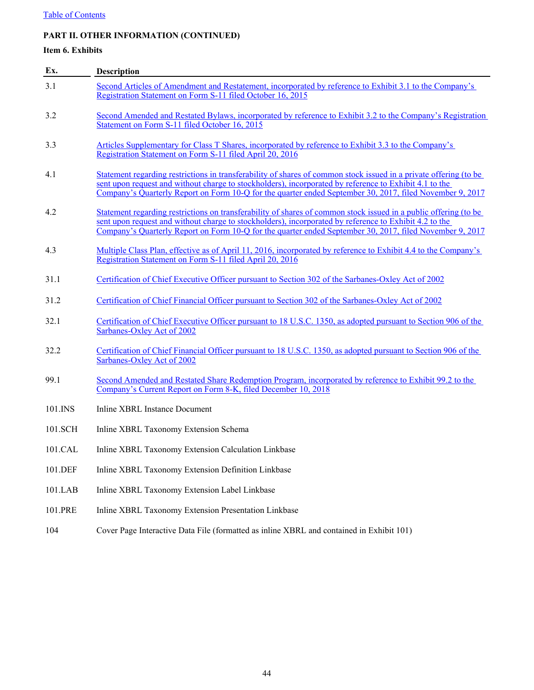# <span id="page-44-0"></span>**PART II. OTHER INFORMATION (CONTINUED)**

# **Item 6. Exhibits**

| Ex.     | <b>Description</b>                                                                                                                                                                                                                                                                                                                      |
|---------|-----------------------------------------------------------------------------------------------------------------------------------------------------------------------------------------------------------------------------------------------------------------------------------------------------------------------------------------|
| 3.1     | Second Articles of Amendment and Restatement, incorporated by reference to Exhibit 3.1 to the Company's<br>Registration Statement on Form S-11 filed October 16, 2015                                                                                                                                                                   |
| 3.2     | Second Amended and Restated Bylaws, incorporated by reference to Exhibit 3.2 to the Company's Registration<br>Statement on Form S-11 filed October 16, 2015                                                                                                                                                                             |
| 3.3     | Articles Supplementary for Class T Shares, incorporated by reference to Exhibit 3.3 to the Company's<br>Registration Statement on Form S-11 filed April 20, 2016                                                                                                                                                                        |
| 4.1     | Statement regarding restrictions in transferability of shares of common stock issued in a private offering (to be<br>sent upon request and without charge to stockholders), incorporated by reference to Exhibit 4.1 to the<br>Company's Quarterly Report on Form 10-Q for the quarter ended September 30, 2017, filed November 9, 2017 |
| 4.2     | Statement regarding restrictions on transferability of shares of common stock issued in a public offering (to be<br>sent upon request and without charge to stockholders), incorporated by reference to Exhibit 4.2 to the<br>Company's Quarterly Report on Form 10-Q for the quarter ended September 30, 2017, filed November 9, 2017  |
| 4.3     | Multiple Class Plan, effective as of April 11, 2016, incorporated by reference to Exhibit 4.4 to the Company's<br>Registration Statement on Form S-11 filed April 20, 2016                                                                                                                                                              |
| 31.1    | Certification of Chief Executive Officer pursuant to Section 302 of the Sarbanes-Oxley Act of 2002                                                                                                                                                                                                                                      |
| 31.2    | Certification of Chief Financial Officer pursuant to Section 302 of the Sarbanes-Oxley Act of 2002                                                                                                                                                                                                                                      |
| 32.1    | Certification of Chief Executive Officer pursuant to 18 U.S.C. 1350, as adopted pursuant to Section 906 of the<br>Sarbanes-Oxley Act of 2002                                                                                                                                                                                            |
| 32.2    | Certification of Chief Financial Officer pursuant to 18 U.S.C. 1350, as adopted pursuant to Section 906 of the<br>Sarbanes-Oxley Act of 2002                                                                                                                                                                                            |
| 99.1    | Second Amended and Restated Share Redemption Program, incorporated by reference to Exhibit 99.2 to the<br>Company's Current Report on Form 8-K, filed December 10, 2018                                                                                                                                                                 |
| 101.INS | Inline XBRL Instance Document                                                                                                                                                                                                                                                                                                           |
| 101.SCH | Inline XBRL Taxonomy Extension Schema                                                                                                                                                                                                                                                                                                   |
| 101.CAL | Inline XBRL Taxonomy Extension Calculation Linkbase                                                                                                                                                                                                                                                                                     |
| 101.DEF | Inline XBRL Taxonomy Extension Definition Linkbase                                                                                                                                                                                                                                                                                      |
| 101.LAB | Inline XBRL Taxonomy Extension Label Linkbase                                                                                                                                                                                                                                                                                           |
| 101.PRE | Inline XBRL Taxonomy Extension Presentation Linkbase                                                                                                                                                                                                                                                                                    |
|         |                                                                                                                                                                                                                                                                                                                                         |

104 Cover Page Interactive Data File (formatted as inline XBRL and contained in Exhibit 101)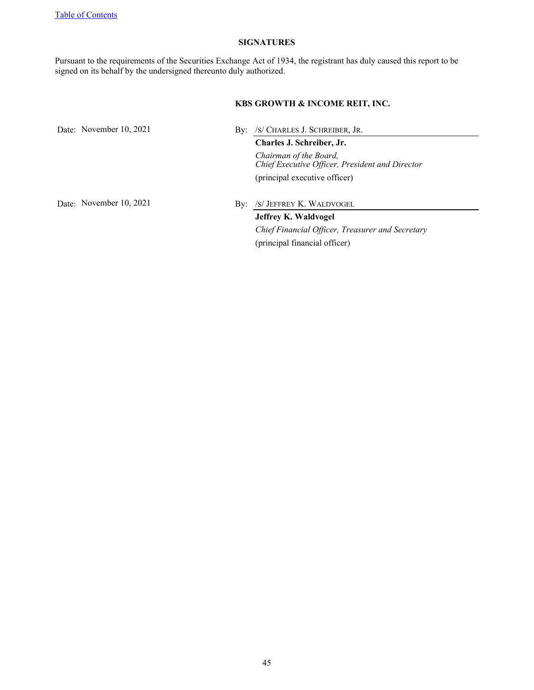# **SIGNATURES**

<span id="page-45-0"></span>Pursuant to the requirements of the Securities Exchange Act of 1934, the registrant has duly caused this report to be signed on its behalf by the undersigned thereunto duly authorized.

# **KBS GROWTH & INCOME REIT, INC.**

Date: November 10, 2021 By: /S/ CHARLES J. SCHREIBER, JR. **Charles J. Schreiber, Jr.**

> *Chairman of the Board, Chief Executive Officer, President and Director* (principal executive officer)

Date: November 10, 2021 By: /S/ JEFFREY K. WALDVOGEL

**Jeffrey K. Waldvogel** *Chief Financial Officer, Treasurer and Secretary* (principal financial officer)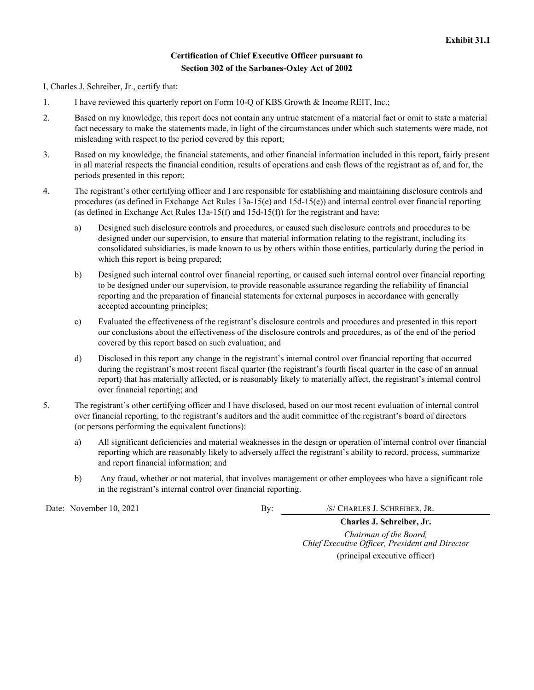# **Certification of Chief Executive Officer pursuant to Section 302 of the Sarbanes-Oxley Act of 2002**

I, Charles J. Schreiber, Jr., certify that:

- 1. I have reviewed this quarterly report on Form 10-Q of KBS Growth & Income REIT, Inc.;
- 2. Based on my knowledge, this report does not contain any untrue statement of a material fact or omit to state a material fact necessary to make the statements made, in light of the circumstances under which such statements were made, not misleading with respect to the period covered by this report;
- 3. Based on my knowledge, the financial statements, and other financial information included in this report, fairly present in all material respects the financial condition, results of operations and cash flows of the registrant as of, and for, the periods presented in this report;
- 4. The registrant's other certifying officer and I are responsible for establishing and maintaining disclosure controls and procedures (as defined in Exchange Act Rules 13a-15(e) and 15d-15(e)) and internal control over financial reporting (as defined in Exchange Act Rules  $13a-15(f)$  and  $15d-15(f)$ ) for the registrant and have:
	- a) Designed such disclosure controls and procedures, or caused such disclosure controls and procedures to be designed under our supervision, to ensure that material information relating to the registrant, including its consolidated subsidiaries, is made known to us by others within those entities, particularly during the period in which this report is being prepared;
	- b) Designed such internal control over financial reporting, or caused such internal control over financial reporting to be designed under our supervision, to provide reasonable assurance regarding the reliability of financial reporting and the preparation of financial statements for external purposes in accordance with generally accepted accounting principles;
	- c) Evaluated the effectiveness of the registrant's disclosure controls and procedures and presented in this report our conclusions about the effectiveness of the disclosure controls and procedures, as of the end of the period covered by this report based on such evaluation; and
	- d) Disclosed in this report any change in the registrant's internal control over financial reporting that occurred during the registrant's most recent fiscal quarter (the registrant's fourth fiscal quarter in the case of an annual report) that has materially affected, or is reasonably likely to materially affect, the registrant's internal control over financial reporting; and
- 5. The registrant's other certifying officer and I have disclosed, based on our most recent evaluation of internal control over financial reporting, to the registrant's auditors and the audit committee of the registrant's board of directors (or persons performing the equivalent functions):
	- a) All significant deficiencies and material weaknesses in the design or operation of internal control over financial reporting which are reasonably likely to adversely affect the registrant's ability to record, process, summarize and report financial information; and
	- b) Any fraud, whether or not material, that involves management or other employees who have a significant role in the registrant's internal control over financial reporting.

Date: November 10, 2021 By: /S/ CHARLES J. SCHREIBER, JR.

**Charles J. Schreiber, Jr.** *Chairman of the Board, Chief Executive Officer, President and Director* (principal executive officer)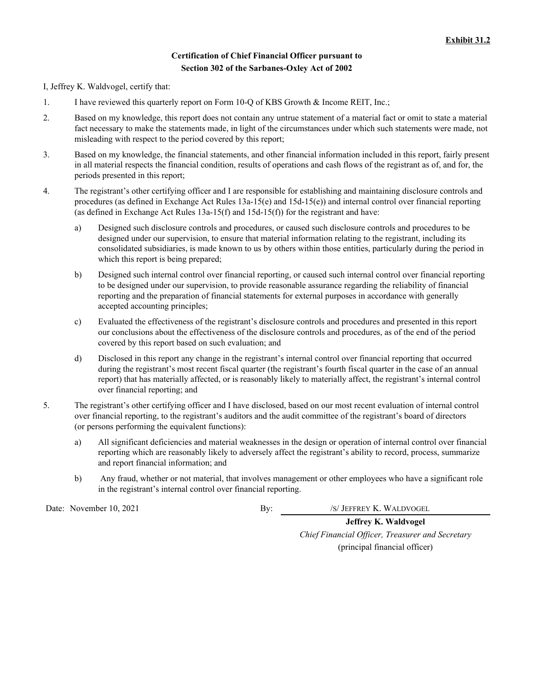# **Certification of Chief Financial Officer pursuant to Section 302 of the Sarbanes-Oxley Act of 2002**

I, Jeffrey K. Waldvogel, certify that:

- 1. I have reviewed this quarterly report on Form 10-Q of KBS Growth & Income REIT, Inc.;
- 2. Based on my knowledge, this report does not contain any untrue statement of a material fact or omit to state a material fact necessary to make the statements made, in light of the circumstances under which such statements were made, not misleading with respect to the period covered by this report;
- 3. Based on my knowledge, the financial statements, and other financial information included in this report, fairly present in all material respects the financial condition, results of operations and cash flows of the registrant as of, and for, the periods presented in this report;
- 4. The registrant's other certifying officer and I are responsible for establishing and maintaining disclosure controls and procedures (as defined in Exchange Act Rules 13a-15(e) and 15d-15(e)) and internal control over financial reporting (as defined in Exchange Act Rules  $13a-15(f)$  and  $15d-15(f)$ ) for the registrant and have:
	- a) Designed such disclosure controls and procedures, or caused such disclosure controls and procedures to be designed under our supervision, to ensure that material information relating to the registrant, including its consolidated subsidiaries, is made known to us by others within those entities, particularly during the period in which this report is being prepared;
	- b) Designed such internal control over financial reporting, or caused such internal control over financial reporting to be designed under our supervision, to provide reasonable assurance regarding the reliability of financial reporting and the preparation of financial statements for external purposes in accordance with generally accepted accounting principles;
	- c) Evaluated the effectiveness of the registrant's disclosure controls and procedures and presented in this report our conclusions about the effectiveness of the disclosure controls and procedures, as of the end of the period covered by this report based on such evaluation; and
	- d) Disclosed in this report any change in the registrant's internal control over financial reporting that occurred during the registrant's most recent fiscal quarter (the registrant's fourth fiscal quarter in the case of an annual report) that has materially affected, or is reasonably likely to materially affect, the registrant's internal control over financial reporting; and
- 5. The registrant's other certifying officer and I have disclosed, based on our most recent evaluation of internal control over financial reporting, to the registrant's auditors and the audit committee of the registrant's board of directors (or persons performing the equivalent functions):
	- a) All significant deficiencies and material weaknesses in the design or operation of internal control over financial reporting which are reasonably likely to adversely affect the registrant's ability to record, process, summarize and report financial information; and
	- b) Any fraud, whether or not material, that involves management or other employees who have a significant role in the registrant's internal control over financial reporting.

Date: November 10, 2021 By: /S/ JEFFREY K. WALDVOGEL

**Jeffrey K. Waldvogel** *Chief Financial Officer, Treasurer and Secretary* (principal financial officer)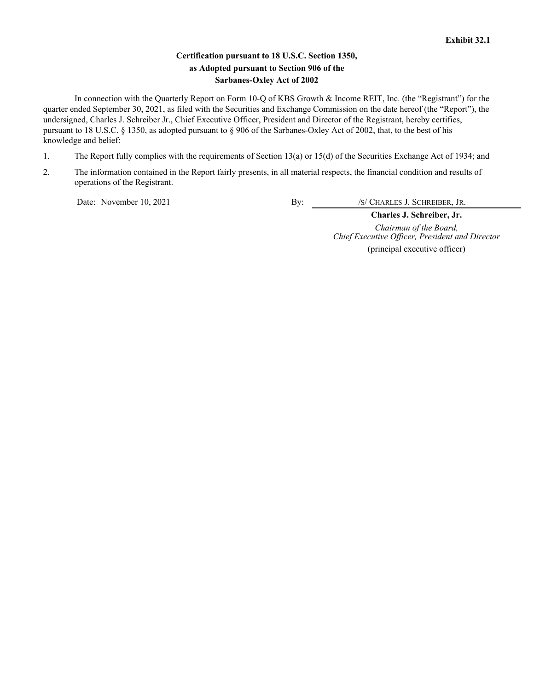# **Certification pursuant to 18 U.S.C. Section 1350, as Adopted pursuant to Section 906 of the Sarbanes-Oxley Act of 2002**

In connection with the Quarterly Report on Form 10-Q of KBS Growth & Income REIT, Inc. (the "Registrant") for the quarter ended September 30, 2021, as filed with the Securities and Exchange Commission on the date hereof (the "Report"), the undersigned, Charles J. Schreiber Jr., Chief Executive Officer, President and Director of the Registrant, hereby certifies, pursuant to 18 U.S.C. § 1350, as adopted pursuant to § 906 of the Sarbanes-Oxley Act of 2002, that, to the best of his knowledge and belief:

- 1. The Report fully complies with the requirements of Section 13(a) or 15(d) of the Securities Exchange Act of 1934; and
- 2. The information contained in the Report fairly presents, in all material respects, the financial condition and results of operations of the Registrant.

Date: November 10, 2021 By: /S/ CHARLES J. SCHREIBER, JR.

**Charles J. Schreiber, Jr.** *Chairman of the Board, Chief Executive Officer, President and Director* (principal executive officer)